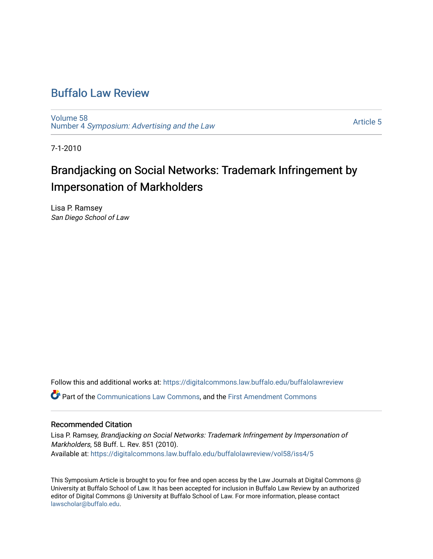# [Buffalo Law Review](https://digitalcommons.law.buffalo.edu/buffalolawreview)

[Volume 58](https://digitalcommons.law.buffalo.edu/buffalolawreview/vol58) Number 4 [Symposium: Advertising and the Law](https://digitalcommons.law.buffalo.edu/buffalolawreview/vol58/iss4) 

[Article 5](https://digitalcommons.law.buffalo.edu/buffalolawreview/vol58/iss4/5) 

7-1-2010

# Brandjacking on Social Networks: Trademark Infringement by Impersonation of Markholders

Lisa P. Ramsey San Diego School of Law

Follow this and additional works at: [https://digitalcommons.law.buffalo.edu/buffalolawreview](https://digitalcommons.law.buffalo.edu/buffalolawreview?utm_source=digitalcommons.law.buffalo.edu%2Fbuffalolawreview%2Fvol58%2Fiss4%2F5&utm_medium=PDF&utm_campaign=PDFCoverPages) 

Part of the [Communications Law Commons,](http://network.bepress.com/hgg/discipline/587?utm_source=digitalcommons.law.buffalo.edu%2Fbuffalolawreview%2Fvol58%2Fiss4%2F5&utm_medium=PDF&utm_campaign=PDFCoverPages) and the [First Amendment Commons](http://network.bepress.com/hgg/discipline/1115?utm_source=digitalcommons.law.buffalo.edu%2Fbuffalolawreview%2Fvol58%2Fiss4%2F5&utm_medium=PDF&utm_campaign=PDFCoverPages)

# Recommended Citation

Lisa P. Ramsey, Brandjacking on Social Networks: Trademark Infringement by Impersonation of Markholders, 58 Buff. L. Rev. 851 (2010). Available at: [https://digitalcommons.law.buffalo.edu/buffalolawreview/vol58/iss4/5](https://digitalcommons.law.buffalo.edu/buffalolawreview/vol58/iss4/5?utm_source=digitalcommons.law.buffalo.edu%2Fbuffalolawreview%2Fvol58%2Fiss4%2F5&utm_medium=PDF&utm_campaign=PDFCoverPages) 

This Symposium Article is brought to you for free and open access by the Law Journals at Digital Commons @ University at Buffalo School of Law. It has been accepted for inclusion in Buffalo Law Review by an authorized editor of Digital Commons @ University at Buffalo School of Law. For more information, please contact [lawscholar@buffalo.edu](mailto:lawscholar@buffalo.edu).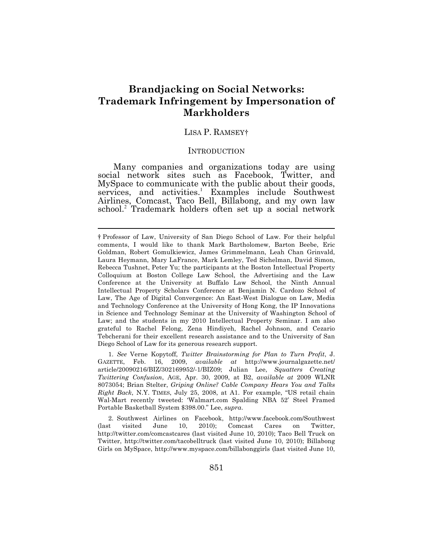# **Brandjacking on Social Networks: Trademark Infringement by Impersonation of Markholders**

# LISA P. RAMSEY†

#### INTRODUCTION

Many companies and organizations today are using social network sites such as Facebook, Twitter, and MySpace to communicate with the public about their goods, services, and activities.<sup>1</sup> Examples include Southwest Airlines, Comcast, Taco Bell, Billabong, and my own law school.<sup>2</sup> Trademark holders often set up a social network

 $\overline{a}$ 

 1*. See* Verne Kopytoff, *Twitter Brainstorming for Plan to Turn Profit*, J. GAZETTE, Feb. 16, 2009, *available at* <http://www.journalgazette.net>/ article/20090216/BIZ/302169952/-1/BIZ09; Julian Lee, *Squatters Creating Twittering Confusion*, AGE, Apr. 30, 2009, at B2, *available at* 2009 WLNR 8073054; Brian Stelter, *Griping Online? Cable Company Hears You and Talks Right Back*, N.Y. TIMES, July 25, 2008, at A1. For example, "US retail chain Wal-Mart recently tweeted: '[Walmart.com](https://Walmart.com) Spalding NBA 52' Steel Framed Portable Basketball System \$398.00." Lee, *supra*.

 2*.* Southwest Airlines on Facebook, <http://www.facebook.com/Southwest> (last <http://twitter.com/comcastcares>(last visited June 10, 2010); Taco Bell Truck on Twitter, <http://twitter.com/tacobelltruck>(last visited June 10, 2010); Billabong Girls on MySpace, <http://www.myspace.com/billabonggirls>(last visited June 10, visited June 10, 2010); Comcast Cares on Twitter,

 † Professor of Law, University of San Diego School of Law. For their helpful comments, I would like to thank Mark Bartholomew, Barton Beebe, Eric Goldman, Robert Gomulkiewicz, James Grimmelmann, Leah Chan Grinvald, Laura Heymann, Mary LaFrance, Mark Lemley, Ted Sichelman, David Simon, Rebecca Tushnet, Peter Yu; the participants at the Boston Intellectual Property Colloquium at Boston College Law School, the Advertising and the Law Conference at the University at Buffalo Law School, the Ninth Annual Intellectual Property Scholars Conference at Benjamin N. Cardozo School of Law, The Age of Digital Convergence: An East-West Dialogue on Law, Media and Technology Conference at the University of Hong Kong, the IP Innovations in Science and Technology Seminar at the University of Washington School of Law; and the students in my 2010 Intellectual Property Seminar. I am also grateful to Rachel Felong, Zena Hindiyeh, Rachel Johnson, and Cezario Tebcherani for their excellent research assistance and to the University of San Diego School of Law for its generous research support.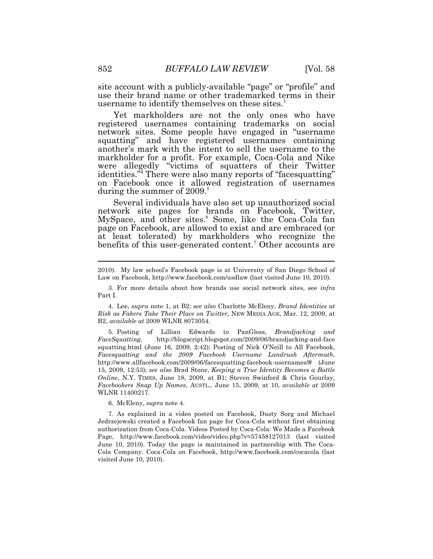site account with a publicly-available "page" or "profile" and use their brand name or other trademarked terms in their username to identify themselves on these sites.<sup>3</sup>

Yet markholders are not the only ones who have registered usernames containing trademarks on social network sites. Some people have engaged in "username squatting" and have registered usernames containing another's mark with the intent to sell the username to the markholder for a profit. For example, Coca-Cola and Nike were allegedly "victims of squatters of their Twitter identities.<sup>34</sup> There were also many reports of "facesquatting" on Facebook once it allowed registration of usernames during the summer of  $2009$ .

Several individuals have also set up unauthorized social network site pages for brands on Facebook, Twitter, MySpace, and other sites.<sup>6</sup> Some, like the Coca-Cola fan page on Facebook, are allowed to exist and are embraced (or at least tolerated) by markholders who recognize the benefits of this user-generated content.<sup>7</sup> Other accounts are

 squatting.html (June 16, 2009, 2:42); Posting of Nick O'Neill to All Facebook,  *Facesquatting and the 2009 Facebook Username Landrush Aftermath*, 15, 2009, 12:53); *see also* Brad Stone, *Keeping a True Identity Becomes a Battle Online*, N.Y. TIMES, June 18, 2009, at B1; Steven Swinford & Chris Gourlay,  *Facebookers Snap Up Names*, AUSTL., June 15, 2009, at 10, *available at* 2009 WLNR 11400217. 5. Posting of Lillian Edwards to PanGloss, *Brandjacking and FaceSquatting,* <http://blogscript.blogspot.com/2009/06/brandjacking-and-face> <http://www.allfacebook.com/2009/06/facesquatting-facebook-usernames>/# (June

6. McEleny, *supra* note 4.

 Jedrzejewski created a Facebook fan page for Coca-Cola without first obtaining authorization from Coca-Cola. Videos Posted by Coca-Cola: We Made a Facebook Page, <http://www.facebook.com/video/video.php?v=57458127013>(last visited June 10, 2010). Today the page is maintained in partnership with The Coca- Cola Company. Coca-Cola on Facebook, <http://www.facebook.com/cocacola> (last visited June 10, 2010). 7. As explained in a video posted on Facebook, Dusty Sorg and Michael

 2010). My law school's Facebook page is at University of San Diego School of Law on Facebook,<http://www.facebook.com/usdlaw>(last visited June 10, 2010).

 Part I. 3. For more details about how brands use social network sites, see *infra* 

 *Risk as Fakers Take Their Place on Twitter*, NEW MEDIA AGE, Mar. 12, 2009, at  B2, *available at* 2009 WLNR 8073054. 4. Lee, *supra* note 1, at B2; *see also* Charlotte McEleny, *Brand Identities at*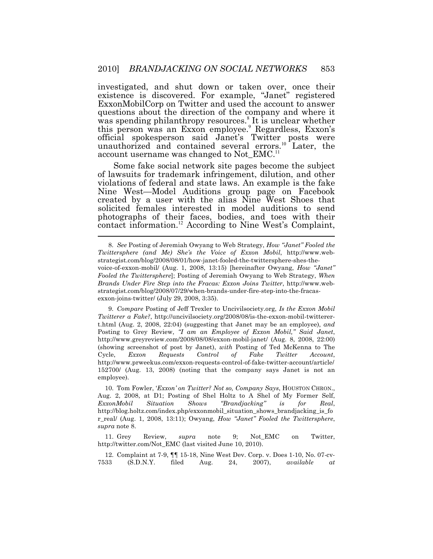existence is discovered. For example, "Janet" registered official spokesperson said Janet's Twitter posts were investigated, and shut down or taken over, once their ExxonMobilCorp on Twitter and used the account to answer questions about the direction of the company and where it was spending philanthropy resources.<sup>8</sup> It is unclear whether this person was an Exxon employee.<sup>9</sup> Regardless, Exxon's unauthorized and contained several errors.<sup>10</sup> Later, the account username was changed to [Not\\_EMC.](https://Not_EMC.11)<sup>11</sup>

l Some fake social network site pages become the subject of lawsuits for trademark infringement, dilution, and other violations of federal and state laws. An example is the fake Nine West—Model Auditions group page on Facebook created by a user with the alias Nine West Shoes that solicited females interested in model auditions to send photographs of their faces, bodies, and toes with their contact [information.](https://information.12)<sup>12</sup> According to Nine West's Complaint,

 8*. See* Posting of Jeremiah Owyang to Web Strategy, *How "Janet" Fooled the Twittersphere (and Me) She's the Voice of Exxon Mobil*, [http://www.web-](http://www.web) voice-of-exxon-mobil/ (Aug. 1, 2008, 13:15) [hereinafter Owyang, *How "Janet" Fooled the Twittersphere*]; Posting of Jeremiah Owyang to Web Strategy, *When Brands Under Fire Step into the Fracas: Exxon Joins Twitter*, [http://www.web-](http://www.web) exxon-joins-twitter/ (July 29, 2008, 3:35). [strategist.com/blog/2008/08/01/how-janet-fooled-the-twittersphere-shes-the](https://strategist.com/blog/2008/08/01/how-janet-fooled-the-twittersphere-shes-the)[strategist.com/blog/2008/07/29/when-brands-under-fire-step-into-the-fracas-](https://strategist.com/blog/2008/07/29/when-brands-under-fire-step-into-the-fracas)

 9*. Compare* Posting of Jeff Trexler to [Uncivilsociety.org,](https://Uncivilsociety.org) *Is the Exxon Mobil Twitterer a Fake?*, [http://uncivilsociety.org/2008/08/is-the-exxon-mobil-twitterer-](http://uncivilsociety.org/2008/08/is-the-exxon-mobil-twitterer) t.html (Aug. 2, 2008, 22:04) (suggesting that Janet may be an employee), *and*  Posting to Grey Review, *"I am an Employee of Exxon Mobil," Said Janet*, <http://www.greyreview.com/2008/08/08/exxon-mobil-janet>/ (Aug. 8, 2008, 22:00) (showing screenshot of post by Janet), *with* Posting of Ted McKenna to The  152700/ (Aug. 13, 2008) (noting that the company says Janet is not an Cycle, *Exxon Requests Control of Fake Twitter Account*, <http://www.prweekus.com/exxon-requests-control-of-fake-twitter-account/article>/ employee).

 Aug. 2, 2008, at D1; Posting of Shel Holtz to A Shel of My Former Self,  r\_real/ (Aug. 1, 2008, 13:11); Owyang, *How "Janet" Fooled the Twittersphere*, *supra* note 8. 10. Tom Fowler, '*Exxon' on Twitter? Not so, Company Says*, HOUSTON CHRON., *ExxonMobil Situation Shows "Brandjacking" is for Real*, [http://blog.holtz.com/index.php/exxonmobil\\_situation\\_shows\\_brandjacking\\_is\\_fo](http://blog.holtz.com/index.php/exxonmobil_situation_shows_brandjacking_is_fo) 

 [http://twitter.com/Not\\_EMC](http://twitter.com/Not_EMC) (last visited June 10, 2010). 11. Grey Review, *supra* note 9; Not\_EMC on Twitter,

 7533 (S.D.N.Y. filed Aug. 24, 2007), *available at* 12. Complaint at 7-9, ¶¶ 15-18, Nine West Dev. Corp. v. Does 1-10, No. 07-cv-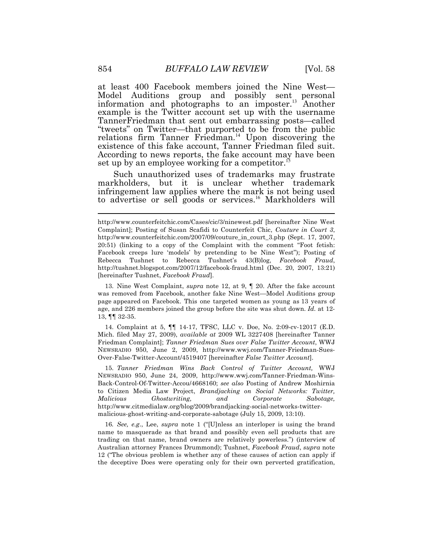at least 400 Facebook members joined the Nine West— Model Auditions group and possibly sent personal information and photographs to an [imposter.](https://imposter.13)<sup>13</sup> Another example is the Twitter account set up with the username TannerFriedman that sent out embarrassing posts—called "tweets" on Twitter—that purported to be from the public relations firm Tanner [Friedman.](https://Friedman.14)<sup>14</sup> Upon discovering the existence of this fake account, Tanner Friedman filed suit. According to news reports, the fake account may have been set up by an employee working for a [competitor.](https://competitor.15)

Such unauthorized uses of trademarks may frustrate markholders, but it is unclear whether trademark infringement law applies where the mark is not being used to advertise or sell goods or [services.](https://services.16)<sup>16</sup> Markholders will

 was removed from Facebook, another fake Nine West—Model Auditions group page appeared on Facebook. This one targeted women as young as 13 years of age, and 226 members joined the group before the site was shut down. *Id.* at 12- 13, ¶¶ 32-35. 13. Nine West Complaint, *supra* note 12, at 9, ¶ 20. After the fake account

 Mich. filed May 27, 2009), *available at* 2009 WL 3227408 [hereinafter Tanner  Friedman Complaint]; *Tanner Friedman Sues over False Twitter Account*, WWJ NEWSRADIO 950, June 2, 2009, [http://www.wwj.com/Tanner-Friedman-Sues-](http://www.wwj.com/Tanner-Friedman-Sues) Over-False-Twitter-Account/4519407 [hereinafter *False Twitter Account*]. 14. Complaint at 5, ¶¶ 14-17, TFSC, LLC v. Doe, No. 2:09-cv-12017 (E.D.

 NEWSRADIO 950, June 24, 2009, [http://www.wwj.com/Tanner-Friedman-Wins-](http://www.wwj.com/Tanner-Friedman-Wins) Back-Control-Of-Twitter-Accou/4668160; *see also* Posting of Andrew Moshirnia to Citizen Media Law Project, *Brandjacking on Social Networks: Twitter,*  malicious-ghost-writing-and-corporate-sabotage (July 15, 2009, 13:10). 15. *Tanner Friedman Wins Back Control of Twitter Account,* WWJ *Malicious Ghostwriting, and Corporate Sabotage,*  [http://www.citmedialaw.org/blog/2009/brandjacking-social-networks-twitter-](http://www.citmedialaw.org/blog/2009/brandjacking-social-networks-twitter)

 16*. See, e.g*., Lee, *supra* note 1 ("[U]nless an interloper is using the brand name to masquerade as that brand and possibly even sell products that are trading on that name, brand owners are relatively powerless.") (interview of Australian attorney Frances Drummond); Tushnet, *Facebook Fraud*, *supra* note 12 ("The obvious problem is whether any of these causes of action can apply if the deceptive Does were operating only for their own perverted gratification,

 <http://www.counterfeitchic.com/Cases/cic/3/ninewest.pdf> [hereinafter Nine West Complaint]; Posting of Susan Scafidi to Counterfeit Chic, *Couture in Court 3*, [http://www.counterfeitchic.com/2007/09/couture\\_in\\_court\\_3.php](http://www.counterfeitchic.com/2007/09/couture_in_court_3.php) (Sept. 17, 2007, 20:51) (linking to a copy of the Complaint with the comment "Foot fetish: Facebook creeps lure 'models' by pretending to be Nine West"); Posting of Rebecca Tushnet to Rebecca Tushnet's 43(B)log, *Facebook Fraud*, <http://tushnet.blogspot.com/2007/12/facebook-fraud.html>(Dec. 20, 2007, 13:21) [hereinafter Tushnet, *Facebook Fraud*].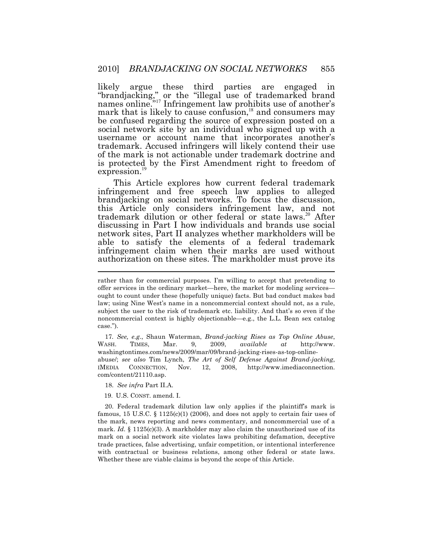likely argue these third parties are engaged in "brandjacking," or the "illegal use of trademarked brand names online."<sup>17</sup> Infringement law prohibits use of another's mark that is likely to cause confusion, $18$  and consumers may be confused regarding the source of expression posted on a social network site by an individual who signed up with a username or account name that incorporates another's trademark. Accused infringers will likely contend their use of the mark is not actionable under trademark doctrine and is protected by the First Amendment right to freedom of [expression.](https://expression.19)<sup>19</sup>

 $\overline{a}$ This Article explores how current federal trademark infringement and free speech law applies to alleged brandjacking on social networks. To focus the discussion, this Article only considers infringement law, and not trademark dilution or other federal or state laws.<sup>20</sup> After discussing in Part I how individuals and brands use social network sites, Part II analyzes whether markholders will be able to satisfy the elements of a federal trademark infringement claim when their marks are used without authorization on these sites. The markholder must prove its

 17*. See, e.g*., Shaun Waterman, *Brand-jacking Rises as Top Online Abuse*,  abuse/; *see also* Tim Lynch, *The Art of Self Defense Against Brand-jacking*, CONNECTION, WASH. TIMES, Mar. 9, 2009, *available at* <http://www>. [washingtontimes.com/news/2009/mar/09/brand-jacking-rises-as-top-online-](https://washingtontimes.com/news/2009/mar/09/brand-jacking-rises-as-top-online)IMEDIA CONNECTION, Nov. 12, 2008, <http://www.imediaconnection>. com/content/21110.asp.

19. U.S. CONST. amend. I.

famous, 15 U.S.C. § 1125 $(c)(1)$  (2006), and does not apply to certain fair uses of the mark, news reporting and news commentary, and noncommercial use of a mark. *Id.*  $\S$  1125(c)(3). A markholder may also claim the unauthorized use of its mark on a social network site violates laws prohibiting defamation, deceptive trade practices, false advertising, unfair competition, or intentional interference with contractual or business relations, among other federal or state laws. Whether these are viable claims is beyond the scope of this Article. 20. Federal trademark dilution law only applies if the plaintiff's mark is

 rather than for commercial purposes. I'm willing to accept that pretending to offer services in the ordinary market—here, the market for modeling services— ought to count under these (hopefully unique) facts. But bad conduct makes bad law; using Nine West's name in a noncommercial context should not, as a rule, subject the user to the risk of trademark etc. liability. And that's so even if the noncommercial context is highly objectionable—e.g., the L.L. Bean sex catalog case.").

<sup>18.</sup> *See infra* Part II.A.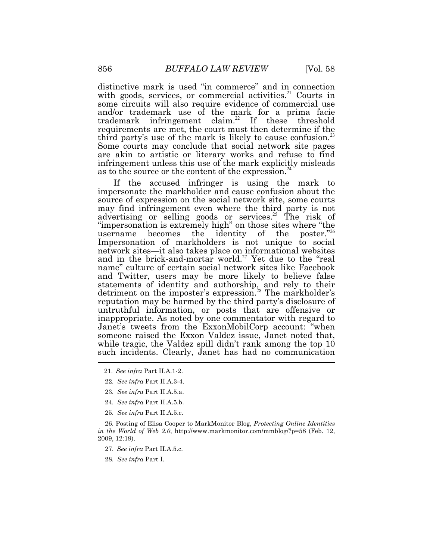as to the source or the content of the [expression.](https://expression.24)<sup>24</sup> distinctive mark is used "in commerce" and in connection with goods, services, or commercial [activities.](https://activities.21)<sup>21</sup> Courts in some circuits will also require evidence of commercial use and/or trademark use of the mark for a prima facie trademark infringement [claim.](https://claim.22)<sup>22</sup> If these threshold requirements are met, the court must then determine if the third party's use of the mark is likely to cause [confusion.](https://confusion.23)<sup>23</sup> Some courts may conclude that social network site pages are akin to artistic or literary works and refuse to find infringement unless this use of the mark explicitly misleads

 name" culture of certain social network sites like Facebook  $\overline{a}$ If the accused infringer is using the mark to impersonate the markholder and cause confusion about the source of expression on the social network site, some courts may find infringement even where the third party is not advertising or selling goods or [services.](https://services.25)<sup>25</sup> The risk of "impersonation is extremely high" on those sites where "the username becomes the identity of the poster.<sup>"26</sup> Impersonation of markholders is not unique to social network sites—it also takes place on informational websites and in the brick-and-mortar [world.](https://world.27)<sup>27</sup> Yet due to the "real and Twitter, users may be more likely to believe false statements of identity and authorship, and rely to their detriment on the imposter's [expression.](https://expression.28)<sup>28</sup> The markholder's reputation may be harmed by the third party's disclosure of untruthful information, or posts that are offensive or inappropriate. As noted by one commentator with regard to Janet's tweets from the ExxonMobilCorp account: "when someone raised the Exxon Valdez issue, Janet noted that, while tragic, the Valdez spill didn't rank among the top 10 such incidents. Clearly, Janet has had no communication

- 24. *See infra* Part II.A.5.b.
- 25. *See infra* Part II.A.5.c.

 *in the World of Web 2.0*, <http://www.markmonitor.com/mmblog/?p=58>(Feb. 12, 2009, 12:19). 26. Posting of Elisa Cooper to MarkMonitor Blog, *Protecting Online Identities* 

- 27. *See infra* Part II.A.5.c.
- 28. *See infra* Part I.

<sup>21.</sup> *See infra* Part II.A.1-2.

<sup>22.</sup> *See infra* Part II.A.3-4.

<sup>23.</sup> *See infra* Part II.A.5.a.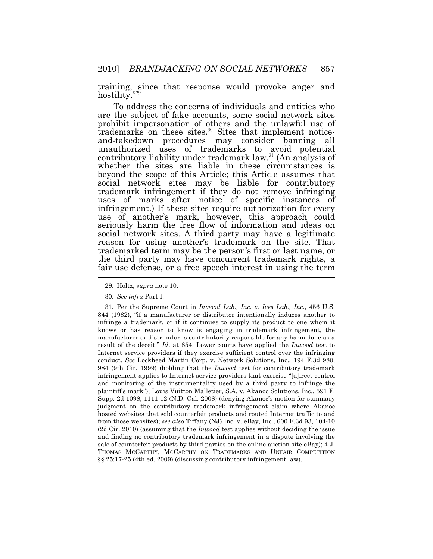training, since that response would provoke anger and hostility.'

 $\overline{a}$ To address the concerns of individuals and entities who are the subject of fake accounts, some social network sites prohibit impersonation of others and the unlawful use of trademarks on these [sites.](https://sites.30)<sup>30</sup> Sites that implement noticeand-takedown procedures may consider banning all unauthorized uses of trademarks to avoid potential contributory liability under trademark law.<sup>31</sup> (An analysis of whether the sites are liable in these circumstances is beyond the scope of this Article; this Article assumes that social network sites may be liable for contributory trademark infringement if they do not remove infringing uses of marks after notice of specific instances of infringement.) If these sites require authorization for every use of another's mark, however, this approach could seriously harm the free flow of information and ideas on social network sites. A third party may have a legitimate reason for using another's trademark on the site. That trademarked term may be the person's first or last name, or the third party may have concurrent trademark rights, a fair use defense, or a free speech interest in using the term

 31*.* Per the Supreme Court in *Inwood Lab., Inc. v. Ives Lab., Inc.*, 456 U.S. 844 (1982), "if a manufacturer or distributor intentionally induces another to infringe a trademark, or if it continues to supply its product to one whom it knows or has reason to know is engaging in trademark infringement, the manufacturer or distributor is contributorily responsible for any harm done as a result of the deceit." *Id*. at 854. Lower courts have applied the *Inwood* test to Internet service providers if they exercise sufficient control over the infringing conduct. *See* Lockheed Martin Corp. v. Network Solutions, Inc., 194 F.3d 980, 984 (9th Cir. 1999) (holding that the *Inwood* test for contributory trademark infringement applies to Internet service providers that exercise "[d]irect control and monitoring of the instrumentality used by a third party to infringe the plaintiff's mark"); Louis Vuitton Malletier, S.A. v. Akanoc Solutions, Inc., 591 F. Supp. 2d 1098, 1111-12 (N.D. Cal. 2008) (denying Akanoc's motion for summary judgment on the contributory trademark infringement claim where Akanoc hosted websites that sold counterfeit products and routed Internet traffic to and from those websites); *see also* Tiffany (NJ) Inc. v. eBay, Inc., 600 F.3d 93, 104-10 (2d Cir. 2010) (assuming that the *Inwood* test applies without deciding the issue and finding no contributory trademark infringement in a dispute involving the sale of counterfeit products by third parties on the online auction site eBay); 4 J. THOMAS MCCARTHY, MCCARTHY ON TRADEMARKS AND UNFAIR COMPETITION §§ 25:17-25 (4th ed. 2009) (discussing contributory infringement law).

<sup>29.</sup> Holtz, *supra* note 10.

<sup>30.</sup> *See infra* Part I.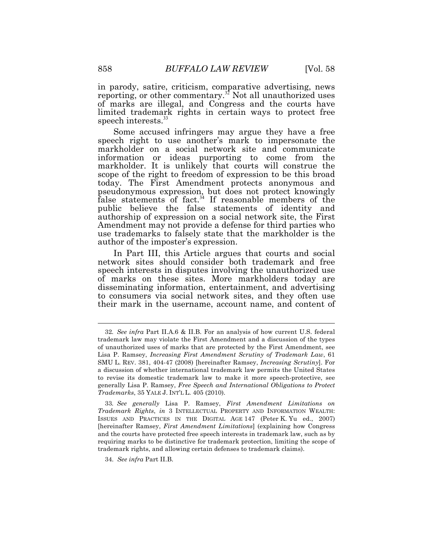in parody, satire, criticism, comparative advertising, news reporting, or other [commentary.](https://commentary.32)<sup>32</sup> Not all unauthorized uses of marks are illegal, and Congress and the courts have limited trademark rights in certain ways to protect free speech [interests.](https://interests.33)<sup>33</sup>

 Amendment may not provide a defense for third parties who Some accused infringers may argue they have a free speech right to use another's mark to impersonate the markholder on a social network site and communicate information or ideas purporting to come from the markholder. It is unlikely that courts will construe the scope of the right to freedom of expression to be this broad today. The First Amendment protects anonymous and pseudonymous expression, but does not protect knowingly false statements of fact.<sup>34</sup> If reasonable members of the public believe the false statements of identity and authorship of expression on a social network site, the First use trademarks to falsely state that the markholder is the author of the imposter's expression.

In Part III, this Article argues that courts and social network sites should consider both trademark and free speech interests in disputes involving the unauthorized use of marks on these sites. More markholders today are disseminating information, entertainment, and advertising to consumers via social network sites, and they often use their mark in the username, account name, and content of

34. *See infra* Part II.B.

 32*. See infra* Part II.A.6 & II.B. For an analysis of how current U.S. federal trademark law may violate the First Amendment and a discussion of the types of unauthorized uses of marks that are protected by the First Amendment, see Lisa P. Ramsey, *Increasing First Amendment Scrutiny of Trademark Law*, 61 SMU L. REV. 381, 404-47 (2008) [hereinafter Ramsey, *Increasing Scrutiny*]. For a discussion of whether international trademark law permits the United States to revise its domestic trademark law to make it more speech-protective, see generally Lisa P. Ramsey, *Free Speech and International Obligations to Protect Trademarks*, 35 YALE J. INT'L L. 405 (2010).

 33*. See generally* Lisa P. Ramsey, *First Amendment Limitations on Trademark Rights*, *in* 3 INTELLECTUAL PROPERTY AND INFORMATION WEALTH: ISSUES AND PRACTICES IN THE DIGITAL AGE 147 (Peter K. Yu ed., 2007) [hereinafter Ramsey, *First Amendment Limitations*] (explaining how Congress and the courts have protected free speech interests in trademark law, such as by requiring marks to be distinctive for trademark protection, limiting the scope of trademark rights, and allowing certain defenses to trademark claims).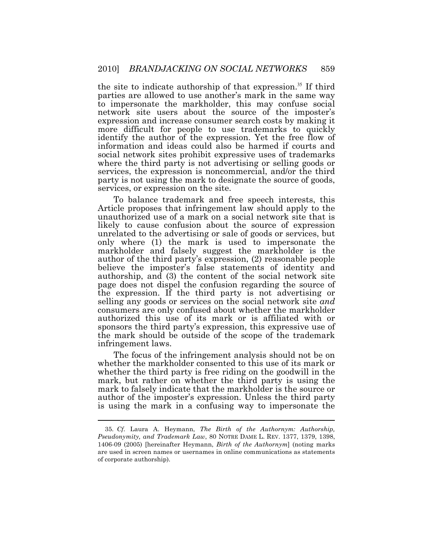the site to indicate authorship of that [expression.](https://expression.35)<sup>35</sup> If third parties are allowed to use another's mark in the same way to impersonate the markholder, this may confuse social network site users about the source of the imposter's expression and increase consumer search costs by making it more difficult for people to use trademarks to quickly identify the author of the expression. Yet the free flow of information and ideas could also be harmed if courts and social network sites prohibit expressive uses of trademarks where the third party is not advertising or selling goods or services, the expression is noncommercial, and/or the third party is not using the mark to designate the source of goods, services, or expression on the site.

To balance trademark and free speech interests, this Article proposes that infringement law should apply to the unauthorized use of a mark on a social network site that is likely to cause confusion about the source of expression unrelated to the advertising or sale of goods or services, but only where (1) the mark is used to impersonate the markholder and falsely suggest the markholder is the author of the third party's expression, (2) reasonable people believe the imposter's false statements of identity and authorship, and (3) the content of the social network site page does not dispel the confusion regarding the source of the expression. If the third party is not advertising or selling any goods or services on the social network site *and*  consumers are only confused about whether the markholder authorized this use of its mark or is affiliated with or sponsors the third party's expression, this expressive use of the mark should be outside of the scope of the trademark infringement laws.

The focus of the infringement analysis should not be on whether the markholder consented to this use of its mark or whether the third party is free riding on the goodwill in the mark, but rather on whether the third party is using the mark to falsely indicate that the markholder is the source or author of the imposter's expression. Unless the third party is using the mark in a confusing way to impersonate the

 *Pseudonymity, and Trademark Law*, 80 NOTRE DAME L. REV. 1377, 1379, 1398, 1406-09 (2005) [hereinafter Heymann, *Birth of the Authornym*] (noting marks are used in screen names or usernames in online communications as statements of corporate authorship). 35. *Cf.* Laura A. Heymann, *The Birth of the Authornym: Authorship,*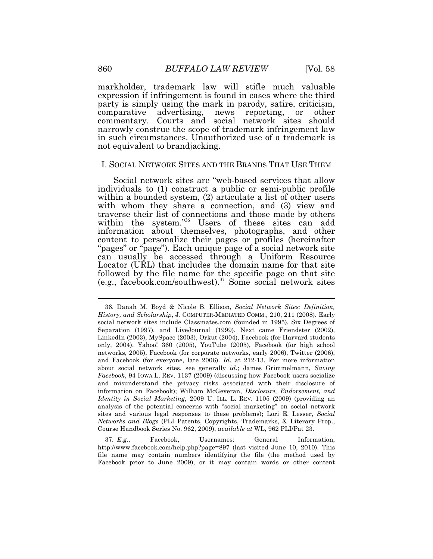markholder, trademark law will stifle much valuable expression if infringement is found in cases where the third party is simply using the mark in parody, satire, criticism, comparative advertising, news reporting, or other commentary. Courts and social network sites should narrowly construe the scope of trademark infringement law in such circumstances. Unauthorized use of a trademark is not equivalent to brandjacking.

#### I. SOCIAL NETWORK SITES AND THE BRANDS THAT USE THEM

Social network sites are "web-based services that allow individuals to (1) construct a public or semi-public profile within a bounded system, (2) articulate a list of other users with whom they share a connection, and (3) view and traverse their list of connections and those made by others within the system."<sup>36</sup> Users of these sites can add information about themselves, photographs, and other content to personalize their pages or profiles (hereinafter "pages" or "page"). Each unique page of a social network site can usually be accessed through a Uniform Resource Locator (URL) that includes the domain name for that site followed by the file name for the specific page on that site (e.g., facebook.com/southwest).<sup>37</sup> Some social network sites

 <http://www.facebook.com/help.php?page=897>(last visited June 10, 2010). This file name may contain numbers identifying the file (the method used by Facebook prior to June 2009), or it may contain words or other content 37. *E.g.*, Facebook, Usernames: General Information,

 *History, and Scholarship*, J. COMPUTER-MEDIATED COMM., 210, 211 (2008). Early social network sites include [Classmates.com](https://Classmates.com) (founded in 1995), Six Degrees of Separation (1997), and LiveJournal (1999). Next came Friendster (2002), LinkedIn (2003), MySpace (2003), Orkut (2004), Facebook (for Harvard students only, 2004), Yahoo! 360 (2005), YouTube (2005), Facebook (for high school networks, 2005), Facebook (for corporate networks, early 2006), Twitter (2006), and Facebook (for everyone, late 2006). *Id*. at 212-13. For more information about social network sites, see generally *id*.; James Grimmelmann, *Saving Facebook*, 94 IOWA L. REV. 1137 (2009) (discussing how Facebook users socialize and misunderstand the privacy risks associated with their disclosure of information on Facebook); William McGeveran, *Disclosure, Endorsement, and Identity in Social Marketing*, 2009 U. ILL. L. REV. 1105 (2009) (providing an analysis of the potential concerns with "social marketing" on social network sites and various legal responses to these problems); Lori E. Lesser, *Social Networks and Blogs* (PLI Patents, Copyrights, Trademarks, & Literary Prop., Course Handbook Series No. 962, 2009), *available at* WL, 962 PLI/Pat 23. 36. Danah M. Boyd & Nicole B. Ellison, *Social Network Sites: Definition,*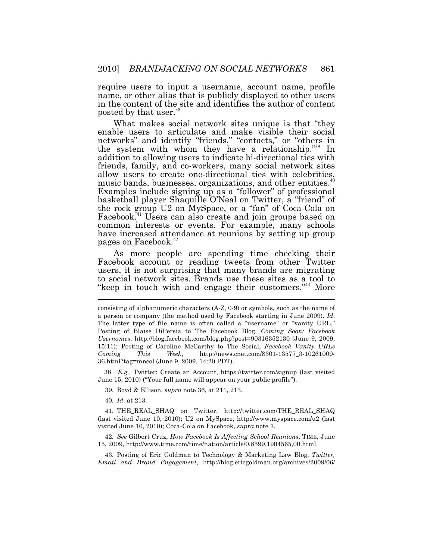require users to input a username, account name, profile name, or other alias that is publicly displayed to other users in the content of the site and identifies the author of content posted by that user.<sup>38</sup>

What makes social network sites unique is that "they enable users to articulate and make visible their social networks" and identify "friends," "contacts," or "others in the system with whom they have a relationship." $39$  In addition to allowing users to indicate bi-directional ties with friends, family, and co-workers, many social network sites Friends, Tanny, and contracts, the same directional ties with celebrities, music bands, businesses, organizations, and other [entities.](https://entities.40) Examples include signing up as a "follower" of professional basketball player Shaquille O'Neal on Twitter, a "friend" of the rock group U2 on MySpace, or a "fan" of Coca-Cola on [Facebook.](https://Facebook.41)<sup>41</sup> Users can also create and join groups based on common interests or events. For example, many schools have increased attendance at reunions by setting up group pages on [Facebook.](https://Facebook.42)<sup>42</sup>

 $\overline{a}$ As more people are spending time checking their Facebook account or reading tweets from other Twitter users, it is not surprising that many brands are migrating to social network sites. Brands use these sites as a tool to "keep in touch with and engage their customers."<sup>43</sup> More

 June 15, 2010) ("Your full name will appear on your public profile"). 38. *E.g.,* Twitter: Create an Account, <https://twitter.com/signup>(last visited

39. Boyd & Ellison, *supra* note 36, at 211, 213.

40*. Id*. at 213.

 (last visited June 10, 2010); U2 on MySpace, <http://www.myspace.com/u2>(last visited June 10, 2010); Coca-Cola on Facebook, *supra* note 7. 41. THE\_REAL\_SHAQ on Twitter, [http://twitter.com/THE\\_REAL\\_SHAQ](http://twitter.com/THE_REAL_SHAQ) 

 15, 2009,<http://www.time.com/time/nation/article/0,8599,1904565,00.html>. 42. *See* Gilbert Cruz, *How Facebook Is Affecting School Reunions*, TIME, June

 *Email and Brand Engagement*, <http://blog.ericgoldman.org/archives/2009/06>/ 43. Posting of Eric Goldman to Technology & Marketing Law Blog, *Twitter,* 

 consisting of alphanumeric characters (A-Z, 0-9) or symbols, such as the name of a person or company (the method used by Facebook starting in June 2009). *Id*. The latter type of file name is often called a "username" or "vanity URL." Posting of Blaise DiPersia to The Facebook Blog, *Coming Soon: Facebook Usernames*, <http://blog.facebook.com/blog.php?post=90316352130>(June 9, 2009, 15:11); Posting of Caroline McCarthy to The Social, *Facebook Vanity URLs Coming*  36.html?tag=mncol (June 9, 2009, 14:20 PDT). *Coming This Week*, [http://news.cnet.com/8301-13577\\_3-10261009-](http://news.cnet.com/8301-13577_3-10261009)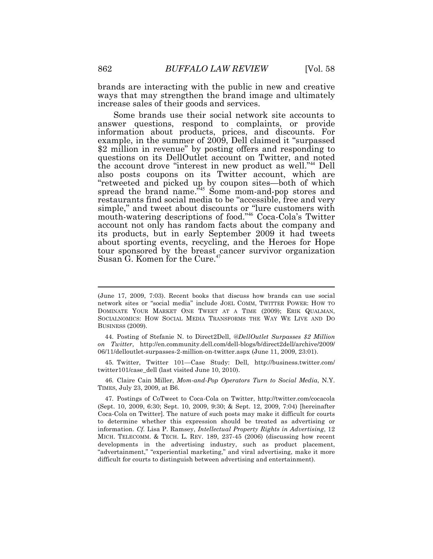brands are interacting with the public in new and creative ways that may strengthen the brand image and ultimately increase sales of their goods and services.

the account drove "interest in new product as well."<sup>44</sup> Dell Some brands use their social network site accounts to answer questions, respond to complaints, or provide information about products, prices, and discounts. For example, in the summer of 2009, Dell claimed it "surpassed \$2 million in revenue" by posting offers and responding to questions on its DellOutlet account on Twitter, and noted also posts coupons on its Twitter account, which are "retweeted and picked up by coupon sites—both of which spread the brand name.<sup> $345$ </sup> Some mom-and-pop stores and restaurants find social media to be "accessible, free and very simple," and tweet about discounts or "lure customers with mouth-watering descriptions of food."<sup>46</sup> Coca-Cola's Twitter account not only has random facts about the company and its products, but in early September 2009 it had tweets about sporting events, recycling, and the Heroes for Hope tour sponsored by the breast cancer survivor organization Susan G. Komen for the Cure.<sup>4</sup>

 twitter101/case\_dell (last visited June 10, 2010). 45. Twitter, Twitter 101—Case Study: Dell, <http://business.twitter.com>/

 TIMES, July 23, 2009, at B6. 46. Claire Cain Miller, *Mom-and-Pop Operators Turn to Social Media*, N.Y.

 (Sept. 10, 2009, 6:30; Sept. 10, 2009, 9:30; & Sept. 12, 2009, 7:04) [hereinafter Coca-Cola on Twitter]. The nature of such posts may make it difficult for courts to determine whether this expression should be treated as advertising or information. *Cf.* Lisa P. Ramsey, *Intellectual Property Rights in Advertising*, 12 MICH. TELECOMM. & TECH. L. REV. 189, 237-45 (2006) (discussing how recent developments in the advertising industry, such as product placement, "advertainment," "experiential marketing," and viral advertising, make it more difficult for courts to distinguish between advertising and entertainment). 47. Postings of CoTweet to Coca-Cola on Twitter, <http://twitter.com/cocacola>

 (June 17, 2009, 7:03). Recent books that discuss how brands can use social network sites or "social media" include JOEL COMM, TWITTER POWER: HOW TO DOMINATE YOUR MARKET ONE TWEET AT A TIME (2009); ERIK QUALMAN, SOCIALNOMICS: HOW SOCIAL MEDIA TRANSFORMS THE WAY WE LIVE AND DO BUSINESS (2009).

 06/11/delloutlet-surpasses-2-million-on-twitter.aspx (June 11, 2009, 23:01). 44. Posting of Stefanie N. to Direct2Dell, *@DellOutlet Surpasses \$2 Million on Twitter*, <http://en.community.dell.com/dell-blogs/b/direct2dell/archive/2009>/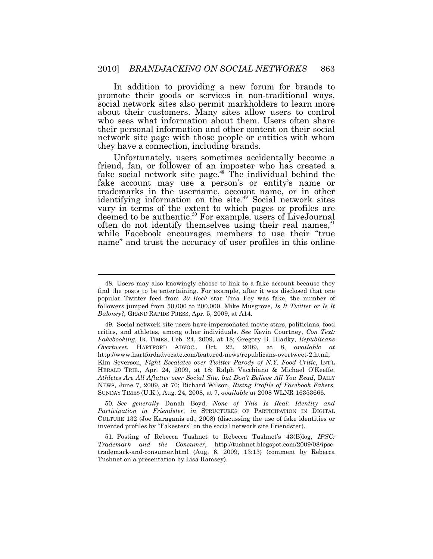In addition to providing a new forum for brands to promote their goods or services in non-traditional ways, social network sites also permit markholders to learn more about their customers. Many sites allow users to control who sees what information about them. Users often share their personal information and other content on their social network site page with those people or entities with whom they have a connection, including brands.

Unfortunately, users sometimes accidentally become a friend, fan, or follower of an imposter who has created a fake social network site page. $48$  The individual behind the fake account may use a person's or entity's name or trademarks in the username, account name, or in other identifying information on the site. $49$  Social network sites vary in terms of the extent to which pages or profiles are deemed to be [authentic.](https://authentic.50)<sup>50</sup> For example, users of LiveJournal often do not identify themselves using their real names,<sup>51</sup> while Facebook encourages members to use their "true name" and trust the accuracy of user profiles in this online

 $\overline{a}$ 

 50*. See generally* Danah Boyd, *None of This Is Real: Identity and Participation in Friendster*, *in* STRUCTURES OF PARTICIPATION IN DIGITAL CULTURE 132 (Joe Karaganis ed., 2008) (discussing the use of fake identities or invented profiles by "Fakesters" on the social network site Friendster).

 *Trademark and the Consumer*, [http://tushnet.blogspot.com/2009/08/ipsc-](http://tushnet.blogspot.com/2009/08/ipsc) trademark-and-consumer.html (Aug. 6, 2009, 13:13) (comment by Rebecca Tushnet on a presentation by Lisa Ramsey). 51. Posting of Rebecca Tushnet to Rebecca Tushnet's 43(B)log, *IPSC:* 

 find the posts to be entertaining. For example, after it was disclosed that one popular Twitter feed from *30 Rock* star Tina Fey was fake, the number of followers jumped from 50,000 to 200,000. Mike Musgrove, *Is It Twitter or Is It Baloney?*, GRAND RAPIDS PRESS, Apr. 5, 2009, at A14. 48. Users may also knowingly choose to link to a fake account because they

 critics, and athletes, among other individuals. *See* Kevin Courtney, *Con Text: Fakebooking*, IR. TIMES, Feb. 24, 2009, at 18; Gregory B. Hladky, *Republicans Overtweet*, HARTFORD ADVOC., Oct. 22, 2009, at 8, *available at*  Kim Severson, *Fight Escalates over Twitter Parody of N.Y. Food Critic*, INT'L HERALD TRIB., Apr. 24, 2009, at 18; Ralph Vacchiano & Michael O'Keeffe,  *Athletes Are All Aflutter over Social Site, but Don't Believe All You Read*, DAILY NEWS, June 7, 2009, at 70; Richard Wilson, *Rising Profile of Facebook Fakers,*  SUNDAY TIMES (U.K.), Aug. 24, 2008, at 7, *available at* 2008 WLNR 16353666. 49. Social network site users have impersonated movie stars, politicians, food <http://www.hartfordadvocate.com/featured-news/republicans-overtweet-2.html>;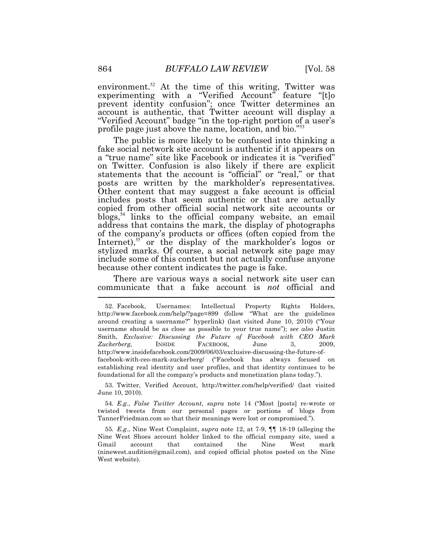[environment.](https://environment.52)<sup>52</sup> At the time of this writing, Twitter was experimenting with a "Verified Account" feature "[t]o prevent identity confusion"; once Twitter determines an account is authentic, that Twitter account will display a "Verified Account" badge "in the top-right portion of a user's profile page just above the name, location, and bio."<sup>53</sup>

The public is more likely to be confused into thinking a fake social network site account is authentic if it appears on a "true name" site like Facebook or indicates it is "verified" on Twitter. Confusion is also likely if there are explicit statements that the account is "official" or "real," or that posts are written by the markholder's representatives. Other content that may suggest a fake account is official includes posts that seem authentic or that are actually copied from other official social network site accounts or blogs,<sup>54</sup> links to the official company website, an email address that contains the mark, the display of photographs of the company's products or offices (often copied from the Internet),<sup>55</sup> or the display of the markholder's logos or stylized marks. Of course, a social network site page may include some of this content but not actually confuse anyone because other content indicates the page is fake.

 $\overline{a}$ There are various ways a social network site user can communicate that a fake account is *not* official and

 June 10, 2010). 53. Twitter, Verified Account, <http://twitter.com/help/verified>/ (last visited

 54*. E.g*., *False Twitter Account*, *supra* note 14 ("Most [posts] re-wrote or twisted tweets from our personal pages or portions of blogs from [TannerFriedman.com](https://TannerFriedman.com) so that their meanings were lost or compromised.").

 55*. E.g*., Nine West Complaint, *supra* note 12, at 7-9, ¶¶ 18-19 (alleging the Nine West Shoes account holder linked to the official company site, used a account [\(ninewest.audition@gmail.com](mailto:ninewest.audition@gmail.com)), and copied official photos posted on the Nine West website). Gmail account that contained the Nine West mark

 <http://www.facebook.com/help/?page=899>(follow "What are the guidelines around creating a username?" hyperlink) (last visited June 10, 2010) ("Your username should be as close as possible to your true name"); *see also* Justin  Smith, *Exclusive: Discussing the Future of Facebook with CEO Mark*  June facebook-with-ceo-mark-zuckerberg/ ("Facebook has always focused on establishing real identity and user profiles, and that identity continues to be foundational for all the company's products and monetization plans today."). 52. Facebook, Usernames: Intellectual Property Rights Holders, *Zuckerberg,* INSIDE FACEBOOK, June 3, 2009, <http://www.insidefacebook.com/2009/06/03/exclusive-discussing-the-future-of>-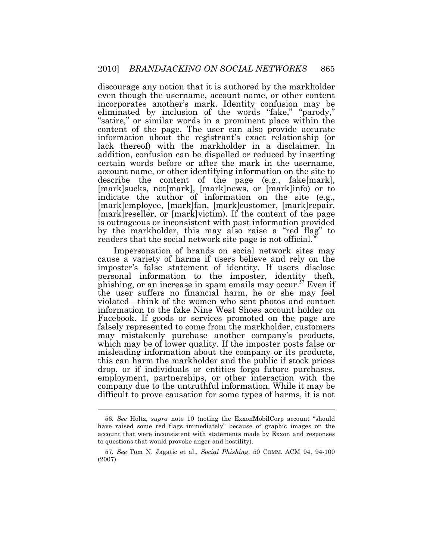discourage any notion that it is authored by the markholder even though the username, account name, or other content incorporates another's mark. Identity confusion may be eliminated by inclusion of the words "fake," "parody," "satire," or similar words in a prominent place within the content of the page. The user can also provide accurate information about the registrant's exact relationship (or lack thereof) with the markholder in a disclaimer. In addition, confusion can be dispelled or reduced by inserting certain words before or after the mark in the username, account name, or other identifying information on the site to describe the content of the page (e.g., fake[mark], [mark]sucks, not[mark], [mark]news, or [mark]info) or to indicate the author of information on the site (e.g., [mark]employee, [mark]fan, [mark]customer, [mark]repair, [mark]reseller, or [mark]victim). If the content of the page is outrageous or inconsistent with past information provided by the markholder, this may also raise a "red flag" to readers that the social network site page is not [official.](https://official.56)<sup>5</sup>

Impersonation of brands on social network sites may cause a variety of harms if users believe and rely on the imposter's false statement of identity. If users disclose personal information to the imposter, identity theft, phishing, or an increase in spam emails may occur.<sup> $57$ </sup> Even if the user suffers no financial harm, he or she may feel violated—think of the women who sent photos and contact information to the fake Nine West Shoes account holder on Facebook. If goods or services promoted on the page are falsely represented to come from the markholder, customers may mistakenly purchase another company's products, which may be of lower quality. If the imposter posts false or misleading information about the company or its products, this can harm the markholder and the public if stock prices drop, or if individuals or entities forgo future purchases, employment, partnerships, or other interaction with the company due to the untruthful information. While it may be difficult to prove causation for some types of harms, it is not

 56*. See* Holtz, *supra* note 10 (noting the ExxonMobilCorp account "should have raised some red flags immediately" because of graphic images on the account that were inconsistent with statements made by Exxon and responses to questions that would provoke anger and hostility).

 57*. See* Tom N. Jagatic et al., *Social Phishing*, 50 COMM. ACM 94, 94-100 (2007).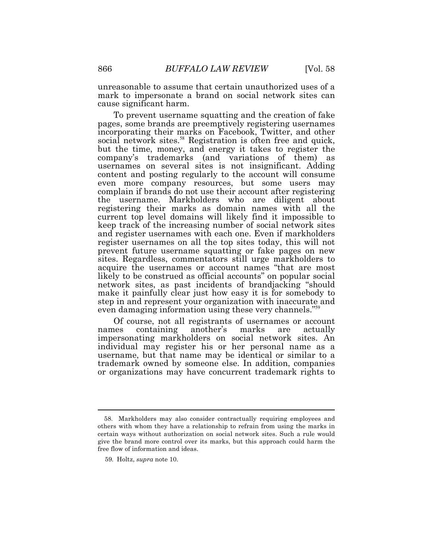unreasonable to assume that certain unauthorized uses of a mark to impersonate a brand on social network sites can cause significant harm.

To prevent username squatting and the creation of fake pages, some brands are preemptively registering usernames incorporating their marks on Facebook, Twitter, and other social network [sites.](https://sites.58)<sup>58</sup> Registration is often free and quick, but the time, money, and energy it takes to register the company's trademarks (and variations of them) as usernames on several sites is not insignificant. Adding content and posting regularly to the account will consume even more company resources, but some users may complain if brands do not use their account after registering the username. Markholders who are diligent about registering their marks as domain names with all the current top level domains will likely find it impossible to keep track of the increasing number of social network sites and register usernames with each one. Even if markholders register usernames on all the top sites today, this will not prevent future username squatting or fake pages on new sites. Regardless, commentators still urge markholders to acquire the usernames or account names "that are most likely to be construed as official accounts" on popular social network sites, as past incidents of brandjacking "should make it painfully clear just how easy it is for somebody to step in and represent your organization with inaccurate and even damaging information using these very channels."<sup>55</sup>

Of course, not all registrants of usernames or account names containing another's marks are actually impersonating markholders on social network sites. An individual may register his or her personal name as a username, but that name may be identical or similar to a trademark owned by someone else. In addition, companies or organizations may have concurrent trademark rights to

 others with whom they have a relationship to refrain from using the marks in certain ways without authorization on social network sites. Such a rule would give the brand more control over its marks, but this approach could harm the free flow of information and ideas. 58. Markholders may also consider contractually requiring employees and

 59*.* Holtz, *supra* note 10.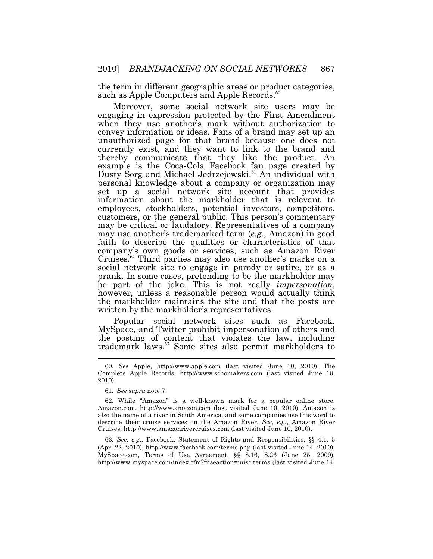the term in different geographic areas or product categories, such as Apple Computers and Apple [Records.](https://Records.60)<sup>60</sup>

Moreover, some social network site users may be engaging in expression protected by the First Amendment when they use another's mark without authorization to convey information or ideas. Fans of a brand may set up an unauthorized page for that brand because one does not currently exist, and they want to link to the brand and thereby communicate that they like the product. An example is the Coca-Cola Facebook fan page created by Dusty Sorg and Michael [Jedrzejewski.](https://Jedrzejewski.61)<sup>61</sup> An individual with personal knowledge about a company or organization may set up a social network site account that provides information about the markholder that is relevant to employees, stockholders, potential investors, competitors, customers, or the general public. This person's commentary may be critical or laudatory. Representatives of a company may use another's trademarked term (*e.g.*, Amazon) in good faith to describe the qualities or characteristics of that company's own goods or services, such as Amazon River [Cruises.](https://Cruises.62)<sup>62</sup> Third parties may also use another's marks on a social network site to engage in parody or satire, or as a prank. In some cases, pretending to be the markholder may be part of the joke. This is not really *impersonation*, however, unless a reasonable person would actually think the markholder maintains the site and that the posts are written by the markholder's representatives.

 $\overline{a}$ Popular social network sites such as Facebook, MySpace, and Twitter prohibit impersonation of others and the posting of content that violates the law, including trademark laws.<sup>63</sup> Some sites also permit markholders to

 63*. See, e.g*., Facebook, Statement of Rights and Responsibilities, §§ 4.1, 5 (Apr. 22, 2010), <http://www.facebook.com/terms.php>(last visited June 14, 2010); [MySpace.com,](https://MySpace.com) Terms of Use Agreement, §§ 8.16, 8.26 (June 25, 2009), <http://www.myspace.com/index.cfm?fuseaction=misc.terms> (last visited June 14,

 Complete Apple Records, <http://www.schomakers.com> (last visited June 10, 60. *See* Apple, <http://www.apple.com> (last visited June 10, 2010); The 2010).

 61*. See supra* note 7.

 [Amazon.com](https://Amazon.com), <http://www.amazon.com>(last visited June 10, 2010), Amazon is also the name of a river in South America, and some companies use this word to describe their cruise services on the Amazon River. *See, e.g.*, Amazon River Cruises, <http://www.amazonrivercruises.com> (last visited June 10, 2010). 62. While "Amazon" is a well-known mark for a popular online store,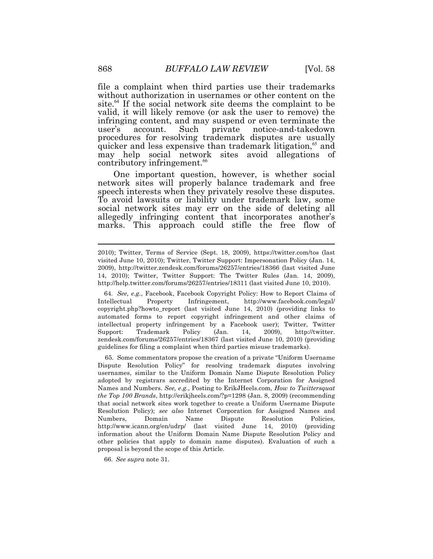file a complaint when third parties use their trademarks without authorization in usernames or other content on the site.<sup>64</sup> If the social network site deems the complaint to be valid, it will likely remove (or ask the user to remove) the infringing content, and may suspend or even terminate the user's account. Such private notice-and-takedown procedures for resolving trademark disputes are usually quicker and less expensive than trademark litigation,<sup>65</sup> and may help social network sites avoid allegations of contributory [infringement.](https://infringement.66)<sup>66</sup>

One important question, however, is whether social network sites will properly balance trademark and free speech interests when they privately resolve these disputes. To avoid lawsuits or liability under trademark law, some social network sites may err on the side of deleting all allegedly infringing content that incorporates another's marks. This approach could stifle the free flow of

 copyright.php?howto\_report (last visited June 14, 2010) (providing links to automated forms to report copyright infringement and other claims of intellectual property infringement by a Facebook user); Twitter, Twitter Trademark [zendesk.com/forums/26257/entries/18367](https://zendesk.com/forums/26257/entries/18367) (last visited June 10, 2010) (providing guidelines for filing a complaint when third parties misuse trademarks). 64. *See, e.g.*, Facebook, Facebook Copyright Policy: How to Report Claims of Intellectual Property Infringement, <http://www.facebook.com/legal>/ Support: Trademark Policy (Jan. 14, 2009), <http://twitter>.

 Dispute Resolution Policy" for resolving trademark disputes involving usernames, similar to the Uniform Domain Name Dispute Resolution Policy adopted by registrars accredited by the Internet Corporation for Assigned Names and Numbers. *See, e.g.*, Posting to [ErikJHeels.com,](https://ErikJHeels.com) *How to Twittersquat the Top 100 Brands*,<http://erikjheels.com/?p=1298>(Jan. 8, 2009) (recommending that social network sites work together to create a Uniform Username Dispute Resolution Policy); *see also* Internet Corporation for Assigned Names and <http://www.icann.org/en/udrp>/ (last visited June 14, 2010) (providing information about the Uniform Domain Name Dispute Resolution Policy and other policies that apply to domain name disputes). Evaluation of such a proposal is beyond the scope of this Article. 65. Some commentators propose the creation of a private "Uniform Username Numbers, Domain Name Dispute Resolution Policies,

66. *See supra* note 31.

 2010); Twitter, Terms of Service (Sept. 18, 2009), <https://twitter.com/tos>(last visited June 10, 2010); Twitter, Twitter Support: Impersonation Policy (Jan. 14, 2009), <http://twitter.zendesk.com/forums/26257/entries/18366> (last visited June 14, 2010); Twitter, Twitter Support: The Twitter Rules (Jan. 14, 2009), <http://help.twitter.com/forums/26257/entries/18311> (last visited June 10, 2010).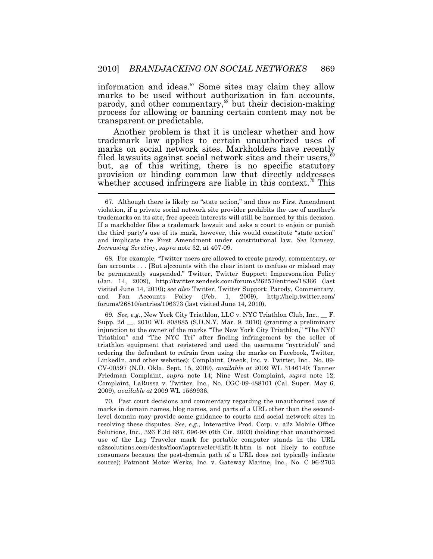parody, and other commentary,<sup>68</sup> but their decision-making information and [ideas.](https://ideas.67) $67$  Some sites may claim they allow marks to be used without authorization in fan accounts, process for allowing or banning certain content may not be transparent or predictable.

 $\overline{a}$ Another problem is that it is unclear whether and how trademark law applies to certain unauthorized uses of marks on social network sites. Markholders have recently filed lawsuits against social network sites and their users, $\degree$ but, as of this writing, there is no specific statutory provision or binding common law that directly addresses whether accused infringers are liable in this [context.](https://context.70)<sup>70</sup> This

 fan accounts . . . [But a]ccounts with the clear intent to confuse or mislead may be permanently suspended." Twitter, Twitter Support: Impersonation Policy (Jan. 14, 2009), <http://twitter.zendesk.com/forums/26257/entries/18366>(last visited June 14, 2010); *see also* Twitter, Twitter Support: Parody, Commentary, and forums/26810/entries/106373 (last visited June 14, 2010). 68. For example, "Twitter users are allowed to create parody, commentary, or and Fan Accounts Policy (Feb. 1, 2009), <http://help.twitter.com>/

 Supp. 2d \_\_, 2010 WL 808885 (S.D.N.Y. Mar. 9, 2010) (granting a preliminary injunction to the owner of the marks "The New York City Triathlon," "The NYC Triathlon" and "The NYC Tri" after finding infringement by the seller of triathlon equipment that registered and used the username "nyctriclub" and ordering the defendant to refrain from using the marks on Facebook, Twitter, LinkedIn, and other websites); Complaint, Oneok, Inc. v. Twitter, Inc., No. 09- CV-00597 (N.D. Okla. Sept. 15, 2009), *available at* 2009 WL 3146140; Tanner Friedman Complaint, *supra* note 14; Nine West Complaint, *supra* note 12; Complaint, LaRussa v. Twitter, Inc., No. CGC-09-488101 (Cal. Super. May 6, 2009), *available at* 2009 WL 1569936. 69. *See, e.g.*, New York City Triathlon, LLC v. NYC Triathlon Club, Inc., \_\_ F.

 marks in domain names, blog names, and parts of a URL other than the second- level domain may provide some guidance to courts and social network sites in resolving these disputes. *See, e.g*., Interactive Prod. Corp. v. a2z Mobile Office Solutions, Inc., 326 F.3d 687, 696-98 (6th Cir. 2003) (holding that unauthorized use of the Lap Traveler mark for portable computer stands in the URL [a2zsolutions.com/desks/floor/laptraveler/dkflt-lt.htm](https://a2zsolutions.com/desks/floor/laptraveler/dkflt-lt.htm) is not likely to confuse consumers because the post-domain path of a URL does not typically indicate source); Patmont Motor Werks, Inc. v. Gateway Marine, Inc., No. C 96-2703 70. Past court decisions and commentary regarding the unauthorized use of

 violation, if a private social network site provider prohibits the use of another's trademarks on its site, free speech interests will still be harmed by this decision. If a markholder files a trademark lawsuit and asks a court to enjoin or punish the third party's use of its mark, however, this would constitute "state action" and implicate the First Amendment under constitutional law. *See* Ramsey, *Increasing Scrutiny*, *supra* note 32, at 407-09. 67. Although there is likely no "state action," and thus no First Amendment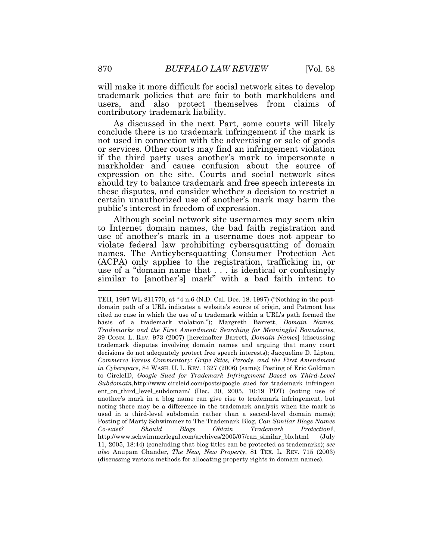will make it more difficult for social network sites to develop trademark policies that are fair to both markholders and users, and also protect themselves from claims of contributory trademark liability.

As discussed in the next Part, some courts will likely conclude there is no trademark infringement if the mark is not used in connection with the advertising or sale of goods or services. Other courts may find an infringement violation if the third party uses another's mark to impersonate a markholder and cause confusion about the source of expression on the site. Courts and social network sites should try to balance trademark and free speech interests in these disputes, and consider whether a decision to restrict a certain unauthorized use of another's mark may harm the public's interest in freedom of expression.

 $\overline{a}$ Although social network site usernames may seem akin to Internet domain names, the bad faith registration and use of another's mark in a username does not appear to violate federal law prohibiting cybersquatting of domain names. The Anticybersquatting Consumer Protection Act (ACPA) only applies to the registration, trafficking in, or use of a "domain name that . . . is identical or confusingly similar to [another's] mark" with a bad faith intent to

 TEH, 1997 WL 811770, at \*4 n.6 (N.D. Cal. Dec. 18, 1997) ("Nothing in the post- domain path of a URL indicates a website's source of origin, and Patmont has cited no case in which the use of a trademark within a URL's path formed the basis of a trademark violation."); Margreth Barrett, *Domain Names, Trademarks and the First Amendment: Searching for Meaningful Boundaries*, 39 CONN. L. REV. 973 (2007) [hereinafter Barrett, *Domain Names*] (discussing trademark disputes involving domain names and arguing that many court decisions do not adequately protect free speech interests); Jacqueline D. Lipton,  *Commerce Versus Commentary: Gripe Sites, Parody, and the First Amendment in Cyberspace*, 84 WASH. U. L. REV. 1327 (2006) (same); Posting of Eric Goldman to CircleID, *Google Sued for Trademark Infringement Based on Third-Level*  ent\_on\_third\_level\_subdomain/ (Dec. 30, 2005, 10:19 PDT) (noting use of another's mark in a blog name can give rise to trademark infringement, but noting there may be a difference in the trademark analysis when the mark is used in a third-level subdomain rather than a second-level domain name); Posting of Marty Schwimmer to The Trademark Blog, *Can Similar Blogs Names*  [http://www.schwimmerlegal.com/archives/2005/07/can\\_similar\\_blo.html](http://www.schwimmerlegal.com/archives/2005/07/can_similar_blo.html) (July 11, 2005, 18:44) (concluding that blog titles can be protected as trademarks); *see also* Anupam Chander, *The New, New Property*, 81 TEX. L. REV. 715 (2003) (discussing various methods for allocating property rights in domain names). *Subdomain*[,http://www.circleid.com/posts/google\\_sued\\_for\\_trademark\\_infringem](https://Subdomain,http://www.circleid.com/posts/google_sued_for_trademark_infringem)  *Co-exist? Should Blogs Obtain Trademark Protection?*,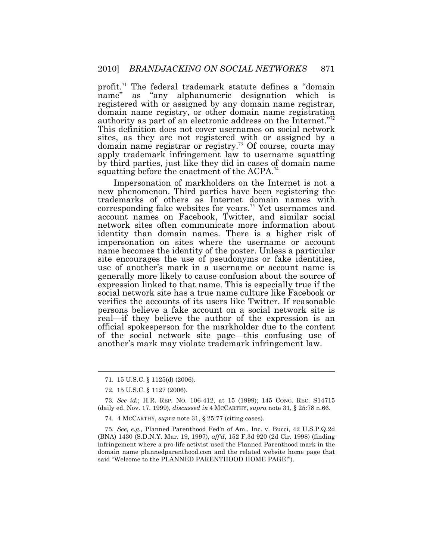[profit.](https://profit.71)<sup>71</sup> The federal trademark statute defines a "domain" name" as "any alphanumeric designation which is registered with or assigned by any domain name registrar, domain name registry, or other domain name registration authority as part of an electronic address on the Internet."<sup>72</sup> This definition does not cover usernames on social network sites, as they are not registered with or assigned by a domain name registrar or [registry.](https://registry.73)<sup>73</sup> Of course, courts may apply trademark infringement law to username squatting by third parties, just like they did in cases of domain name squatting before the enactment of the  $\text{ACPA.}^{\eta}$ 

Impersonation of markholders on the Internet is not a new phenomenon. Third parties have been registering the trademarks of others as Internet domain names with corresponding fake websites for years.<sup>75</sup> Yet usernames and account names on Facebook, Twitter, and similar social network sites often communicate more information about identity than domain names. There is a higher risk of impersonation on sites where the username or account name becomes the identity of the poster. Unless a particular site encourages the use of pseudonyms or fake identities, use of another's mark in a username or account name is generally more likely to cause confusion about the source of expression linked to that name. This is especially true if the social network site has a true name culture like Facebook or verifies the accounts of its users like Twitter. If reasonable persons believe a fake account on a social network site is real—if they believe the author of the expression is an official spokesperson for the markholder due to the content of the social network site page—this confusing use of another's mark may violate trademark infringement law.

<sup>71. 15</sup> U.S.C. § 1125(d) (2006).

<sup>72. 15</sup> U.S.C. § 1127 (2006).

 73*. See id.*; H.R. REP. NO. 106-412, at 15 (1999); 145 CONG. REC. S14715 (daily ed. Nov. 17, 1999), *discussed in* 4 MCCARTHY, *supra* note 31, § 25:78 n.66.

<sup>74. 4</sup> MCCARTHY, *supra* note 31, § 25:77 (citing cases).

 (BNA) 1430 (S.D.N.Y. Mar. 19, 1997), *aff'd*, 152 F.3d 920 (2d Cir. 1998) (finding infringement where a pro-life activist used the Planned Parenthood mark in the domain name [plannedparenthood.com](https://plannedparenthood.com) and the related website home page that said "Welcome to the PLANNED PARENTHOOD HOME PAGE!"). 75. *See, e.g.,* Planned Parenthood Fed'n of Am., Inc. v. Bucci, 42 [U.S.P.Q.2d](https://U.S.P.Q.2d)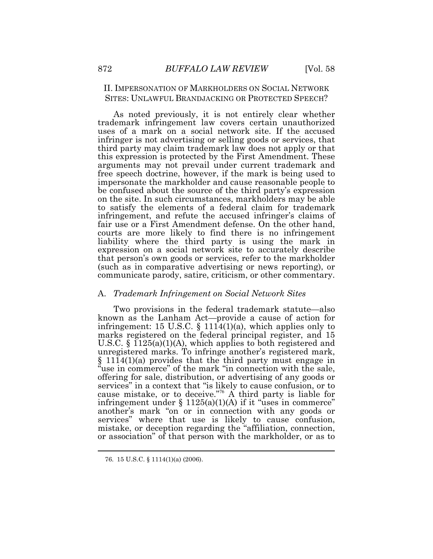# II. IMPERSONATION OF MARKHOLDERS ON SOCIAL NETWORK SITES: UNLAWFUL BRANDJACKING OR PROTECTED SPEECH?

As noted previously, it is not entirely clear whether trademark infringement law covers certain unauthorized uses of a mark on a social network site. If the accused infringer is not advertising or selling goods or services, that third party may claim trademark law does not apply or that this expression is protected by the First Amendment. These arguments may not prevail under current trademark and free speech doctrine, however, if the mark is being used to impersonate the markholder and cause reasonable people to be confused about the source of the third party's expression on the site. In such circumstances, markholders may be able to satisfy the elements of a federal claim for trademark infringement, and refute the accused infringer's claims of fair use or a First Amendment defense. On the other hand, courts are more likely to find there is no infringement liability where the third party is using the mark in expression on a social network site to accurately describe that person's own goods or services, refer to the markholder (such as in comparative advertising or news reporting), or communicate parody, satire, criticism, or other commentary.

# A. *Trademark Infringement on Social Network Sites*

Two provisions in the federal trademark statute—also known as the Lanham Act—provide a cause of action for infringement: 15 U.S.C.  $\S$  1114(1)(a), which applies only to marks registered on the federal principal register, and 15 U.S.C. § 1125(a)(1)(A), which applies to both registered and unregistered marks. To infringe another's registered mark,  $§$  1114(1)(a) provides that the third party must engage in "use in commerce" of the mark "in connection with the sale, offering for sale, distribution, or advertising of any goods or services" in a context that "is likely to cause confusion, or to cause mistake, or to deceive."<sup>76</sup> A third party is liable for infringement under  $\S 1125(a)(1)(A)$  if it "uses in commerce" another's mark "on or in connection with any goods or services" where that use is likely to cause confusion, mistake, or deception regarding the "affiliation, connection, or association" of that person with the markholder, or as to

<sup>76. 15</sup> U.S.C. § 1114(1)(a) (2006).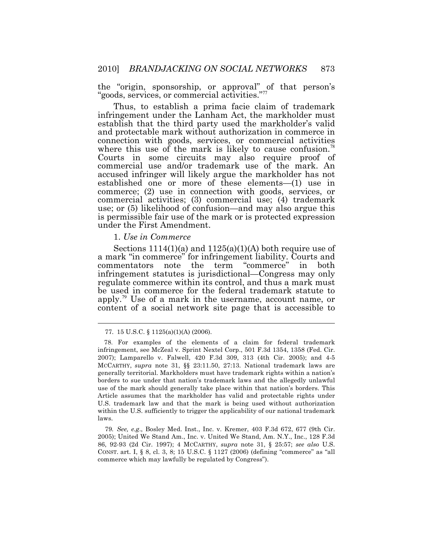the "origin, sponsorship, or approval" of that person's "goods, services, or commercial activities."

Thus, to establish a prima facie claim of trademark infringement under the Lanham Act, the markholder must establish that the third party used the markholder's valid and protectable mark without authorization in commerce in connection with goods, services, or commercial activities where this use of the mark is likely to cause [confusion.](https://confusion.78) Courts in some circuits may also require proof of commercial use and/or trademark use of the mark. An accused infringer will likely argue the markholder has not established one or more of these elements—(1) use in commerce; (2) use in connection with goods, services, or commercial activities; (3) commercial use; (4) trademark use; or (5) likelihood of confusion—and may also argue this is permissible fair use of the mark or is protected expression under the First Amendment.

1. *Use in Commerce* 

Sections  $1114(1)(a)$  and  $1125(a)(1)(A)$  both require use of [apply.](https://apply.79)<sup>79</sup> Use of a mark in the username, account name, or a mark "in commerce" for infringement liability. Courts and commentators note the term "commerce" in both infringement statutes is jurisdictional—Congress may only regulate commerce within its control, and thus a mark must be used in commerce for the federal trademark statute to content of a social network site page that is accessible to

<sup>77. 15</sup> U.S.C. § 1125(a)(1)(A) (2006).

 infringement, see McZeal v. Sprint Nextel Corp., 501 F.3d 1354, 1358 (Fed. Cir. 2007); Lamparello v. Falwell, 420 F.3d 309, 313 (4th Cir. 2005); and 4-5 MCCARTHY, *supra* note 31, §§ [23:11.50,](https://23:11.50) 27:13. National trademark laws are generally territorial. Markholders must have trademark rights within a nation's borders to sue under that nation's trademark laws and the allegedly unlawful use of the mark should generally take place within that nation's borders. This Article assumes that the markholder has valid and protectable rights under U.S. trademark law and that the mark is being used without authorization within the U.S. sufficiently to trigger the applicability of our national trademark 78. For examples of the elements of a claim for federal trademark laws.

 79*. See, e.g*., Bosley Med. Inst., Inc. v. Kremer, 403 F.3d 672, 677 (9th Cir. 2005); United We Stand Am., Inc. v. United We Stand, Am. N.Y., Inc., 128 F.3d 86, 92-93 (2d Cir. 1997); 4 MCCARTHY, *supra* note 31, § 25:57; *see also* U.S. CONST. art. I, § 8, cl. 3, 8; 15 U.S.C. § 1127 (2006) (defining "commerce" as "all commerce which may lawfully be regulated by Congress").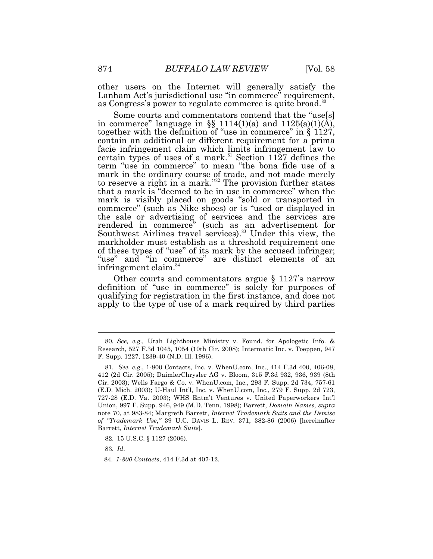other users on the Internet will generally satisfy the Lanham Act's jurisdictional use "in commerce" requirement, as Congress's power to regulate commerce is quite [broad.](https://broad.80)<sup>80</sup>

in commerce" language in §§ 1114(1)(a) and  $1125(a)(1)(\overline{A})$ , Some courts and commentators contend that the "use[s] together with the definition of "use in commerce" in § 1127, contain an additional or different requirement for a prima facie infringement claim which limits infringement law to certain types of uses of a mark.<sup>81</sup> Section 1127 defines the term "use in commerce" to mean "the bona fide use of a mark in the ordinary course of trade, and not made merely to reserve a right in a mark." $82$  The provision further states that a mark is "deemed to be in use in commerce" when the mark is visibly placed on goods "sold or transported in commerce" (such as Nike shoes) or is "used or displayed in the sale or advertising of services and the services are rendered in commerce" (such as an advertisement for Southwest Airlines travel [services\).](https://services).83)<sup>83</sup> Under this view, the markholder must establish as a threshold requirement one of these types of "use" of its mark by the accused infringer; "use" and "in commerce" are distinct elements of an infringement [claim.](https://claim.84)<sup>84</sup>

 Other courts and commentators argue § 1127's narrow definition of "use in commerce" is solely for purposes of qualifying for registration in the first instance, and does not apply to the type of use of a mark required by third parties

83. *Id*.

 80*. See, e.g.,* Utah Lighthouse Ministry v. Found. for Apologetic Info. & Research, 527 F.3d 1045, 1054 (10th Cir. 2008); Intermatic Inc. v. Toeppen, 947 F. Supp. 1227, 1239-40 (N.D. Ill. 1996).

 412 (2d Cir. 2005); DaimlerChrysler AG v. Bloom, 315 F.3d 932, 936, 939 (8th Cir. 2003); Wells Fargo & Co. v. [WhenU.com,](https://WhenU.com) Inc., 293 F. Supp. 2d 734, 757-61 (E.D. Mich. 2003); U-Haul Int'l, Inc. v. [WhenU.com](https://WhenU.com), Inc., 279 F. Supp. 2d 723, 727-28 (E.D. Va. 2003); WHS Entm't Ventures v. United Paperworkers Int'l Union, 997 F. Supp. 946, 949 (M.D. Tenn. 1998); Barrett, *Domain Names, supra*  note 70, at 983-84; Margreth Barrett, *Internet Trademark Suits and the Demise of "Trademark Use*,*"* 39 U.C. DAVIS L. REV. 371, 382-86 (2006) [hereinafter 81. *See, e.g*., 1-800 Contacts, Inc. v. [WhenU.com](https://WhenU.com), Inc., 414 F.3d 400, 406-08, Barrett, *Internet Trademark Suits*]. 82. 15 U.S.C. § 1127 (2006).

<sup>84.</sup> *1-800 Contacts*, 414 F.3d at 407-12.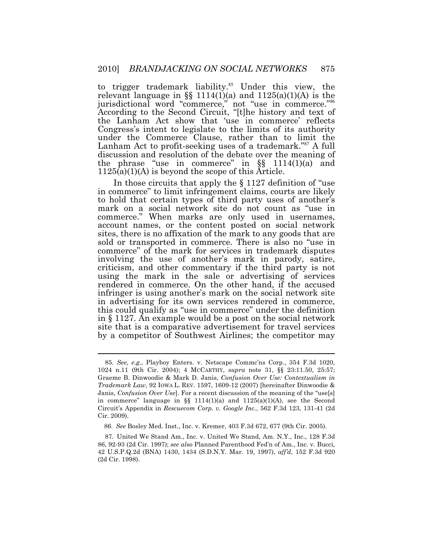relevant language in §§ 1114(1)(a) and 1125(a)(1)(A) is the to trigger trademark [liability.](https://liability.85)<sup>85</sup> Under this view, the jurisdictional word "commerce," not "use in commerce."<sup>86</sup> According to the Second Circuit, "[t]he history and text of the Lanham Act show that 'use in commerce' reflects Congress's intent to legislate to the limits of its authority under the Commerce Clause, rather than to limit the Lanham Act to profit-seeking uses of a trademark."<sup>87</sup> A full discussion and resolution of the debate over the meaning of the phrase "use in commerce" in  $\S$ [§ 1114(1)(a) and  $1125(a)(1)(A)$  is beyond the scope of this Article.

In those circuits that apply the  $\S 1127$  definition of "use in commerce" to limit infringement claims, courts are likely to hold that certain types of third party uses of another's mark on a social network site do not count as "use in commerce." When marks are only used in usernames, account names, or the content posted on social network sites, there is no affixation of the mark to any goods that are sold or transported in commerce. There is also no "use in commerce" of the mark for services in trademark disputes involving the use of another's mark in parody, satire, criticism, and other commentary if the third party is not using the mark in the sale or advertising of services rendered in commerce. On the other hand, if the accused infringer is using another's mark on the social network site in advertising for its own services rendered in commerce, this could qualify as "use in commerce" under the definition in § 1127. An example would be a post on the social network site that is a comparative advertisement for travel services by a competitor of Southwest Airlines; the competitor may

 85*. See, e.g.,* Playboy Enters. v. Netscape Commc'ns Corp., 354 F.3d 1020, 1024 n.11 (9th Cir. 2004); 4 MCCARTHY, *supra* note 31, §§ [23:11.50](https://23:11.50), 25:57; Graeme B. Dinwoodie & Mark D. Janis, *Confusion Over Use: Contextualism in Trademark Law*, 92 IOWA L. REV. 1597, 1609-12 (2007) [hereinafter Dinwoodie & Janis, *Confusion Over Use*]. For a recent discussion of the meaning of the "use[s] in commerce" language in  $\S$  1114(1)(a) and 1125(a)(1)(A), see the Second Circuit's Appendix in *Rescuecom Corp. v. Google Inc.*, 562 F.3d 123, 131-41 (2d Cir. 2009).

<sup>86.</sup> *See* Bosley Med. Inst., Inc. v. Kremer, 403 F.3d 672, 677 (9th Cir. 2005).

 87*.* United We Stand Am., Inc. v. United We Stand, Am. N.Y., Inc., 128 F.3d 86, 92-93 (2d Cir. 1997); *see also* Planned Parenthood Fed'n of Am., Inc. v. Bucci, 42 [U.S.P.Q.2d](https://U.S.P.Q.2d) (BNA) 1430, 1434 (S.D.N.Y. Mar. 19, 1997), *aff'd*, 152 F.3d 920 (2d Cir. 1998).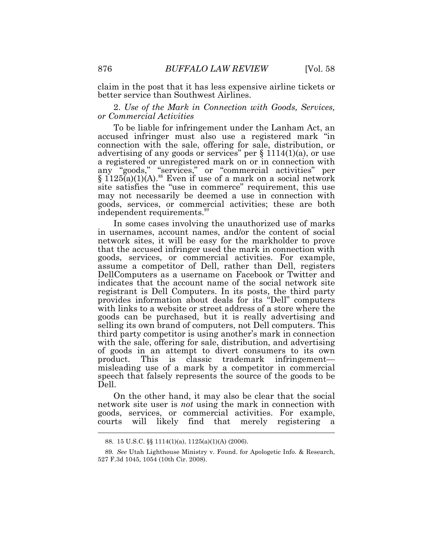claim in the post that it has less expensive airline tickets or better service than Southwest Airlines.

 *or Commercial Activities* 2. *Use of the Mark in Connection with Goods, Services,* 

 any "goods," "services," or "commercial activities" per To be liable for infringement under the Lanham Act, an accused infringer must also use a registered mark "in connection with the sale, offering for sale, distribution, or advertising of any goods or services" per § 1114(1)(a), or use a registered or unregistered mark on or in connection with  $\S$  [1125\(a\)\(1\)\(A\).](https://1125(a)(1)(A).88)<sup>88</sup> Even if use of a mark on a social network site satisfies the "use in commerce" requirement, this use may not necessarily be deemed a use in connection with goods, services, or commercial activities; these are both independent [requirements.](https://requirements.89)<sup>89</sup>

In some cases involving the unauthorized use of marks in usernames, account names, and/or the content of social network sites, it will be easy for the markholder to prove that the accused infringer used the mark in connection with goods, services, or commercial activities. For example, assume a competitor of Dell, rather than Dell, registers DellComputers as a username on Facebook or Twitter and indicates that the account name of the social network site registrant is Dell Computers. In its posts, the third party provides information about deals for its "Dell" computers with links to a website or street address of a store where the goods can be purchased, but it is really advertising and selling its own brand of computers, not Dell computers. This third party competitor is using another's mark in connection with the sale, offering for sale, distribution, and advertising of goods in an attempt to divert consumers to its own product. This is classic trademark infringement misleading use of a mark by a competitor in commercial speech that falsely represents the source of the goods to be Dell.

 $\overline{a}$ On the other hand, it may also be clear that the social network site user is *not* using the mark in connection with goods, services, or commercial activities. For example, courts will likely find that merely registering a

<sup>88. 15</sup> U.S.C. §§ 1114(1)(a), 1125(a)(1)(A) (2006).

 89*. See* Utah Lighthouse Ministry v. Found. for Apologetic Info. & Research, 527 F.3d 1045, 1054 (10th Cir. 2008).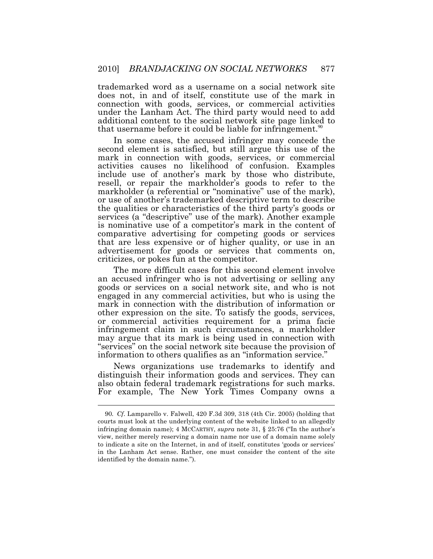trademarked word as a username on a social network site does not, in and of itself, constitute use of the mark in connection with goods, services, or commercial activities under the Lanham Act. The third party would need to add additional content to the social network site page linked to that username before it could be liable for [infringement.](https://infringement.90)<sup>90</sup>

In some cases, the accused infringer may concede the second element is satisfied, but still argue this use of the mark in connection with goods, services, or commercial activities causes no likelihood of confusion. Examples include use of another's mark by those who distribute, resell, or repair the markholder's goods to refer to the markholder (a referential or "nominative" use of the mark), or use of another's trademarked descriptive term to describe the qualities or characteristics of the third party's goods or services (a "descriptive" use of the mark). Another example is nominative use of a competitor's mark in the content of comparative advertising for competing goods or services that are less expensive or of higher quality, or use in an advertisement for goods or services that comments on, criticizes, or pokes fun at the competitor.

The more difficult cases for this second element involve an accused infringer who is not advertising or selling any goods or services on a social network site, and who is not engaged in any commercial activities, but who is using the mark in connection with the distribution of information or other expression on the site. To satisfy the goods, services, or commercial activities requirement for a prima facie infringement claim in such circumstances, a markholder may argue that its mark is being used in connection with "services" on the social network site because the provision of information to others qualifies as an "information service."

News organizations use trademarks to identify and distinguish their information goods and services. They can also obtain federal trademark registrations for such marks. For example, The New York Times Company owns a

 90*. Cf*. Lamparello v. Falwell, 420 F.3d 309, 318 (4th Cir. 2005) (holding that courts must look at the underlying content of the website linked to an allegedly infringing domain name); 4 MCCARTHY, *supra* note 31, § 25:76 ("In the author's view, neither merely reserving a domain name nor use of a domain name solely to indicate a site on the Internet, in and of itself, constitutes 'goods or services' in the Lanham Act sense. Rather, one must consider the content of the site identified by the domain name.").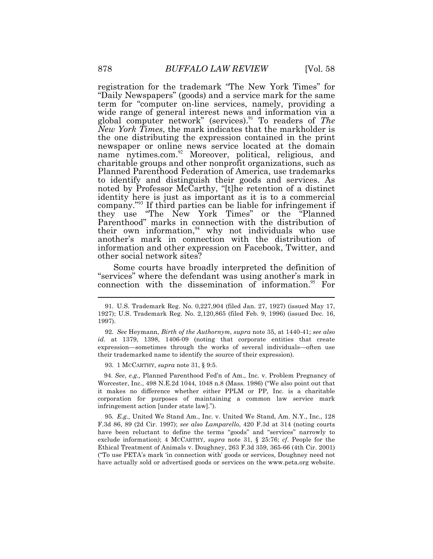registration for the trademark "The New York Times" for "Daily Newspapers" (goods) and a service mark for the same term for "computer on-line services, namely, providing a wide range of general interest news and information via a global computer network" ([services\).](https://services).91)<sup>91</sup> To readers of *The New York Times*, the mark indicates that the markholder is the one distributing the expression contained in the print newspaper or online news service located at the domain name nytimes.com. $^{92}$  Moreover, political, religious, and charitable groups and other nonprofit organizations, such as Planned Parenthood Federation of America, use trademarks to identify and distinguish their goods and services. As noted by Professor McCarthy, "[t]he retention of a distinct identity here is just as important as it is to a commercial company."<sup>93</sup> If third parties can be liable for infringement if they use "The New York Times" or the "Planned Parenthood" marks in connection with the distribution of their own information, $94$  why not individuals who use another's mark in connection with the distribution of information and other expression on Facebook, Twitter, and other social network sites?

Some courts have broadly interpreted the definition of "services" where the defendant was using another's mark in connection with the dissemination of [information.](https://information.95)<sup>95</sup> For

93. 1 MCCARTHY, *supra* note 31, § 9:5.

 Worcester, Inc., 498 N.E.2d 1044, 1048 n.8 (Mass. 1986) ("We also point out that it makes no difference whether either PPLM or PP, Inc. is a charitable corporation for purposes of maintaining a common law service mark infringement action [under state law]."). 94. *See*, *e.g.,* Planned Parenthood Fed'n of Am., Inc. v. Problem Pregnancy of

 95*. E.g.,* United We Stand Am., Inc. v. United We Stand, Am. N.Y., Inc., 128 F.3d 86, 89 (2d Cir. 1997); *see also Lamparello*, 420 F.3d at 314 (noting courts have been reluctant to define the terms "goods" and "services" narrowly to exclude information); 4 MCCARTHY, *supra* note 31, § 25:76; *cf*. People for the Ethical Treatment of Animals v. Doughney, 263 F.3d 359, 365-66 (4th Cir. 2001) ("To use PETA's mark 'in connection with' goods or services, Doughney need not have actually sold or advertised goods or services on the <www.peta.org>website.

 1927); U.S. Trademark Reg. No. 2,120,865 (filed Feb. 9, 1996) (issued Dec. 16, 91. U.S. Trademark Reg. No. 0,227,904 (filed Jan. 27, 1927) (issued May 17, 1997).

 *id.* at 1379, 1398, 1406-09 (noting that corporate entities that create expression—sometimes through the works of several individuals—often use their trademarked name to identify the source of their expression). 92. *See* Heymann, *Birth of the Authornym*, *supra* note 35, at 1440-41; *see also*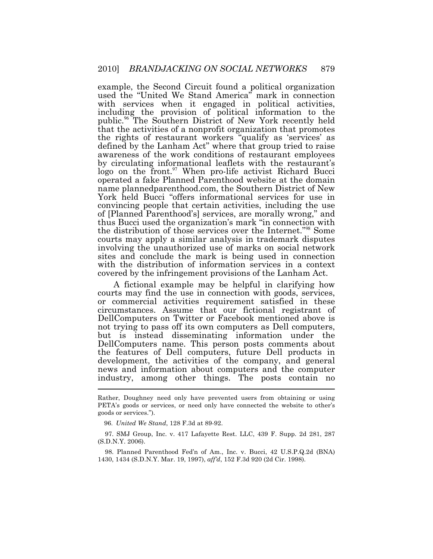example, the Second Circuit found a political organization used the "United We Stand America" mark in connection with services when it engaged in political activities, including the provision of political information to the [public.](https://public.96)<sup>96</sup>The Southern District of New York recently held that the activities of a nonprofit organization that promotes the rights of restaurant workers "qualify as 'services' as defined by the Lanham Act" where that group tried to raise awareness of the work conditions of restaurant employees by circulating informational leaflets with the restaurant's  $logo$  on the [front.](https://front.97)<sup>97</sup> When pro-life activist Richard Bucci operated a fake Planned Parenthood website at the domain name [plannedparenthood.com,](https://plannedparenthood.com) the Southern District of New York held Bucci "offers informational services for use in convincing people that certain activities, including the use of [Planned Parenthood's] services, are morally wrong," and thus Bucci used the organization's mark "in connection with the distribution of those services over the Internet."<sup>98</sup> Some courts may apply a similar analysis in trademark disputes involving the unauthorized use of marks on social network sites and conclude the mark is being used in connection with the distribution of information services in a context covered by the infringement provisions of the Lanham Act.

 $\overline{a}$ A fictional example may be helpful in clarifying how courts may find the use in connection with goods, services, or commercial activities requirement satisfied in these circumstances. Assume that our fictional registrant of DellComputers on Twitter or Facebook mentioned above is not trying to pass off its own computers as Dell computers, but is instead disseminating information under the DellComputers name. This person posts comments about the features of Dell computers, future Dell products in development, the activities of the company, and general news and information about computers and the computer industry, among other things. The posts contain no

 Rather, Doughney need only have prevented users from obtaining or using PETA's goods or services, or need only have connected the website to other's goods or services.").

<sup>96.</sup> *United We Stand*, 128 F.3d at 89-92.

 (S.D.N.Y. 2006). 97. SMJ Group, Inc. v. 417 Lafayette Rest. LLC, 439 F. Supp. 2d 281, 287

 1430, 1434 (S.D.N.Y. Mar. 19, 1997), *aff'd*, 152 F.3d 920 (2d Cir. 1998). 98. Planned Parenthood Fed'n of Am., Inc. v. Bucci, 42 [U.S.P.Q.2d](https://U.S.P.Q.2d) (BNA)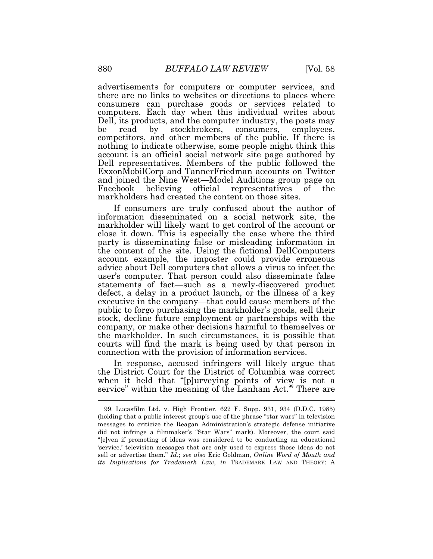advertisements for computers or computer services, and there are no links to websites or directions to places where consumers can purchase goods or services related to computers. Each day when this individual writes about Dell, its products, and the computer industry, the posts may<br>be read by stockbrokers, consumers, employees, be read by stockbrokers, consumers, employees, competitors, and other members of the public. If there is nothing to indicate otherwise, some people might think this account is an official social network site page authored by Dell representatives. Members of the public followed the ExxonMobilCorp and TannerFriedman accounts on Twitter and joined the Nine West—Model Auditions group page on Facebook believing official representatives of the markholders had created the content on those sites.

If consumers are truly confused about the author of information disseminated on a social network site, the markholder will likely want to get control of the account or close it down. This is especially the case where the third party is disseminating false or misleading information in the content of the site. Using the fictional DellComputers account example, the imposter could provide erroneous advice about Dell computers that allows a virus to infect the user's computer. That person could also disseminate false statements of fact—such as a newly-discovered product defect, a delay in a product launch, or the illness of a key executive in the company—that could cause members of the public to forgo purchasing the markholder's goods, sell their stock, decline future employment or partnerships with the company, or make other decisions harmful to themselves or the markholder. In such circumstances, it is possible that courts will find the mark is being used by that person in connection with the provision of information services.

 $\overline{a}$ In response, accused infringers will likely argue that the District Court for the District of Columbia was correct when it held that "[p]urveying points of view is not a service" within the meaning of the Lanham Act.<sup>99</sup> There are

 (holding that a public interest group's use of the phrase "star wars" in television messages to criticize the Reagan Administration's strategic defense initiative did not infringe a filmmaker's "Star Wars" mark). Moreover, the court said "[e]ven if promoting of ideas was considered to be conducting an educational 'service,' television messages that are only used to express those ideas do not sell or advertise them." *Id*.; *see also* Eric Goldman, *Online Word of Mouth and its Implications for Trademark Law*, *in* TRADEMARK LAW AND THEORY: A 99. Lucasfilm Ltd. v. High Frontier, 622 F. Supp. 931, 934 (D.D.C. 1985)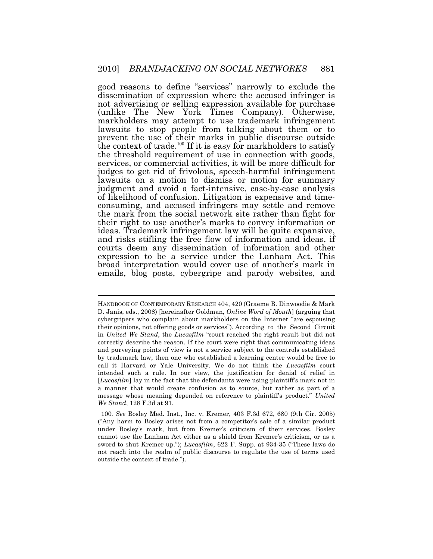good reasons to define "services" narrowly to exclude the dissemination of expression where the accused infringer is not advertising or selling expression available for purchase (unlike The New York Times Company). Otherwise, markholders may attempt to use trademark infringement lawsuits to stop people from talking about them or to prevent the use of their marks in public discourse outside the context of trade.<sup>100</sup> If it is easy for markholders to satisfy the threshold requirement of use in connection with goods, services, or commercial activities, it will be more difficult for judges to get rid of frivolous, speech-harmful infringement lawsuits on a motion to dismiss or motion for summary judgment and avoid a fact-intensive, case-by-case analysis of likelihood of confusion. Litigation is expensive and timeconsuming, and accused infringers may settle and remove the mark from the social network site rather than fight for their right to use another's marks to convey information or ideas. Trademark infringement law will be quite expansive, and risks stifling the free flow of information and ideas, if courts deem any dissemination of information and other expression to be a service under the Lanham Act. This broad interpretation would cover use of another's mark in emails, blog posts, cybergripe and parody websites, and

 HANDBOOK OF CONTEMPORARY RESEARCH 404, 420 (Graeme B. Dinwoodie & Mark D. Janis, eds., 2008) [hereinafter Goldman, *Online Word of Mouth*] (arguing that cybergripers who complain about markholders on the Internet "are espousing their opinions, not offering goods or services"). According to the Second Circuit  in *United We Stand*, the *Lucasfilm* "court reached the right result but did not correctly describe the reason. If the court were right that communicating ideas and purveying points of view is not a service subject to the controls established by trademark law, then one who established a learning center would be free to call it Harvard or Yale University. We do not think the *Lucasfilm* court intended such a rule. In our view, the justification for denial of relief in [*Lucasfilm*] lay in the fact that the defendants were using plaintiff's mark not in a manner that would create confusion as to source, but rather as part of a message whose meaning depended on reference to plaintiff's product." *United We Stand*, 128 F.3d at 91.

 ("Any harm to Bosley arises not from a competitor's sale of a similar product under Bosley's mark, but from Kremer's criticism of their services. Bosley cannot use the Lanham Act either as a shield from Kremer's criticism, or as a sword to shut Kremer up."); *Lucasfilm*, 622 F. Supp. at 934-35 ("These laws do not reach into the realm of public discourse to regulate the use of terms used outside the context of trade."). 100. *See* Bosley Med. Inst., Inc. v. Kremer, 403 F.3d 672, 680 (9th Cir. 2005)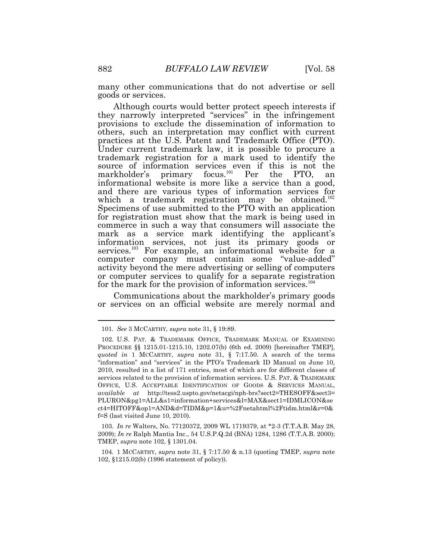many other communications that do not advertise or sell goods or services.

Although courts would better protect speech interests if they narrowly interpreted "services" in the infringement provisions to exclude the dissemination of information to others, such an interpretation may conflict with current practices at the U.S. Patent and Trademark Office (PTO). Under current trademark law, it is possible to procure a trademark registration for a mark used to identify the source of information services even if this is not the markholder's primary focus.<sup>101</sup> Per the PTO, an informational website is more like a service than a good, and there are various types of information services for which a trademark registration may be obtained.<sup>102</sup> Specimens of use submitted to the PTO with an application for registration must show that the mark is being used in commerce in such a way that consumers will associate the mark as a service mark identifying the applicant's information services, not just its primary goods or services.<sup>103</sup> For example, an informational website for a computer company must contain some "value-added" activity beyond the mere advertising or selling of computers or computer services to qualify for a separate registration for the mark for the provision of information services.<sup>104</sup>

Communications about the markholder's primary goods or services on an official website are merely normal and

 2009); *In re* Ralph Mantia Inc., 54 [U.S.P.Q.2d](https://U.S.P.Q.2d) (BNA) 1284, 1286 (T.T.A.B. 2000); TMEP, *supra* note 102, § 1301.04. 103. *In re* Walters, No. 77120372, 2009 WL 1719379, at \*2-3 (T.T.A.B. May 28,

 102, §1215.02(b) (1996 statement of policy)). 104. 1 MCCARTHY, *supra* note 31, § 7:17.50 & n.13 (quoting TMEP, *supra* note

 101*. See* 3 MCCARTHY, *supra* note 31, § 19:89.

 PROCEDURE §§ [1215.01-1215.10,](https://1215.01-1215.10) 1202.07(b) (6th ed. 2009) [hereinafter TMEP], *quoted in* 1 MCCARTHY, *supra* note 31, § 7:17.50. A search of the terms "information" and "services" in the PTO's Trademark ID Manual on June 10, 2010, resulted in a list of 171 entries, most of which are for different classes of services related to the provision of information services. U.S. PAT. & TRADEMARK OFFICE, U.S. ACCEPTABLE IDENTIFICATION OF GOODS & SERVICES MANUAL, *available at* [http://tess2.uspto.gov/netacgi/nph-brs?sect2=THESOFF&sect3](http://tess2.uspto.gov/netacgi/nph-brs?sect2=THESOFF§3)= f=S (last visited June 10, 2010). 102. U.S. PAT. & TRADEMARK OFFICE, TRADEMARK MANUAL OF EXAMINING PLURON&pg1=ALL&s1=information+services&l=MAX&sect1=IDMLICON&se ct4=HITOFF&op1=AND&d=TIDM&p=1&u=%2Fnetahtml%2Ftidm.html&r=0&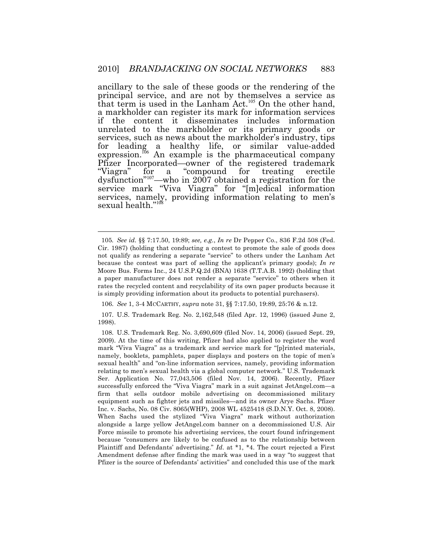ancillary to the sale of these goods or the rendering of the principal service, and are not by themselves a service as that term is used in the Lanham Act.<sup>105</sup> On the other hand, a markholder can register its mark for information services if the content it disseminates includes information unrelated to the markholder or its primary goods or services, such as news about the markholder's industry, tips for leading a healthy life, or similar value-added expression.<sup>106</sup> An example is the pharmaceutical company Pfizer Incorporated—owner of the registered trademark "Viagra" for a "compound for treating erectile for a "compound for treating erectile dysfunction"<sup>107</sup>—who in 2007 obtained a registration for the service mark "Viva Viagra" for "[m]edical information services, namely, providing information relating to men's sexual health."<sup>108</sup>

 $\overline{a}$ 

107. U.S. Trademark Reg. No. 2,162,548 (filed Apr. 12, 1996) (issued June 2, 1998).

 105*. See id.* §§ 7:17.50, 19:89; *see, e.g.*, *In re* Dr Pepper Co., 836 F.2d 508 (Fed. Cir. 1987) (holding that conducting a contest to promote the sale of goods does not qualify as rendering a separate "service" to others under the Lanham Act because the contest was part of selling the applicant's primary goods); *In re*  Moore Bus. Forms Inc., 24 [U.S.P.Q.2d](https://U.S.P.Q.2d) (BNA) 1638 (T.T.A.B. 1992) (holding that a paper manufacturer does not render a separate "service" to others when it rates the recycled content and recyclability of its own paper products because it is simply providing information about its products to potential purchasers).

<sup>106.</sup> *See* 1, 3-4 MCCARTHY, *supra* note 31, §§ 7:17.50, 19:89, 25:76 & n.12.

 2009). At the time of this writing, Pfizer had also applied to register the word mark "Viva Viagra" as a trademark and service mark for "[p]rinted materials, namely, booklets, pamphlets, paper displays and posters on the topic of men's sexual health" and "on-line information services, namely, providing information relating to men's sexual health via a global computer network." U.S. Trademark Ser. Application No. 77,043,506 (filed Nov. 14, 2006). Recently, Pfizer successfully enforced the "Viva Viagra" mark in a suit against JetAngel.com—a firm that sells outdoor mobile advertising on decommissioned military equipment such as fighter jets and missiles—and its owner Arye Sachs. Pfizer Inc. v. Sachs, No. 08 Civ. 8065(WHP), 2008 WL 4525418 (S.D.N.Y. Oct. 8, 2008). When Sachs used the stylized "Viva Viagra" mark without authorization alongside a large yellow [JetAngel.com](https://JetAngel.com) banner on a decommissioned U.S. Air Force missile to promote his advertising services, the court found infringement because "consumers are likely to be confused as to the relationship between Plaintiff and Defendants' advertising." *Id*. at \*1, \*4. The court rejected a First Amendment defense after finding the mark was used in a way "to suggest that Pfizer is the source of Defendants' activities" and concluded this use of the mark 108. U.S. Trademark Reg. No. 3,690,609 (filed Nov. 14, 2006) (issued Sept. 29,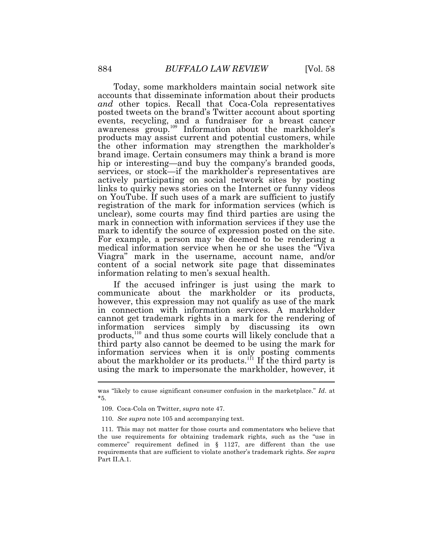Today, some markholders maintain social network site accounts that disseminate information about their products *and* other topics. Recall that Coca-Cola representatives posted tweets on the brand's Twitter account about sporting events, recycling, and a fundraiser for a breast cancer awareness  $\exp^{109}$  Information about the markholder's products may assist current and potential customers, while the other information may strengthen the markholder's brand image. Certain consumers may think a brand is more hip or interesting—and buy the company's branded goods, services, or stock—if the markholder's representatives are actively participating on social network sites by posting links to quirky news stories on the Internet or funny videos on YouTube. If such uses of a mark are sufficient to justify registration of the mark for information services (which is unclear), some courts may find third parties are using the mark in connection with information services if they use the mark to identify the source of expression posted on the site. For example, a person may be deemed to be rendering a medical information service when he or she uses the "Viva Viagra" mark in the username, account name, and/or content of a social network site page that disseminates information relating to men's sexual health.

 $\overline{a}$ If the accused infringer is just using the mark to communicate about the markholder or its products, however, this expression may not qualify as use of the mark in connection with information services. A markholder cannot get trademark rights in a mark for the rendering of information services simply by discussing its own products, $110$  and thus some courts will likely conclude that a third party also cannot be deemed to be using the mark for information services when it is only posting comments about the markholder or its products.<sup>111</sup> If the third party is using the mark to impersonate the markholder, however, it

 was "likely to cause significant consumer confusion in the marketplace." *Id*. at \*5.

<sup>109.</sup> Coca-Cola on Twitter, *supra* note 47.

<sup>110.</sup> *See supra* note 105 and accompanying text.

 111*.* This may not matter for those courts and commentators who believe that the use requirements for obtaining trademark rights, such as the "use in commerce" requirement defined in § 1127, are different than the use requirements that are sufficient to violate another's trademark rights. *See supra*  Part II.A.1.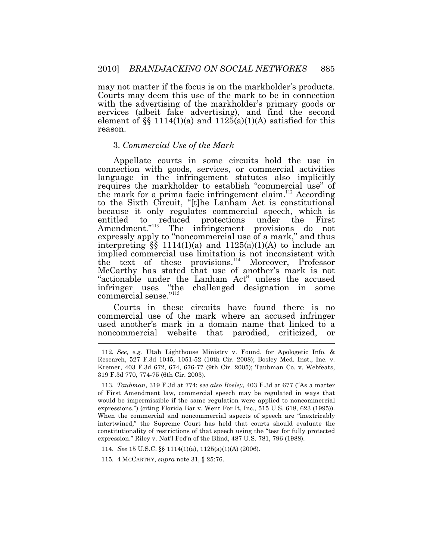may not matter if the focus is on the markholder's products. Courts may deem this use of the mark to be in connection with the advertising of the markholder's primary goods or services (albeit fake advertising), and find the second element of  $\S$  1114(1)(a) and 1125(a)(1)(A) satisfied for this reason.

### 3. *Commercial Use of the Mark*

Appellate courts in some circuits hold the use in connection with goods, services, or commercial activities language in the infringement statutes also implicitly requires the markholder to establish "commercial use" of the mark for a prima facie infringement claim.<sup>112</sup> According to the Sixth Circuit, "[t]he Lanham Act is constitutional because it only regulates commercial speech, which is entitled to reduced protections under the First Amendment."<sup>113</sup> The infringement provisions do not expressly apply to "noncommercial use of a mark," and thus interpreting  $\S$  1114(1)(a) and 1125(a)(1)(A) to include an implied commercial use limitation is not inconsistent with the text of these provisions.<sup>114</sup> Moreover, Professor McCarthy has stated that use of another's mark is not "actionable under the Lanham Act" unless the accused infringer uses "the challenged designation in some commercial sense."<sup>115</sup>

 $\overline{\phantom{a}}$ Courts in these circuits have found there is no commercial use of the mark where an accused infringer used another's mark in a domain name that linked to a noncommercial website that parodied, criticized, or

115. 4 MCCARTHY, *supra* note 31, § 25:76.

 112*. See, e.g.* Utah Lighthouse Ministry v. Found. for Apologetic Info. & Research, 527 F.3d 1045, 1051-52 (10th Cir. 2008); Bosley Med. Inst., Inc. v. Kremer, 403 F.3d 672, 674, 676-77 (9th Cir. 2005); Taubman Co. v. Webfeats, 319 F.3d 770, 774-75 (6th Cir. 2003).

 of First Amendment law, commercial speech may be regulated in ways that would be impermissible if the same regulation were applied to noncommercial expressions.") (citing Florida Bar v. Went For It, Inc., 515 U.S. 618, 623 (1995)). When the commercial and noncommercial aspects of speech are "inextricably intertwined," the Supreme Court has held that courts should evaluate the constitutionality of restrictions of that speech using the "test for fully protected expression." Riley v. Nat'l Fed'n of the Blind, 487 U.S. 781, 796 (1988). 113. *Taubman*, 319 F.3d at 774; *see also Bosley*, 403 F.3d at 677 ("As a matter

<sup>114.</sup> *See* 15 U.S.C. §§ 1114(1)(a), 1125(a)(1)(A) (2006).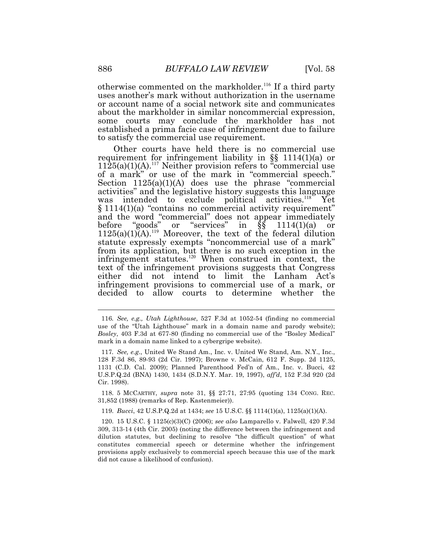otherwise commented on the markholder.<sup>116</sup> If a third party uses another's mark without authorization in the username or account name of a social network site and communicates about the markholder in similar noncommercial expression, some courts may conclude the markholder has not established a prima facie case of infringement due to failure to satisfy the commercial use requirement.

Other courts have held there is no commercial use requirement for infringement liability in §§ 1114(1)(a) or  $1125(a)(1)(A).$ <sup>117</sup> Neither provision refers to "commercial use of a mark" or use of the mark in "commercial speech." Section  $1125(a)(1)(A)$  does use the phrase "commercial activities" and the legislative history suggests this language was intended to exclude political activities.<sup>118</sup> Yet § 1114(1)(a) "contains no commercial activity requirement" and the word "commercial" does not appear immediately before "goods" or "services" in  $\hat{\S}$ § 1114(1)(a) or  $1125(a)(1)$ <sup>(A).<sup>119</sup> Moreover, the text of the federal dilution</sup> statute expressly exempts "noncommercial use of a mark" from its application, but there is no such exception in the infringement statutes.<sup>120</sup> When construed in context, the text of the infringement provisions suggests that Congress either did not intend to limit the Lanham Act's infringement provisions to commercial use of a mark, or decided to allow courts to determine whether the

 31,852 (1988) (remarks of Rep. Kastenmeier)). 118. 5 MCCARTHY, *supra* note 31, §§ 27:71, 27:95 (quoting 134 CONG. REC.

119. *Bucci*, 42 [U.S.P.Q.2d](https://U.S.P.Q.2d) at 1434; *see* 15 U.S.C. §§ 1114(1)(a), 1125(a)(1)(A).

 116*. See, e.g., Utah Lighthouse*, 527 F.3d at 1052-54 (finding no commercial use of the "Utah Lighthouse" mark in a domain name and parody website); *Bosley*, 403 F.3d at 677-80 (finding no commercial use of the "Bosley Medical" mark in a domain name linked to a cybergripe website).

 117*. See, e.g*., United We Stand Am., Inc. v. United We Stand, Am. N.Y., Inc., 128 F.3d 86, 89-93 (2d Cir. 1997); Browne v. McCain, 612 F. Supp. 2d 1125, 1131 (C.D. Cal. 2009); Planned Parenthood Fed'n of Am., Inc. v. Bucci, 42 [U.S.P.Q.2d](https://U.S.P.Q.2d) (BNA) 1430, 1434 (S.D.N.Y. Mar. 19, 1997), *aff'd*, 152 F.3d 920 (2d Cir. 1998).

 309, 313-14 (4th Cir. 2005) (noting the difference between the infringement and dilution statutes, but declining to resolve "the difficult question" of what constitutes commercial speech or determine whether the infringement provisions apply exclusively to commercial speech because this use of the mark did not cause a likelihood of confusion). 120. 15 U.S.C. § 1125(c)(3)(C) (2006); *see also* Lamparello v. Falwell, 420 F.3d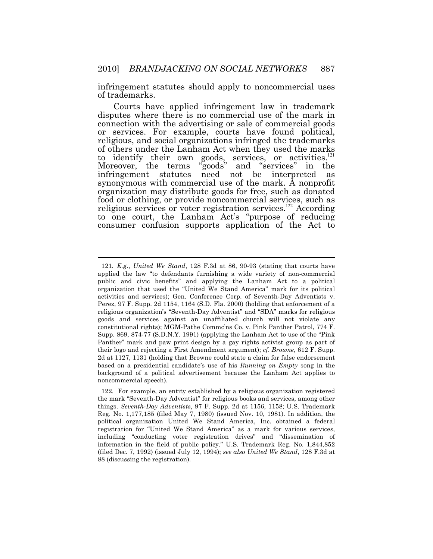infringement statutes should apply to noncommercial uses of trademarks.

Courts have applied infringement law in trademark disputes where there is no commercial use of the mark in connection with the advertising or sale of commercial goods or services. For example, courts have found political, religious, and social organizations infringed the trademarks of others under the Lanham Act when they used the marks to identify their own goods, services, or activities.<sup>121</sup> Moreover, the terms "goods" and "services" in the infringement statutes need not be interpreted as synonymous with commercial use of the mark. A nonprofit organization may distribute goods for free, such as donated food or clothing, or provide noncommercial services, such as religious services or voter registration services.<sup>122</sup> According to one court, the Lanham Act's "purpose of reducing consumer confusion supports application of the Act to

 121*. E.g*., *United We Stand*, 128 F.3d at 86, 90-93 (stating that courts have applied the law "to defendants furnishing a wide variety of non-commercial public and civic benefits" and applying the Lanham Act to a political organization that used the "United We Stand America" mark for its political activities and services); Gen. Conference Corp. of Seventh-Day Adventists v. Perez, 97 F. Supp. 2d 1154, 1164 (S.D. Fla. 2000) (holding that enforcement of a religious organization's "Seventh-Day Adventist" and "SDA" marks for religious goods and services against an unaffiliated church will not violate any constitutional rights); MGM-Pathe Commc'ns Co. v. Pink Panther Patrol, 774 F. Supp. 869, 874-77 (S.D.N.Y. 1991) (applying the Lanham Act to use of the "Pink Panther" mark and paw print design by a gay rights activist group as part of their logo and rejecting a First Amendment argument); *cf*. *Browne*, 612 F. Supp. 2d at 1127, 1131 (holding that Browne could state a claim for false endorsement based on a presidential candidate's use of his *Running on Empty* song in the background of a political advertisement because the Lanham Act applies to noncommercial speech).

 the mark "Seventh-Day Adventist" for religious books and services, among other things. *Seventh-Day Adventists*, 97 F. Supp. 2d at 1156, 1158; U.S. Trademark Reg. No. 1,177,185 (filed May 7, 1980) (issued Nov. 10, 1981). In addition, the political organization United We Stand America, Inc. obtained a federal registration for "United We Stand America" as a mark for various services, including "conducting voter registration drives" and "dissemination of information in the field of public policy." U.S. Trademark Reg. No. 1,844,852 (filed Dec. 7, 1992) (issued July 12, 1994); *see also United We Stand*, 128 F.3d at 88 (discussing the registration). 122. For example, an entity established by a religious organization registered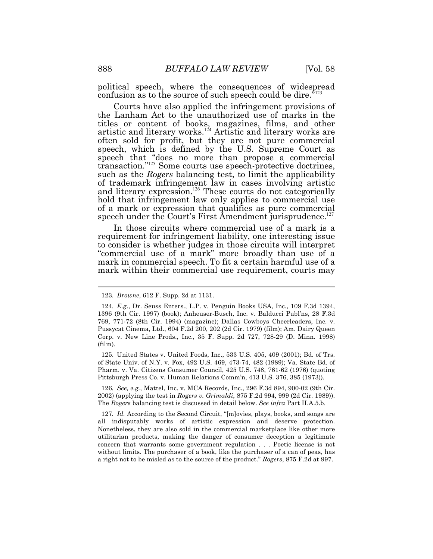political speech, where the consequences of widespread confusion as to the source of such speech could be dire."

Courts have also applied the infringement provisions of the Lanham Act to the unauthorized use of marks in the titles or content of books, magazines, films, and other artistic and literary works.<sup>124</sup> Artistic and literary works are often sold for profit, but they are not pure commercial speech, which is defined by the U.S. Supreme Court as speech that "does no more than propose a commercial transaction."<sup>125</sup> Some courts use speech-protective doctrines, such as the *Rogers* balancing test, to limit the applicability of trademark infringement law in cases involving artistic and literary expression.<sup>126</sup> These courts do not categorically hold that infringement law only applies to commercial use of a mark or expression that qualifies as pure commercial speech under the Court's First Amendment jurisprudence.<sup>127</sup>

In those circuits where commercial use of a mark is a requirement for infringement liability, one interesting issue to consider is whether judges in those circuits will interpret "commercial use of a mark" more broadly than use of a mark in commercial speech. To fit a certain harmful use of a mark within their commercial use requirement, courts may

 of State Univ. of N.Y. v. Fox, 492 U.S. 469, 473-74, 482 (1989); Va. State Bd. of Pharm. v. Va. Citizens Consumer Council, 425 U.S. 748, 761-62 (1976) (quoting Pittsburgh Press Co. v. Human Relations Comm'n, 413 U.S. 376, 385 (1973)). 125. United States v. United Foods, Inc., 533 U.S. 405, 409 (2001); Bd. of Trs.

 126*. See, e.g.*, Mattel, Inc. v. MCA Records, Inc., 296 F.3d 894, 900-02 (9th Cir. 2002) (applying the test in *Rogers v. Grimaldi*, 875 F.2d 994, 999 (2d Cir. 1989)). The *Rogers* balancing test is discussed in detail below. *See infra* Part II.A.5.b.

127*. Id.* According to the Second Circuit, "[m]ovies, plays, books, and songs are all indisputably works of artistic expression and deserve protection. Nonetheless, they are also sold in the commercial marketplace like other more utilitarian products, making the danger of consumer deception a legitimate concern that warrants some government regulation . . . Poetic license is not without limits. The purchaser of a book, like the purchaser of a can of peas, has a right not to be misled as to the source of the product." *Rogers*, 875 F.2d at 997.

<sup>123.</sup> *Browne*, 612 F. Supp. 2d at 1131.

 1396 (9th Cir. 1997) (book); Anheuser-Busch, Inc. v. Balducci Publ'ns, 28 F.3d 769, 771-72 (8th Cir. 1994) (magazine); Dallas Cowboys Cheerleaders, Inc. v. Pussycat Cinema, Ltd., 604 F.2d 200, 202 (2d Cir. 1979) (film); Am. Dairy Queen Corp. v. New Line Prods., Inc., 35 F. Supp. 2d 727, 728-29 (D. Minn. 1998) 124. *E.g.*, Dr. Seuss Enters., L.P. v. Penguin Books USA, Inc., 109 F.3d 1394, (film).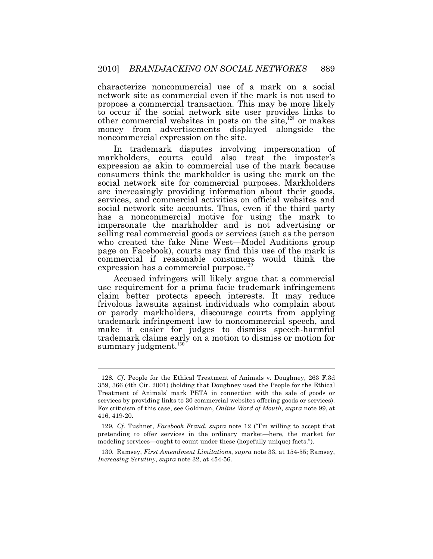other commercial websites in posts on the site, $128$  or makes characterize noncommercial use of a mark on a social network site as commercial even if the mark is not used to propose a commercial transaction. This may be more likely to occur if the social network site user provides links to money from advertisements displayed alongside the noncommercial expression on the site.

In trademark disputes involving impersonation of markholders, courts could also treat the imposter's expression as akin to commercial use of the mark because consumers think the markholder is using the mark on the social network site for commercial purposes. Markholders are increasingly providing information about their goods, services, and commercial activities on official websites and social network site accounts. Thus, even if the third party has a noncommercial motive for using the mark to impersonate the markholder and is not advertising or selling real commercial goods or services (such as the person who created the fake Nine West—Model Auditions group page on Facebook), courts may find this use of the mark is commercial if reasonable consumers would think the expression has a commercial purpose.<sup>129</sup>

summary judgment.<sup>130</sup> Accused infringers will likely argue that a commercial use requirement for a prima facie trademark infringement claim better protects speech interests. It may reduce frivolous lawsuits against individuals who complain about or parody markholders, discourage courts from applying trademark infringement law to noncommercial speech, and make it easier for judges to dismiss speech-harmful trademark claims early on a motion to dismiss or motion for

 128*. Cf*. People for the Ethical Treatment of Animals v. Doughney, 263 F.3d 359, 366 (4th Cir. 2001) (holding that Doughney used the People for the Ethical Treatment of Animals' mark PETA in connection with the sale of goods or services by providing links to 30 commercial websites offering goods or services). For criticism of this case, see Goldman, *Online Word of Mouth, supra* note 99, at 416, 419-20.

 129*. Cf.* Tushnet, *Facebook Fraud*, *supra* note 12 ("I'm willing to accept that pretending to offer services in the ordinary market—here, the market for modeling services—ought to count under these (hopefully unique) facts.").

 *Increasing Scrutiny*, *supra* note 32, at 454-56. 130. Ramsey, *First Amendment Limitations*, *supra* note 33, at 154-55; Ramsey,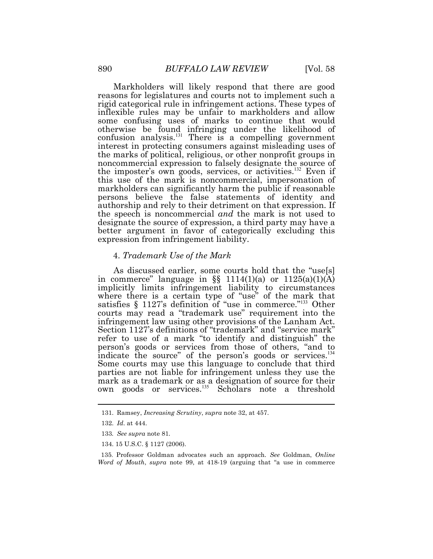Markholders will likely respond that there are good reasons for legislatures and courts not to implement such a rigid categorical rule in infringement actions. These types of inflexible rules may be unfair to markholders and allow some confusing uses of marks to continue that would otherwise be found infringing under the likelihood of confusion analysis. $^{131}$  There is a compelling government interest in protecting consumers against misleading uses of the marks of political, religious, or other nonprofit groups in noncommercial expression to falsely designate the source of the imposter's own goods, services, or activities.<sup>132</sup> Even if this use of the mark is noncommercial, impersonation of markholders can significantly harm the public if reasonable persons believe the false statements of identity and authorship and rely to their detriment on that expression. If the speech is noncommercial *and* the mark is not used to designate the source of expression, a third party may have a better argument in favor of categorically excluding this expression from infringement liability.

#### 4. *Trademark Use of the Mark*

As discussed earlier, some courts hold that the "use[s] in commerce" language in  $\S$  1114(1)(a) or 1125(a)(1)(A) implicitly limits infringement liability to circumstances where there is a certain type of "use" of the mark that satisfies  $\S 1127$ 's definition of "use in commerce."<sup>133</sup> Other courts may read a "trademark use" requirement into the infringement law using other provisions of the Lanham Act. Section 1127's definitions of "trademark" and "service mark" refer to use of a mark "to identify and distinguish" the person's goods or services from those of others, "and to indicate the source" of the person's goods or services.<sup>134</sup> Some courts may use this language to conclude that third parties are not liable for infringement unless they use the mark as a trademark or as a designation of source for their own goods or services.<sup>135</sup> Scholars note a threshold

 $\overline{a}$ 

134. 15 U.S.C. § 1127 (2006).

<sup>131.</sup> Ramsey, *Increasing Scrutiny*, *supra* note 32, at 457.

<sup>132.</sup> *Id*. at 444.

 133*. See supra* note 81*.* 

 *Word of Mouth*, *supra* note 99, at 418-19 (arguing that "a use in commerce 135. Professor Goldman advocates such an approach. *See* Goldman, *Online*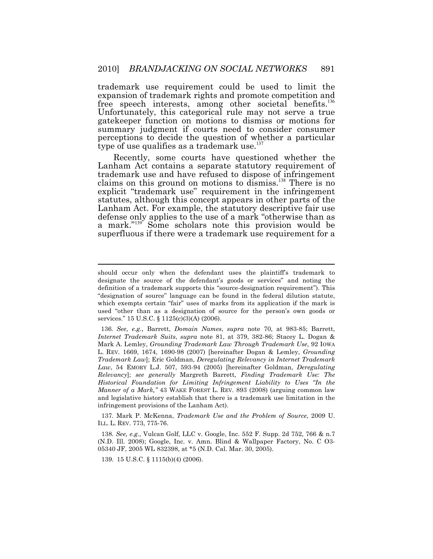trademark use requirement could be used to limit the expansion of trademark rights and promote competition and free speech interests, among other societal benefits.<sup>136</sup> Unfortunately, this categorical rule may not serve a true gatekeeper function on motions to dismiss or motions for summary judgment if courts need to consider consumer perceptions to decide the question of whether a particular type of use qualifies as a trademark use. $137$ 

Recently, some courts have questioned whether the Lanham Act contains a separate statutory requirement of trademark use and have refused to dispose of infringement claims on this ground on motions to dismiss.<sup>138</sup> There is no explicit "trademark use" requirement in the infringement statutes, although this concept appears in other parts of the Lanham Act. For example, the statutory descriptive fair use defense only applies to the use of a mark "otherwise than as a mark." $139^\circ$  Some scholars note this provision would be superfluous if there were a trademark use requirement for a

 ILL. L. REV. 773, 775-76. 137. Mark P. McKenna, *Trademark Use and the Problem of Source*, 2009 U.

139. 15 U.S.C. § 1115(b)(4) (2006).

 should occur only when the defendant uses the plaintiff's trademark to designate the source of the defendant's goods or services" and noting the definition of a trademark supports this "source-designation requirement"). This "designation of source" language can be found in the federal dilution statute, which exempts certain "fair" uses of marks from its application if the mark is used "other than as a designation of source for the person's own goods or services." 15 U.S.C. § 1125(c)(3)(A) (2006).

 *Internet Trademark Suits*, *supra* note 81, at 379, 382-86; Stacey L. Dogan & Mark A. Lemley, *Grounding Trademark Law Through Trademark Use*, 92 IOWA L. REV. 1669, 1674, 1690-98 (2007) [hereinafter Dogan & Lemley, *Grounding Trademark Law*]; Eric Goldman, *Deregulating Relevancy in Internet Trademark Law*, 54 EMORY L.J. 507, 593-94 (2005) [hereinafter Goldman, *Deregulating Relevancy*]; *see generally* Margreth Barrett, *Finding Trademark Use: The Historical Foundation for Limiting Infringement Liability to Uses "In the Manner of a Mark,"* 43 WAKE FOREST L. REV. 893 (2008) (arguing common law and legislative history establish that there is a trademark use limitation in the infringement provisions of the Lanham Act). 136. *See, e.g.*, Barrett, *Domain Names*, *supra* note 70, at 983-85; Barrett,

 (N.D. Ill. 2008); Google, Inc. v. Amn. Blind & Wallpaper Factory, No. C O3- 05340 JF, 2005 WL 832398, at \*5 (N.D. Cal. Mar. 30, 2005). 138. *See, e.g.,* Vulcan Golf, LLC v. Google, Inc. 552 F. Supp. 2d 752, 766 & n.7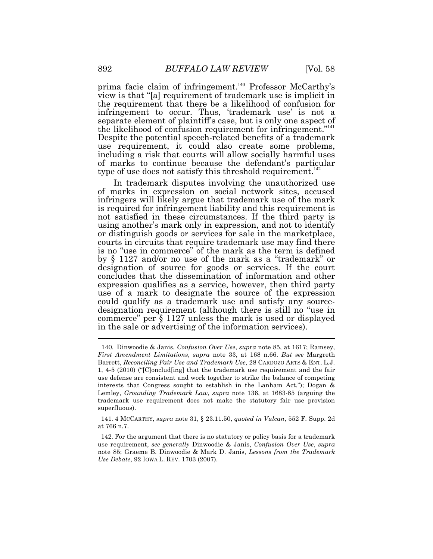type of use does not satisfy this threshold requirement.<sup>142</sup> prima facie claim of infringement.<sup>140</sup> Professor McCarthy's view is that "[a] requirement of trademark use is implicit in the requirement that there be a likelihood of confusion for infringement to occur. Thus, 'trademark use' is not a separate element of plaintiff's case, but is only one aspect of the likelihood of confusion requirement for infringement."<sup>141</sup> Despite the potential speech-related benefits of a trademark use requirement, it could also create some problems, including a risk that courts will allow socially harmful uses of marks to continue because the defendant's particular

 $\overline{a}$ In trademark disputes involving the unauthorized use of marks in expression on social network sites, accused infringers will likely argue that trademark use of the mark is required for infringement liability and this requirement is not satisfied in these circumstances. If the third party is using another's mark only in expression, and not to identify or distinguish goods or services for sale in the marketplace, courts in circuits that require trademark use may find there is no "use in commerce" of the mark as the term is defined by § 1127 and/or no use of the mark as a "trademark" or designation of source for goods or services. If the court concludes that the dissemination of information and other expression qualifies as a service, however, then third party use of a mark to designate the source of the expression could qualify as a trademark use and satisfy any sourcedesignation requirement (although there is still no "use in commerce" per § 1127 unless the mark is used or displayed in the sale or advertising of the information services).

 *First Amendment Limitations*, *supra* note 33, at 168 n.66. *But see* Margreth  Barrett, *Reconciling Fair Use and Trademark Use*, 28 CARDOZO ARTS & ENT. L.J. 1, 4-5 (2010) ("[C]onclud[ing] that the trademark use requirement and the fair use defense are consistent and work together to strike the balance of competing interests that Congress sought to establish in the Lanham Act."); Dogan & Lemley, *Grounding Trademark Law*, *supra* note 136, at 1683-85 (arguing the trademark use requirement does not make the statutory fair use provision 140. Dinwoodie & Janis, *Confusion Over Use*, *supra* note 85, at 1617; Ramsey, superfluous).

 at 766 n.7. 141. 4 MCCARTHY, *supra* note 31, § [23.11.50](https://23.11.50), *quoted in Vulcan*, 552 F. Supp. 2d

 use requirement, *see generally* Dinwoodie & Janis, *Confusion Over Use*, *supra*  note 85; Graeme B. Dinwoodie & Mark D. Janis, *Lessons from the Trademark Use Debate*, 92 IOWA L. REV. 1703 (2007). 142. For the argument that there is no statutory or policy basis for a trademark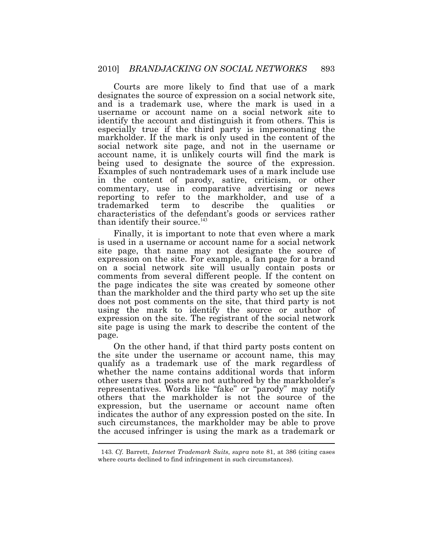Courts are more likely to find that use of a mark designates the source of expression on a social network site, and is a trademark use, where the mark is used in a username or account name on a social network site to identify the account and distinguish it from others. This is especially true if the third party is impersonating the markholder. If the mark is only used in the content of the social network site page, and not in the username or account name, it is unlikely courts will find the mark is being used to designate the source of the expression. Examples of such nontrademark uses of a mark include use in the content of parody, satire, criticism, or other commentary, use in comparative advertising or news reporting to refer to the markholder, and use of a trademarked term to describe the qualities or characteristics of the defendant's goods or services rather than identify their source.<sup>143</sup>

Finally, it is important to note that even where a mark is used in a username or account name for a social network site page, that name may not designate the source of expression on the site. For example, a fan page for a brand on a social network site will usually contain posts or comments from several different people. If the content on the page indicates the site was created by someone other than the markholder and the third party who set up the site does not post comments on the site, that third party is not using the mark to identify the source or author of expression on the site. The registrant of the social network site page is using the mark to describe the content of the page.

 $\overline{a}$ On the other hand, if that third party posts content on the site under the username or account name, this may qualify as a trademark use of the mark regardless of whether the name contains additional words that inform other users that posts are not authored by the markholder's representatives. Words like "fake" or "parody" may notify others that the markholder is not the source of the expression, but the username or account name often indicates the author of any expression posted on the site. In such circumstances, the markholder may be able to prove the accused infringer is using the mark as a trademark or

 where courts declined to find infringement in such circumstances). 143. *Cf.* Barrett, *Internet Trademark Suits*, *supra* note 81, at 386 (citing cases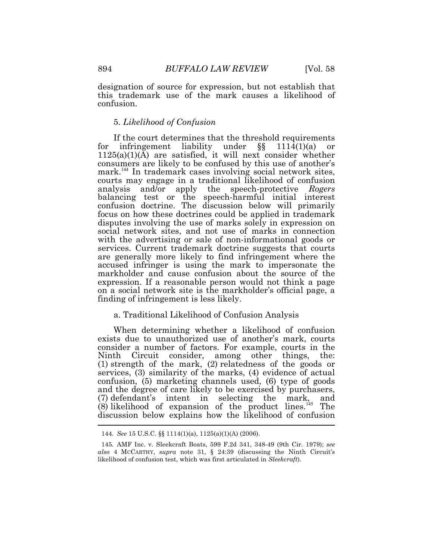designation of source for expression, but not establish that this trademark use of the mark causes a likelihood of confusion.

## 5. *Likelihood of Confusion*

If the court determines that the threshold requirements for infringement liability under §§ 1114(1)(a) or 1125(a)(1)(A) are satisfied, it will next consider whether consumers are likely to be confused by this use of another's mark.<sup>144</sup> In trademark cases involving social network sites, courts may engage in a traditional likelihood of confusion analysis and/or apply the speech-protective *Rogers*  balancing test or the speech-harmful initial interest confusion doctrine. The discussion below will primarily focus on how these doctrines could be applied in trademark disputes involving the use of marks solely in expression on social network sites, and not use of marks in connection with the advertising or sale of non-informational goods or services. Current trademark doctrine suggests that courts are generally more likely to find infringement where the accused infringer is using the mark to impersonate the markholder and cause confusion about the source of the expression. If a reasonable person would not think a page on a social network site is the markholder's official page, a finding of infringement is less likely.

## a. Traditional Likelihood of Confusion Analysis

 $\overline{a}$ When determining whether a likelihood of confusion exists due to unauthorized use of another's mark, courts consider a number of factors. For example, courts in the Ninth Circuit consider, among other things, the: (1) strength of the mark, (2) relatedness of the goods or services, (3) similarity of the marks, (4) evidence of actual confusion, (5) marketing channels used, (6) type of goods and the degree of care likely to be exercised by purchasers, (7) defendant's intent in selecting the mark, and  $(8)$  likelihood of expansion of the product lines.<sup>145</sup> The discussion below explains how the likelihood of confusion

<sup>144.</sup> *See* 15 U.S.C. §§ 1114(1)(a), 1125(a)(1)(A) (2006).

 *also* 4 MCCARTHY, *supra* note 31, § 24:39 (discussing the Ninth Circuit's likelihood of confusion test, which was first articulated in *Sleekcraft*). 145. AMF Inc. v. Sleekcraft Boats, 599 F.2d 341, 348-49 (9th Cir. 1979); *see*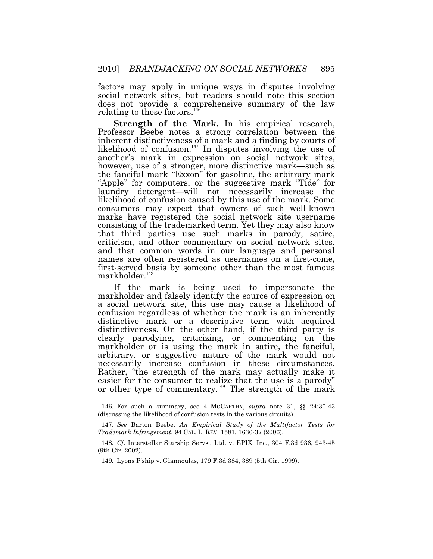factors may apply in unique ways in disputes involving social network sites, but readers should note this section does not provide a comprehensive summary of the law relating to these factors.<sup>146</sup>

**Strength of the Mark.** In his empirical research, Professor Beebe notes a strong correlation between the inherent distinctiveness of a mark and a finding by courts of likelihood of confusion.<sup>147</sup> In disputes involving the use of another's mark in expression on social network sites, however, use of a stronger, more distinctive mark—such as the fanciful mark "Exxon" for gasoline, the arbitrary mark "Apple" for computers, or the suggestive mark "Tide" for laundry detergent—will not necessarily increase the likelihood of confusion caused by this use of the mark. Some consumers may expect that owners of such well-known marks have registered the social network site username consisting of the trademarked term. Yet they may also know that third parties use such marks in parody, satire, criticism, and other commentary on social network sites, and that common words in our language and personal names are often registered as usernames on a first-come, first-served basis by someone other than the most famous markholder.<sup>148</sup>

or other type of commentary.<sup>149</sup> The strength of the mark If the mark is being used to impersonate the markholder and falsely identify the source of expression on a social network site, this use may cause a likelihood of confusion regardless of whether the mark is an inherently distinctive mark or a descriptive term with acquired distinctiveness. On the other hand, if the third party is clearly parodying, criticizing, or commenting on the markholder or is using the mark in satire, the fanciful, arbitrary, or suggestive nature of the mark would not necessarily increase confusion in these circumstances. Rather, "the strength of the mark may actually make it easier for the consumer to realize that the use is a parody"

 (discussing the likelihood of confusion tests in the various circuits). 146. For such a summary, see 4 MCCARTHY, *supra* note 31, §§ 24:30-43

 *Trademark Infringement*, 94 CAL. L. REV. 1581, 1636-37 (2006). 147. *See* Barton Beebe, *An Empirical Study of the Multifactor Tests for* 

 148*. Cf*. Interstellar Starship Servs., Ltd. v. EPIX, Inc., 304 F.3d 936, 943-45 (9th Cir. 2002).

 149*.* Lyons P'ship v. Giannoulas, 179 F.3d 384, 389 (5th Cir. 1999).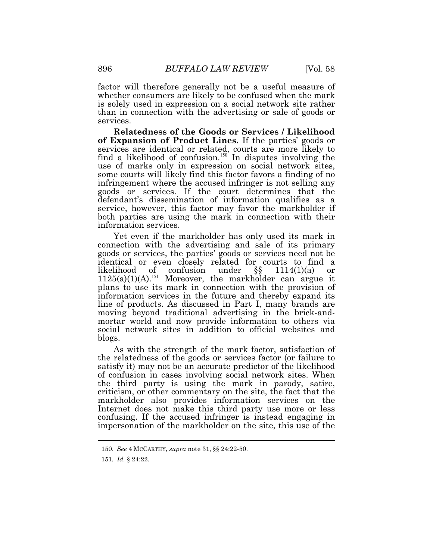factor will therefore generally not be a useful measure of whether consumers are likely to be confused when the mark is solely used in expression on a social network site rather than in connection with the advertising or sale of goods or services.

**Relatedness of the Goods or Services / Likelihood of Expansion of Product Lines.** If the parties' goods or services are identical or related, courts are more likely to find a likelihood of confusion.<sup>150</sup> In disputes involving the use of marks only in expression on social network sites, some courts will likely find this factor favors a finding of no infringement where the accused infringer is not selling any goods or services. If the court determines that the defendant's dissemination of information qualifies as a service, however, this factor may favor the markholder if both parties are using the mark in connection with their information services.

Yet even if the markholder has only used its mark in connection with the advertising and sale of its primary goods or services, the parties' goods or services need not be identical or even closely related for courts to find a likelihood of confusion under §§ 1114(1)(a) or  $1125(a)(1)(A).^{151}$  Moreover, the markholder can argue it plans to use its mark in connection with the provision of information services in the future and thereby expand its line of products. As discussed in Part I, many brands are moving beyond traditional advertising in the brick-and- mortar world and now provide information to others via social network sites in addition to official websites and blogs.

As with the strength of the mark factor, satisfaction of the relatedness of the goods or services factor (or failure to satisfy it) may not be an accurate predictor of the likelihood of confusion in cases involving social network sites. When the third party is using the mark in parody, satire, criticism, or other commentary on the site, the fact that the markholder also provides information services on the Internet does not make this third party use more or less confusing. If the accused infringer is instead engaging in impersonation of the markholder on the site, this use of the

<sup>150.</sup> *See* 4 MCCARTHY, *supra* note 31, §§ 24:22-50.

 151*. Id.* § 24:22.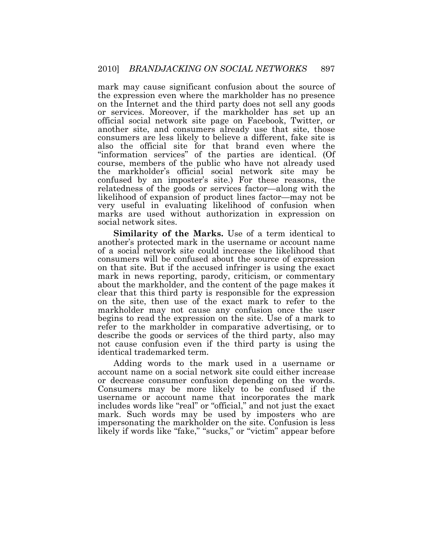mark may cause significant confusion about the source of the expression even where the markholder has no presence on the Internet and the third party does not sell any goods or services. Moreover, if the markholder has set up an official social network site page on Facebook, Twitter, or another site, and consumers already use that site, those consumers are less likely to believe a different, fake site is also the official site for that brand even where the "information services" of the parties are identical. (Of course, members of the public who have not already used the markholder's official social network site may be confused by an imposter's site.) For these reasons, the relatedness of the goods or services factor—along with the likelihood of expansion of product lines factor—may not be very useful in evaluating likelihood of confusion when marks are used without authorization in expression on social network sites.

**Similarity of the Marks.** Use of a term identical to another's protected mark in the username or account name of a social network site could increase the likelihood that consumers will be confused about the source of expression on that site. But if the accused infringer is using the exact mark in news reporting, parody, criticism, or commentary about the markholder, and the content of the page makes it clear that this third party is responsible for the expression on the site, then use of the exact mark to refer to the markholder may not cause any confusion once the user begins to read the expression on the site. Use of a mark to refer to the markholder in comparative advertising, or to describe the goods or services of the third party, also may not cause confusion even if the third party is using the identical trademarked term.

Adding words to the mark used in a username or account name on a social network site could either increase or decrease consumer confusion depending on the words. Consumers may be more likely to be confused if the username or account name that incorporates the mark includes words like "real" or "official," and not just the exact mark. Such words may be used by imposters who are impersonating the markholder on the site. Confusion is less likely if words like "fake," "sucks," or "victim" appear before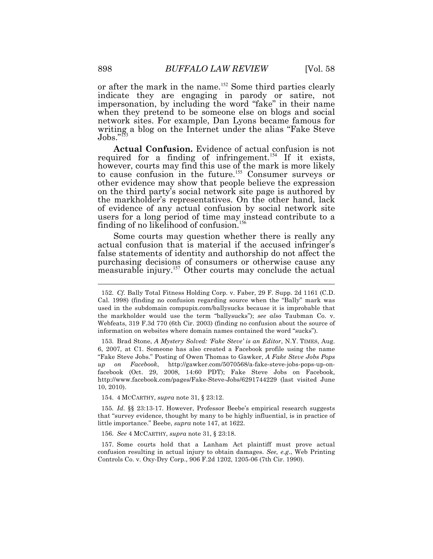or after the mark in the name.<sup>152</sup> Some third parties clearly indicate they are engaging in parody or satire, not impersonation, by including the word "fake" in their name when they pretend to be someone else on blogs and social network sites. For example, Dan Lyons became famous for writing a blog on the Internet under the alias "Fake Steve  $Jobs.$ "<sup>153</sup>

**Actual Confusion.** Evidence of actual confusion is not required for a finding of infringement.<sup>154</sup> If it exists, however, courts may find this use of the mark is more likely to cause confusion in the future.<sup>155</sup> Consumer surveys or other evidence may show that people believe the expression on the third party's social network site page is authored by the markholder's representatives. On the other hand, lack of evidence of any actual confusion by social network site users for a long period of time may instead contribute to a finding of no likelihood of confusion.<sup>156</sup>

Some courts may question whether there is really any actual confusion that is material if the accused infringer's false statements of identity and authorship do not affect the purchasing decisions of consumers or otherwise cause any measurable injury.<sup>157</sup> Other courts may conclude the actual

154. 4 MCCARTHY, *supra* note 31, § 23:12.

 155*. Id*. §§ 23:13-17. However, Professor Beebe's empirical research suggests that "survey evidence, thought by many to be highly influential, is in practice of little importance." Beebe, *supra* note 147, at 1622.

156. *See* 4 MCCARTHY, *supra* note 31, § 23:18.

 confusion resulting in actual injury to obtain damages. *See, e.g*., Web Printing Controls Co. v. Oxy-Dry Corp., 906 F.2d 1202, 1205-06 (7th Cir. 1990). 157. Some courts hold that a Lanham Act plaintiff must prove actual

 Cal. 1998) (finding no confusion regarding source when the "Bally" mark was used in the subdomain [compupix.com/ballysucks](https://compupix.com/ballysucks) because it is improbable that the markholder would use the term "ballysucks"); *see also* Taubman Co. v. Webfeats, 319 F.3d 770 (6th Cir. 2003) (finding no confusion about the source of information on websites where domain names contained the word "sucks"). 152. *Cf.* Bally Total Fitness Holding Corp. v. Faber, 29 F. Supp. 2d 1161 (C.D.

 6, 2007, at C1. Someone has also created a Facebook profile using the name "Fake Steve Jobs." Posting of Owen Thomas to Gawker, *A Fake Steve Jobs Pops up on Facebook*, [http://gawker.com/5070568/a-fake-steve-jobs-pops-up-on-](http://gawker.com/5070568/a-fake-steve-jobs-pops-up-on) facebook (Oct. 29, 2008, 14:60 PDT); Fake Steve Jobs on Facebook, <http://www.facebook.com/pages/Fake-Steve-Jobs/6291744229>(last visited June 10, 2010). 153. Brad Stone, *A Mystery Solved: 'Fake Steve' is an Editor*, N.Y. TIMES, Aug.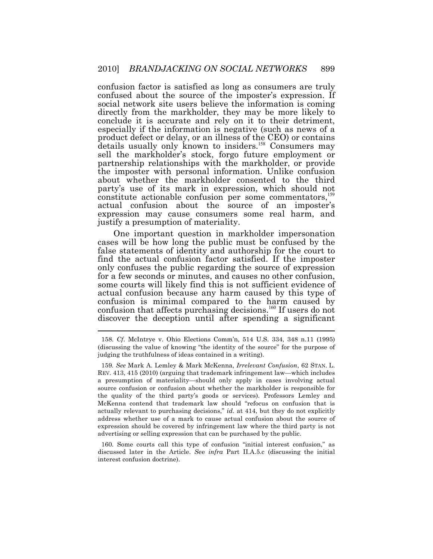confusion factor is satisfied as long as consumers are truly confused about the source of the imposter's expression. If social network site users believe the information is coming directly from the markholder, they may be more likely to conclude it is accurate and rely on it to their detriment, especially if the information is negative (such as news of a product defect or delay, or an illness of the CEO) or contains details usually only known to insiders.<sup>158</sup> Consumers may sell the markholder's stock, forgo future employment or partnership relationships with the markholder, or provide the imposter with personal information. Unlike confusion about whether the markholder consented to the third party's use of its mark in expression, which should not constitute actionable confusion per some commentators, <sup>159</sup> actual confusion about the source of an imposter's expression may cause consumers some real harm, and justify a presumption of materiality.

One important question in markholder impersonation cases will be how long the public must be confused by the false statements of identity and authorship for the court to find the actual confusion factor satisfied. If the imposter only confuses the public regarding the source of expression for a few seconds or minutes, and causes no other confusion, some courts will likely find this is not sufficient evidence of actual confusion because any harm caused by this type of confusion is minimal compared to the harm caused by confusion that affects purchasing decisions.<sup>160</sup> If users do not discover the deception until after spending a significant

 $\overline{a}$ 

 discussed later in the Article. *S*ee *infra* Part II.A.5.c (discussing the initial interest confusion doctrine). 160. Some courts call this type of confusion "initial interest confusion," as

 (discussing the value of knowing "the identity of the source" for the purpose of judging the truthfulness of ideas contained in a writing). 158. *Cf*. McIntrye v. Ohio Elections Comm'n, 514 U.S. 334, 348 n.11 (1995)

 REV. 413, 415 (2010) (arguing that trademark infringement law—which includes a presumption of materiality—should only apply in cases involving actual source confusion or confusion about whether the markholder is responsible for the quality of the third party's goods or services). Professors Lemley and McKenna contend that trademark law should "refocus on confusion that is actually relevant to purchasing decisions," *id*. at 414, but they do not explicitly address whether use of a mark to cause actual confusion about the source of expression should be covered by infringement law where the third party is not advertising or selling expression that can be purchased by the public. 159*. See* Mark A. Lemley & Mark McKenna, *Irrelevant Confusion*, 62 STAN. L.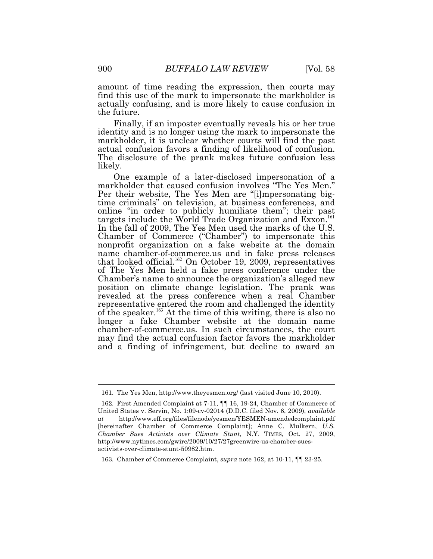amount of time reading the expression, then courts may find this use of the mark to impersonate the markholder is actually confusing, and is more likely to cause confusion in the future.

Finally, if an imposter eventually reveals his or her true identity and is no longer using the mark to impersonate the markholder, it is unclear whether courts will find the past actual confusion favors a finding of likelihood of confusion. The disclosure of the prank makes future confusion less likely.

One example of a later-disclosed impersonation of a markholder that caused confusion involves "The Yes Men." Per their website, The Yes Men are "[i]mpersonating bigtime criminals" on television, at business conferences, and online "in order to publicly humiliate them"; their past targets include the World Trade Organization and Exxon.<sup>161</sup> In the fall of 2009, The Yes Men used the marks of the U.S. Chamber of Commerce ("Chamber") to impersonate this nonprofit organization on a fake website at the domain name [chamber-of-commerce.us](https://chamber-of-commerce.us) and in fake press releases that looked official.<sup>162</sup> On October 19, 2009, representatives of The Yes Men held a fake press conference under the Chamber's name to announce the organization's alleged new position on climate change legislation. The prank was revealed at the press conference when a real Chamber representative entered the room and challenged the identity of the speaker.<sup>163</sup> At the time of this writing, there is also no longer a fake Chamber website at the domain name [chamber-of-commerce.us.](https://chamber-of-commerce.us) In such circumstances, the court may find the actual confusion factor favors the markholder and a finding of infringement, but decline to award an

<sup>161.</sup> The Yes Men, <http://www.theyesmen.org>/ (last visited June 10, 2010).

 United States v. Servin, No. 1:09-cv-02014 (D.D.C. filed Nov. 6, 2009), *available*  [hereinafter Chamber of Commerce Complaint]; Anne C. Mulkern, *U.S. Chamber Sues Activists over Climate Stunt*, N.Y. TIMES, Oct. 27, 2009, 162. First Amended Complaint at 7-11, ¶¶ 16, 19-24, Chamber of Commerce of *at* <http://www.eff.org/files/filenode/yesmen/YESMEN-amendedcomplaint.pdf> <http://www.nytimes.com/gwire/2009/10/27/27greenwire-us-chamber-sues>activists-over-climate-stunt-50982.htm.

<sup>163.</sup> Chamber of Commerce Complaint, *supra* note 162, at 10-11, ¶¶ 23-25.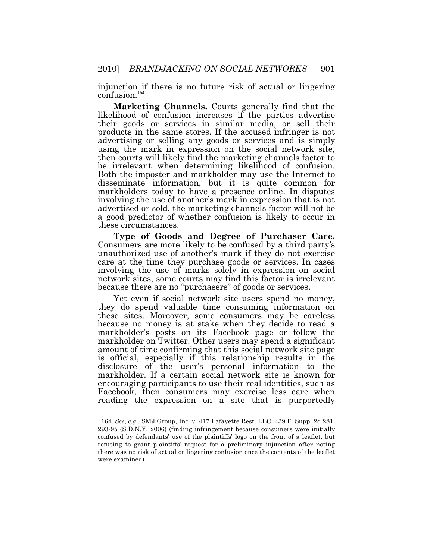injunction if there is no future risk of actual or lingering confusion.<sup>164</sup>

**Marketing Channels.** Courts generally find that the likelihood of confusion increases if the parties advertise their goods or services in similar media, or sell their products in the same stores. If the accused infringer is not advertising or selling any goods or services and is simply using the mark in expression on the social network site, then courts will likely find the marketing channels factor to be irrelevant when determining likelihood of confusion. Both the imposter and markholder may use the Internet to disseminate information, but it is quite common for markholders today to have a presence online. In disputes involving the use of another's mark in expression that is not advertised or sold, the marketing channels factor will not be a good predictor of whether confusion is likely to occur in these circumstances.

**Type of Goods and Degree of Purchaser Care.**  Consumers are more likely to be confused by a third party's unauthorized use of another's mark if they do not exercise care at the time they purchase goods or services. In cases involving the use of marks solely in expression on social network sites, some courts may find this factor is irrelevant because there are no "purchasers" of goods or services.

Yet even if social network site users spend no money, they do spend valuable time consuming information on these sites. Moreover, some consumers may be careless because no money is at stake when they decide to read a markholder's posts on its Facebook page or follow the markholder on Twitter. Other users may spend a significant amount of time confirming that this social network site page is official, especially if this relationship results in the disclosure of the user's personal information to the markholder. If a certain social network site is known for encouraging participants to use their real identities, such as Facebook, then consumers may exercise less care when reading the expression on a site that is purportedly

 293-95 (S.D.N.Y. 2006) (finding infringement because consumers were initially confused by defendants' use of the plaintiffs' logo on the front of a leaflet, but refusing to grant plaintiffs' request for a preliminary injunction after noting there was no risk of actual or lingering confusion once the contents of the leaflet 164. *See, e.g.*, SMJ Group, Inc. v. 417 Lafayette Rest. LLC, 439 F. Supp. 2d 281, were examined).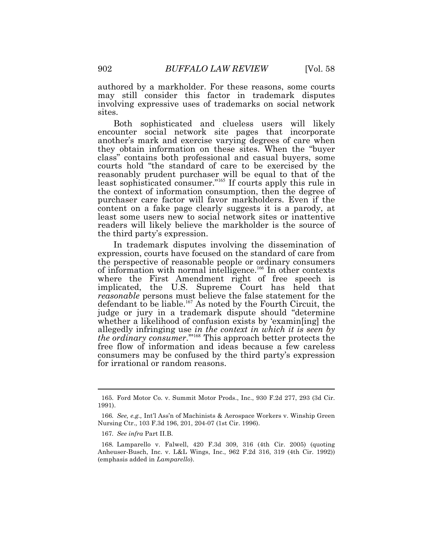authored by a markholder. For these reasons, some courts may still consider this factor in trademark disputes involving expressive uses of trademarks on social network sites.

Both sophisticated and clueless users will likely encounter social network site pages that incorporate another's mark and exercise varying degrees of care when they obtain information on these sites. When the "buyer class" contains both professional and casual buyers, some courts hold "the standard of care to be exercised by the reasonably prudent purchaser will be equal to that of the least sophisticated consumer."<sup>165</sup> If courts apply this rule in the context of information consumption, then the degree of purchaser care factor will favor markholders. Even if the content on a fake page clearly suggests it is a parody, at least some users new to social network sites or inattentive readers will likely believe the markholder is the source of the third party's expression.

In trademark disputes involving the dissemination of expression, courts have focused on the standard of care from the perspective of reasonable people or ordinary consumers of information with normal intelligence.<sup>166</sup> In other contexts where the First Amendment right of free speech is implicated, the U.S. Supreme Court has held that *reasonable* persons must believe the false statement for the defendant to be liable.<sup>167</sup> As noted by the Fourth Circuit, the judge or jury in a trademark dispute should "determine whether a likelihood of confusion exists by 'examin[ing] the allegedly infringing use *in the context in which it is seen by the ordinary consumer.*"<sup>168</sup> This approach better protects the free flow of information and ideas because a few careless consumers may be confused by the third party's expression for irrational or random reasons.

 1991). 166*. See, e.g.,* Int'l Ass'n of Machinists & Aerospace Workers v. Winship Green 165. Ford Motor Co. v. Summit Motor Prods., Inc., 930 F.2d 277, 293 (3d Cir.

 Nursing Ctr., 103 F.3d 196, 201, 204-07 (1st Cir. 1996).

 167*. See infra* Part II.B.

 168*.* Lamparello v. Falwell, 420 F.3d 309, 316 (4th Cir. 2005) (quoting Anheuser-Busch, Inc. v. L&L Wings, Inc., 962 F.2d 316, 319 (4th Cir. 1992)) (emphasis added in *Lamparello*).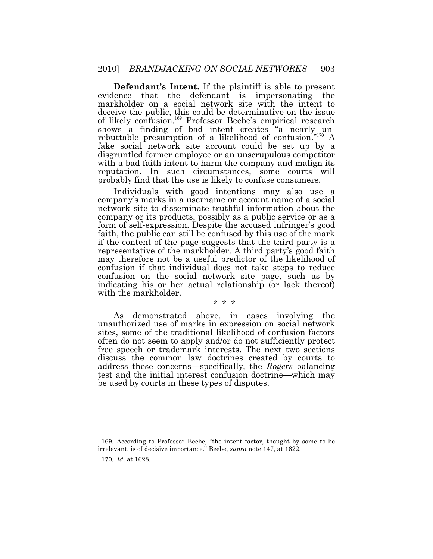**Defendant's Intent.** If the plaintiff is able to present evidence that the defendant is impersonating the markholder on a social network site with the intent to deceive the public, this could be determinative on the issue of likely confusion.<sup>169</sup> Professor Beebe's empirical research shows a finding of bad intent creates "a nearly unrebuttable presumption of a likelihood of confusion." $170^\circ$  A fake social network site account could be set up by a disgruntled former employee or an unscrupulous competitor with a bad faith intent to harm the company and malign its reputation. In such circumstances, some courts will probably find that the use is likely to confuse consumers.

Individuals with good intentions may also use a company's marks in a username or account name of a social network site to disseminate truthful information about the company or its products, possibly as a public service or as a form of self-expression. Despite the accused infringer's good faith, the public can still be confused by this use of the mark if the content of the page suggests that the third party is a representative of the markholder. A third party's good faith may therefore not be a useful predictor of the likelihood of confusion if that individual does not take steps to reduce confusion on the social network site page, such as by indicating his or her actual relationship (or lack thereof) with the markholder.

\* \* \*

As demonstrated above, in cases involving the unauthorized use of marks in expression on social network sites, some of the traditional likelihood of confusion factors often do not seem to apply and/or do not sufficiently protect free speech or trademark interests. The next two sections discuss the common law doctrines created by courts to address these concerns—specifically, the *Rogers* balancing test and the initial interest confusion doctrine—which may be used by courts in these types of disputes.

 irrelevant, is of decisive importance." Beebe, *supra* note 147, at 1622. 169. According to Professor Beebe, "the intent factor, thought by some to be

 170*. Id*. at 1628.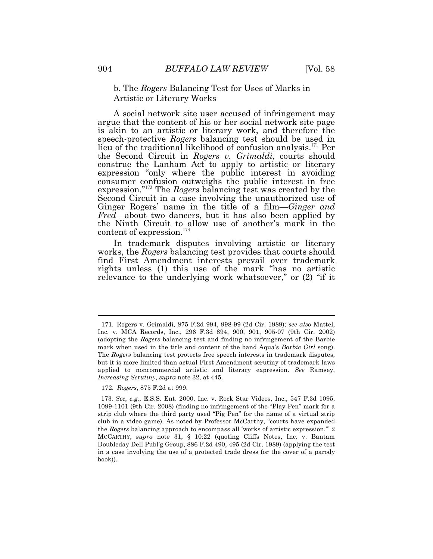## b. The *Rogers* Balancing Test for Uses of Marks in Artistic or Literary Works

A social network site user accused of infringement may argue that the content of his or her social network site page is akin to an artistic or literary work, and therefore the speech-protective *Rogers* balancing test should be used in lieu of the traditional likelihood of confusion analysis.<sup>171</sup> Per the Second Circuit in *Rogers v. Grimaldi*, courts should construe the Lanham Act to apply to artistic or literary expression "only where the public interest in avoiding consumer confusion outweighs the public interest in free expression."<sup>172</sup> The *Rogers* balancing test was created by the Second Circuit in a case involving the unauthorized use of Ginger Rogers' name in the title of a film—*Ginger and Fred*—about two dancers, but it has also been applied by the Ninth Circuit to allow use of another's mark in the content of expression.<sup>173</sup>

 relevance to the underlying work whatsoever," or (2) "if it In trademark disputes involving artistic or literary works, the *Rogers* balancing test provides that courts should find First Amendment interests prevail over trademark rights unless (1) this use of the mark "has no artistic

 Inc. v. MCA Records, Inc., 296 F.3d 894, 900, 901, 905-07 (9th Cir. 2002) (adopting the *Rogers* balancing test and finding no infringement of the Barbie mark when used in the title and content of the band Aqua's *Barbie Girl* song). The *Rogers* balancing test protects free speech interests in trademark disputes, but it is more limited than actual First Amendment scrutiny of trademark laws applied to noncommercial artistic and literary expression. *See* Ramsey, *Increasing Scrutiny*, *supra* note 32, at 445. 171. Rogers v. Grimaldi, 875 F.2d 994, 998-99 (2d Cir. 1989); *see also* Mattel,

<sup>172.</sup> *Rogers*, 875 F.2d at 999.

 1099-1101 (9th Cir. 2008) (finding no infringement of the "Play Pen" mark for a strip club where the third party used "Pig Pen" for the name of a virtual strip club in a video game). As noted by Professor McCarthy, "courts have expanded the *Rogers* balancing approach to encompass all 'works of artistic expression.'" 2 MCCARTHY, *supra* note 31, § 10:22 (quoting Cliffs Notes, Inc. v. Bantam Doubleday Dell Publ'g Group, 886 F.2d 490, 495 (2d Cir. 1989) (applying the test in a case involving the use of a protected trade dress for the cover of a parody 173. *See, e.g.*, E.S.S. Ent. 2000, Inc. v. Rock Star Videos, Inc., 547 F.3d 1095, book)).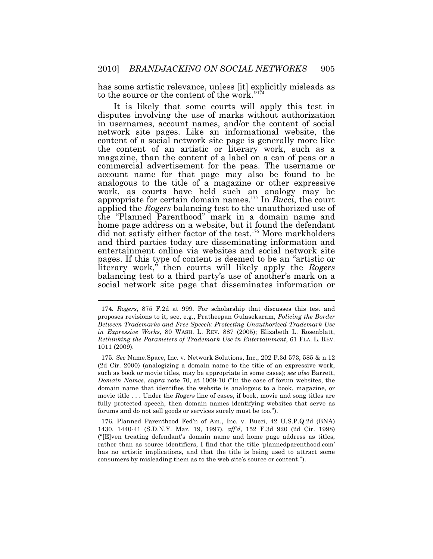has some artistic relevance, unless [it] explicitly misleads as to the source or the content of the work."<sup>1</sup>

It is likely that some courts will apply this test in disputes involving the use of marks without authorization in usernames, account names, and/or the content of social network site pages. Like an informational website, the content of a social network site page is generally more like the content of an artistic or literary work, such as a magazine, than the content of a label on a can of peas or a commercial advertisement for the peas. The username or account name for that page may also be found to be analogous to the title of a magazine or other expressive work, as courts have held such an analogy may be appropriate for certain domain names.<sup>175</sup> In *Bucci*, the court applied the *Rogers* balancing test to the unauthorized use of the "Planned Parenthood" mark in a domain name and home page address on a website, but it found the defendant did not satisfy either factor of the test.<sup>176</sup> More markholders and third parties today are disseminating information and entertainment online via websites and social network site pages. If this type of content is deemed to be an "artistic or literary work," then courts will likely apply the *Rogers*  balancing test to a third party's use of another's mark on a social network site page that disseminates information or

 174*. Rogers*, 875 F.2d at 999. For scholarship that discusses this test and proposes revisions to it, see, e.g., Pratheepan Gulasekaram, *Policing the Border Between Trademarks and Free Speech: Protecting Unauthorized Trademark Use in Expressive Works*, 80 WASH. L. REV. 887 (2005); Elizabeth L. Rosenblatt,  *Rethinking the Parameters of Trademark Use in Entertainment*, 61 FLA. L. REV. 1011 (2009).

 (2d Cir. 2000) (analogizing a domain name to the title of an expressive work, such as book or movie titles, may be appropriate in some cases); *see also* Barrett, *Domain Names*, *supra* note 70, at 1009-10 ("In the case of forum websites, the domain name that identifies the website is analogous to a book, magazine, or movie title . . . Under the *Rogers* line of cases, if book, movie and song titles are fully protected speech, then domain names identifying websites that serve as forums and do not sell goods or services surely must be too."). 175. *See* Name.Space, Inc. v. Network Solutions, Inc., 202 F.3d 573, 585 & n.12

 1430, 1440-41 (S.D.N.Y. Mar. 19, 1997), *aff'd*, 152 F.3d 920 (2d Cir. 1998) ("[E]ven treating defendant's domain name and home page address as titles, rather than as source identifiers, I find that the title '[plannedparenthood.com'](https://plannedparenthood.com) has no artistic implications, and that the title is being used to attract some consumers by misleading them as to the web site's source or content."). 176. Planned Parenthood Fed'n of Am., Inc. v. Bucci, 42 [U.S.P.Q.2d](https://U.S.P.Q.2d) (BNA)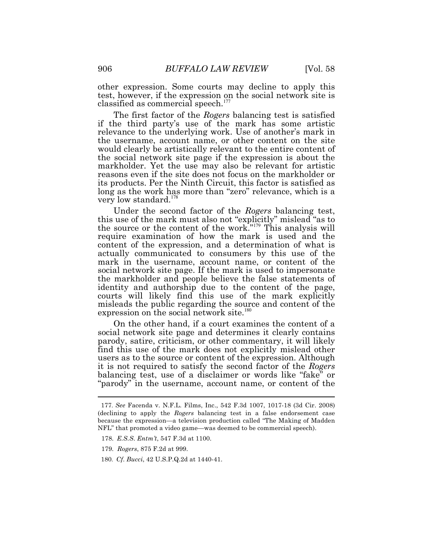other expression. Some courts may decline to apply this test, however, if the expression on the social network site is classified as commercial speech.<sup>177</sup>

 long as the work has more than "zero" relevance, which is a The first factor of the *Rogers* balancing test is satisfied if the third party's use of the mark has some artistic relevance to the underlying work. Use of another's mark in the username, account name, or other content on the site would clearly be artistically relevant to the entire content of the social network site page if the expression is about the markholder. Yet the use may also be relevant for artistic reasons even if the site does not focus on the markholder or its products. Per the Ninth Circuit, this factor is satisfied as very low standard.<sup>178</sup>

expression on the social network site.<sup>180</sup> Under the second factor of the *Rogers* balancing test, this use of the mark must also not "explicitly" mislead "as to the source or the content of the work.<sup>"179</sup> This analysis will require examination of how the mark is used and the content of the expression, and a determination of what is actually communicated to consumers by this use of the mark in the username, account name, or content of the social network site page. If the mark is used to impersonate the markholder and people believe the false statements of identity and authorship due to the content of the page, courts will likely find this use of the mark explicitly misleads the public regarding the source and content of the

On the other hand, if a court examines the content of a social network site page and determines it clearly contains parody, satire, criticism, or other commentary, it will likely find this use of the mark does not explicitly mislead other users as to the source or content of the expression. Although it is not required to satisfy the second factor of the *Rogers*  balancing test, use of a disclaimer or words like "fake" or "parody" in the username, account name, or content of the

 (declining to apply the *Rogers* balancing test in a false endorsement case because the expression—a television production called "The Making of Madden NFL" that promoted a video game—was deemed to be commercial speech). 177. *See* Facenda v. N.F.L. Films, Inc., 542 F.3d 1007, 1017-18 (3d Cir. 2008)

<sup>178.</sup> *E.S.S*. *Entm't*, 547 F.3d at 1100.

<sup>179.</sup> *Rogers*, 875 F.2d at 999.

<sup>180.</sup> *Cf*. *Bucci*, 42 [U.S.P.Q.2d](https://U.S.P.Q.2d) at 1440-41.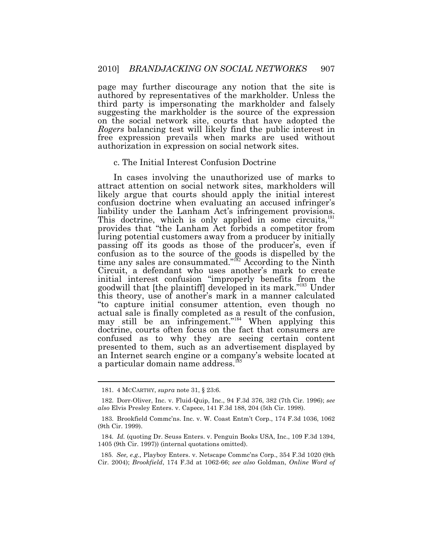page may further discourage any notion that the site is authored by representatives of the markholder. Unless the third party is impersonating the markholder and falsely suggesting the markholder is the source of the expression on the social network site, courts that have adopted the *Rogers* balancing test will likely find the public interest in free expression prevails when marks are used without authorization in expression on social network sites.

#### c. The Initial Interest Confusion Doctrine

In cases involving the unauthorized use of marks to attract attention on social network sites, markholders will likely argue that courts should apply the initial interest confusion doctrine when evaluating an accused infringer's liability under the Lanham Act's infringement provisions. This doctrine, which is only applied in some circuits, $181$ provides that "the Lanham Act forbids a competitor from luring potential customers away from a producer by initially passing off its goods as those of the producer's, even if confusion as to the source of the goods is dispelled by the time any sales are consummated."<sup>182</sup> According to the Ninth Circuit, a defendant who uses another's mark to create initial interest confusion "improperly benefits from the goodwill that [the plaintiff] developed in its mark."<sup>183</sup> Under this theory, use of another's mark in a manner calculated "to capture initial consumer attention, even though no actual sale is finally completed as a result of the confusion, may still be an infringement." $184$  When applying this doctrine, courts often focus on the fact that consumers are confused as to why they are seeing certain content presented to them, such as an advertisement displayed by an Internet search engine or a company's website located at a particular domain name address.<sup>18</sup>

<sup>181. 4</sup> MCCARTHY, *supra* note 31, § 23:6.

 *also* Elvis Presley Enters. v. Capece, 141 F.3d 188, 204 (5th Cir. 1998). 182. Dorr-Oliver, Inc. v. Fluid-Quip, Inc., 94 F.3d 376, 382 (7th Cir. 1996); *see* 

 (9th Cir. 1999). 183. Brookfield Commc'ns. Inc. v. W. Coast Entm't Corp., 174 F.3d 1036, 1062

 184*. Id.* (quoting Dr. Seuss Enters. v. Penguin Books USA, Inc., 109 F.3d 1394, 1405 (9th Cir. 1997)) (internal quotations omitted).

 Cir. 2004); *Brookfield*, 174 F.3d at 1062-66; *see also* Goldman, *Online Word of* 185. *See, e.g.,* Playboy Enters. v. Netscape Commc'ns Corp., 354 F.3d 1020 (9th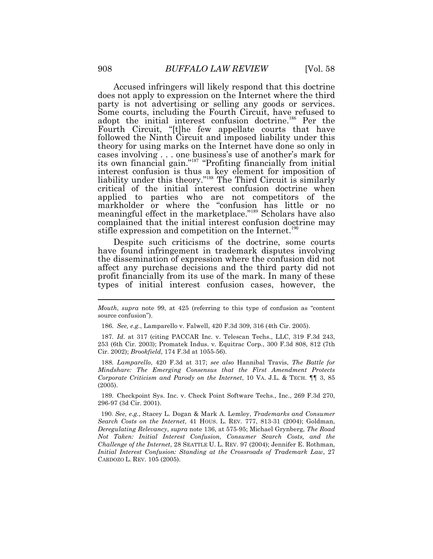Accused infringers will likely respond that this doctrine does not apply to expression on the Internet where the third party is not advertising or selling any goods or services. Some courts, including the Fourth Circuit, have refused to adopt the initial interest confusion doctrine.<sup>186</sup> Per the Fourth Circuit, "[t]he few appellate courts that have followed the Ninth Circuit and imposed liability under this theory for using marks on the Internet have done so only in cases involving . . . one business's use of another's mark for its own financial gain."<sup>187</sup> "Profiting financially from initial interest confusion is thus a key element for imposition of liability under this theory."<sup>188</sup> The Third Circuit is similarly critical of the initial interest confusion doctrine when applied to parties who are not competitors of the markholder or where the "confusion has little or no meaningful effect in the marketplace."<sup>189</sup> Scholars have also complained that the initial interest confusion doctrine may stifle expression and competition on the Internet.<sup>190</sup>

Despite such criticisms of the doctrine, some courts have found infringement in trademark disputes involving the dissemination of expression where the confusion did not affect any purchase decisions and the third party did not profit financially from its use of the mark. In many of these types of initial interest confusion cases, however, the

186. *See, e.g.*, Lamparello v. Falwell, 420 F.3d 309, 316 (4th Cir. 2005).

 187*. Id*. at 317 (citing PACCAR Inc. v. Telescan Techs., LLC, 319 F.3d 243, 253 (6th Cir. 2003); Promatek Indus. v. Equitrac Corp., 300 F.3d 808, 812 (7th Cir. 2002); *Brookfield*, 174 F.3d at 1055-56).

 188*. Lamparello*, 420 F.3d at 317; *see also* Hannibal Travis, *The Battle for Mindshare: The Emerging Consensus that the First Amendment Protects Corporate Criticism and Parody on the Internet*, 10 VA. J.L. & TECH. ¶¶ 3, 85 (2005).

 296-97 (3d Cir. 2001). 189. Checkpoint Sys. Inc. v. Check Point Software Techs., Inc., 269 F.3d 270,

 *Search Costs on the Internet*, 41 HOUS. L. REV. 777, 813-31 (2004); Goldman, *Deregulating Relevancy*, *supra* note 136, at 575-95; Michael Grynberg, *The Road Not Taken: Initial Interest Confusion, Consumer Search Costs, and the Challenge of the Internet*, 28 SEATTLE U. L. REV. 97 (2004); Jennifer E. Rothman,  *Initial Interest Confusion: Standing at the Crossroads of Trademark Law*, 27 CARDOZO L. REV. 105 (2005). 190. *See, e.g.*, Stacey L. Dogan & Mark A. Lemley, *Trademarks and Consumer* 

 *Mouth*, *supra* note 99, at 425 (referring to this type of confusion as "content source confusion").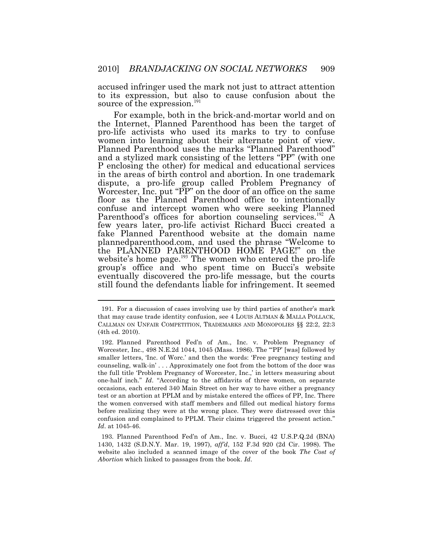accused infringer used the mark not just to attract attention to its expression, but also to cause confusion about the source of the expression.<sup>191</sup>

For example, both in the brick-and-mortar world and on the Internet, Planned Parenthood has been the target of pro-life activists who used its marks to try to confuse women into learning about their alternate point of view. Planned Parenthood uses the marks "Planned Parenthood" and a stylized mark consisting of the letters "PP" (with one P enclosing the other) for medical and educational services in the areas of birth control and abortion. In one trademark dispute, a pro-life group called Problem Pregnancy of Worcester, Inc. put "PP" on the door of an office on the same floor as the Planned Parenthood office to intentionally confuse and intercept women who were seeking Planned Parenthood's offices for abortion counseling services.<sup>192</sup> A few years later, pro-life activist Richard Bucci created a fake Planned Parenthood website at the domain name [plannedparenthood.com,](https://plannedparenthood.com) and used the phrase "Welcome to the PLANNED PARENTHOOD HOME PAGE!" on the website's home page. $^{193}$  The women who entered the pro-life group's office and who spent time on Bucci's website eventually discovered the pro-life message, but the courts still found the defendants liable for infringement. It seemed

 that may cause trade identity confusion, see 4 LOUIS ALTMAN & MALLA POLLACK, CALLMAN ON UNFAIR COMPETITION, TRADEMARKS AND MONOPOLIES §§ 22:2, 22:3 (4th ed. 2010). 191. For a discussion of cases involving use by third parties of another's mark

 Worcester, Inc., 498 N.E.2d 1044, 1045 (Mass. 1986). The "'PP' [was] followed by smaller letters, 'Inc. of Worc.' and then the words: 'Free pregnancy testing and counseling, walk-in' . . . Approximately one foot from the bottom of the door was the full title 'Problem Pregnancy of Worcester, Inc.,' in letters measuring about one-half inch." *Id*. "According to the affidavits of three women, on separate occasions, each entered 340 Main Street on her way to have either a pregnancy test or an abortion at PPLM and by mistake entered the offices of PP, Inc. There the women conversed with staff members and filled out medical history forms before realizing they were at the wrong place. They were distressed over this confusion and complained to PPLM. Their claims triggered the present action." *Id*. at 1045-46. 192. Planned Parenthood Fed'n of Am., Inc. v. Problem Pregnancy of

 1430, 1432 (S.D.N.Y. Mar. 19, 1997), *aff'd*, 152 F.3d 920 (2d Cir. 1998). The website also included a scanned image of the cover of the book *The Cost of Abortion* which linked to passages from the book. *Id*. 193. Planned Parenthood Fed'n of Am., Inc. v. Bucci, 42 [U.S.P.Q.2d](https://U.S.P.Q.2d) (BNA)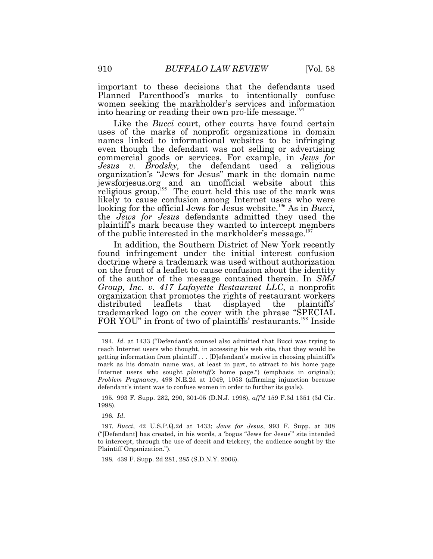into hearing or reading their own pro-life message.<sup>194</sup> important to these decisions that the defendants used Planned Parenthood's marks to intentionally confuse women seeking the markholder's services and information

Like the *Bucci* court, other courts have found certain uses of the marks of nonprofit organizations in domain names linked to informational websites to be infringing even though the defendant was not selling or advertising commercial goods or services. For example, in *Jews for Jesus v. Brodsky,* the defendant used a religious organization's "Jews for Jesus" mark in the domain name [jewsforjesus.org](https://jewsforjesus.org) and an unofficial website about this religious group.<sup>195</sup> The court held this use of the mark was likely to cause confusion among Internet users who were looking for the official Jews for Jesus website.<sup>196</sup> As in *Bucci*, the *Jews for Jesus* defendants admitted they used the plaintiff's mark because they wanted to intercept members of the public interested in the markholder's message.<sup>197</sup>

 $\overline{a}$ In addition, the Southern District of New York recently found infringement under the initial interest confusion doctrine where a trademark was used without authorization on the front of a leaflet to cause confusion about the identity of the author of the message contained therein. In *SMJ Group, Inc. v. 417 Lafayette Restaurant LLC*, a nonprofit organization that promotes the rights of restaurant workers distributed leaflets that displayed the plaintiffs' trademarked logo on the cover with the phrase "SPECIAL FOR YOU" in front of two of plaintiffs' restaurants.<sup>198</sup> Inside

195. 993 F. Supp. 282, 290, 301-05 (D.N.J. 1998), *aff'd* 159 F.3d 1351 (3d Cir. 1998). 196. *Id*.

198. 439 F. Supp. 2d 281, 285 (S.D.N.Y. 2006).

 reach Internet users who thought, in accessing his web site, that they would be getting information from plaintiff . . . [D]efendant's motive in choosing plaintiff's mark as his domain name was, at least in part, to attract to his home page Internet users who sought *plaintiff's* home page.") (emphasis in original); *Problem Pregnancy*, 498 N.E.2d at 1049, 1053 (affirming injunction because defendant's intent was to confuse women in order to further its goals). 194. *Id*. at 1433 ("Defendant's counsel also admitted that Bucci was trying to

 197*. Bucci*, 42 [U.S.P.Q.2d](https://U.S.P.Q.2d) at 1433; *Jews for Jesus*, 993 F. Supp. at 308 ("[Defendant] has created, in his words, a 'bogus "Jews for Jesus"' site intended to intercept, through the use of deceit and trickery, the audience sought by the Plaintiff Organization.").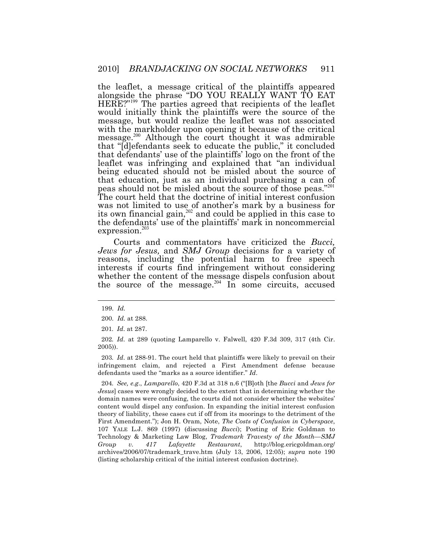the leaflet, a message critical of the plaintiffs appeared alongside the phrase "DO YOU REALLY WANT TO EAT  $HERE$ ?"<sup>199</sup> The parties agreed that recipients of the leaflet would initially think the plaintiffs were the source of the message, but would realize the leaflet was not associated with the markholder upon opening it because of the critical message.<sup>200</sup> Although the court thought it was admirable that "[d]efendants seek to educate the public," it concluded that defendants' use of the plaintiffs' logo on the front of the leaflet was infringing and explained that "an individual being educated should not be misled about the source of that education, just as an individual purchasing a can of peas should not be misled about the source of those peas."<sup>201</sup> The court held that the doctrine of initial interest confusion was not limited to use of another's mark by a business for its own financial gain, $202$  and could be applied in this case to the defendants' use of the plaintiffs' mark in noncommercial expression.<sup>203</sup>

 *Jews for Jesus,* and *SMJ Group* decisions for a variety of Courts and commentators have criticized the *Bucci,*  reasons, including the potential harm to free speech interests if courts find infringement without considering whether the content of the message dispels confusion about the source of the message. $204$  In some circuits, accused

 $\overline{a}$ 

 203*. Id*. at 288-91. The court held that plaintiffs were likely to prevail on their infringement claim, and rejected a First Amendment defense because defendants used the "marks as a source identifier." *Id*.

 204*. See, e.g*., *Lamparello*, 420 F.3d at 318 n.6 ("[B]oth [the *Bucci* and *Jews for Jesus*] cases were wrongly decided to the extent that in determining whether the domain names were confusing, the courts did not consider whether the websites' content would dispel any confusion. In expanding the initial interest confusion theory of liability, these cases cut if off from its moorings to the detriment of the First Amendment."); Jon H. Oram, Note, *The Costs of Confusion in Cyberspace*, 107 YALE L.J. 869 (1997) (discussing *Bucci*); Posting of Eric Goldman to Technology & Marketing Law Blog, *Trademark Travesty of the Month—SMJ*  archives/2006/07/trademark\_trave.htm (July 13, 2006, 12:05); *supra* note 190 (listing scholarship critical of the initial interest confusion doctrine). *v.* 417 Lafayette Restaurant, <http://blog.ericgoldman.org>/

<sup>199.</sup> *Id.* 

<sup>200.</sup> *Id.* at 288.

 201*. Id*. at 287.

 202*. Id*. at 289 (quoting Lamparello v. Falwell, 420 F.3d 309, 317 (4th Cir. 2005)).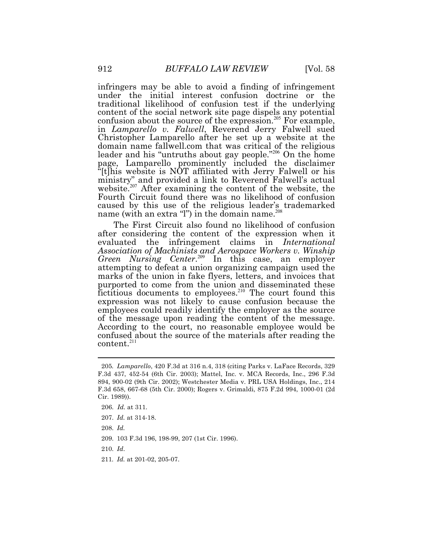infringers may be able to avoid a finding of infringement under the initial interest confusion doctrine or the traditional likelihood of confusion test if the underlying content of the social network site page dispels any potential confusion about the source of the expression.<sup>205</sup> For example, in *Lamparello v. Falwell*, Reverend Jerry Falwell sued Christopher Lamparello after he set up a website at the domain name [fallwell.com](https://fallwell.com) that was critical of the religious leader and his "untruths about gay people."<sup>206</sup> On the home page, Lamparello prominently included the disclaimer "[t]his website is NOT affiliated with Jerry Falwell or his ministry" and provided a link to Reverend Falwell's actual website.<sup>207</sup> After examining the content of the website, the Fourth Circuit found there was no likelihood of confusion caused by this use of the religious leader's trademarked name (with an extra "l") in the domain name.<sup>208</sup>

The First Circuit also found no likelihood of confusion after considering the content of the expression when it evaluated the infringement claims in *International Association of Machinists and Aerospace Workers v. Winship*  Green Nursing Center.<sup>209</sup> In this case, an employer attempting to defeat a union organizing campaign used the marks of the union in fake flyers, letters, and invoices that purported to come from the union and disseminated these  $\frac{1}{x}$  fictitious documents to employees.<sup>210</sup> The court found this expression was not likely to cause confusion because the employees could readily identify the employer as the source of the message upon reading the content of the message. According to the court, no reasonable employee would be confused about the source of the materials after reading the  $content.<sup>211</sup>$ 

 205*. Lamparello*, 420 F.3d at 316 n.4, 318 (citing Parks v. LaFace Records, 329 F.3d 437, 452-54 (6th Cir. 2003); Mattel, Inc. v. MCA Records, Inc., 296 F.3d 894, 900-02 (9th Cir. 2002); Westchester Media v. PRL USA Holdings, Inc., 214 F.3d 658, 667-68 (5th Cir. 2000); Rogers v. Grimaldi, 875 F.2d 994, 1000-01 (2d Cir. 1989)).

<sup>206.</sup> *Id.* at 311.

<sup>207.</sup> *Id.* at 314-18.

<sup>208.</sup> *Id.* 

<sup>209. 103</sup> F.3d 196, 198-99, 207 (1st Cir. 1996).

<sup>210.</sup> *Id*.

 211*. Id.* at 201-02, 205-07.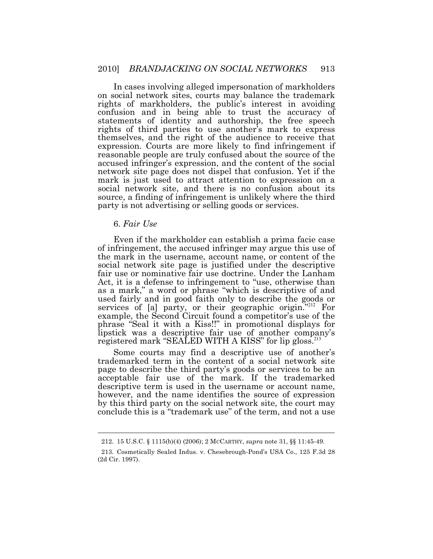In cases involving alleged impersonation of markholders on social network sites, courts may balance the trademark rights of markholders, the public's interest in avoiding confusion and in being able to trust the accuracy of statements of identity and authorship, the free speech rights of third parties to use another's mark to express themselves, and the right of the audience to receive that expression. Courts are more likely to find infringement if reasonable people are truly confused about the source of the accused infringer's expression, and the content of the social network site page does not dispel that confusion. Yet if the mark is just used to attract attention to expression on a social network site, and there is no confusion about its source, a finding of infringement is unlikely where the third party is not advertising or selling goods or services.

## 6. *Fair Use*

 $\overline{a}$ 

Even if the markholder can establish a prima facie case of infringement, the accused infringer may argue this use of the mark in the username, account name, or content of the social network site page is justified under the descriptive fair use or nominative fair use doctrine. Under the Lanham Act, it is a defense to infringement to "use, otherwise than as a mark," a word or phrase "which is descriptive of and used fairly and in good faith only to describe the goods or services of  $[a]$  party, or their geographic origin.<sup>"212</sup> For example, the Second Circuit found a competitor's use of the phrase "Seal it with a Kiss!!" in promotional displays for lipstick was a descriptive fair use of another company's registered mark "SEALED WITH A KISS" for lip gloss.<sup>213</sup>

Some courts may find a descriptive use of another's trademarked term in the content of a social network site page to describe the third party's goods or services to be an acceptable fair use of the mark. If the trademarked descriptive term is used in the username or account name, however, and the name identifies the source of expression by this third party on the social network site, the court may conclude this is a "trademark use" of the term, and not a use

<sup>212. 15</sup> U.S.C. § 1115(b)(4) (2006); 2 MCCARTHY, *supra* note 31, §§ 11:45-49.

 (2d Cir. 1997). 213. Cosmetically Sealed Indus. v. Chesebrough-Pond's USA Co., 125 F.3d 28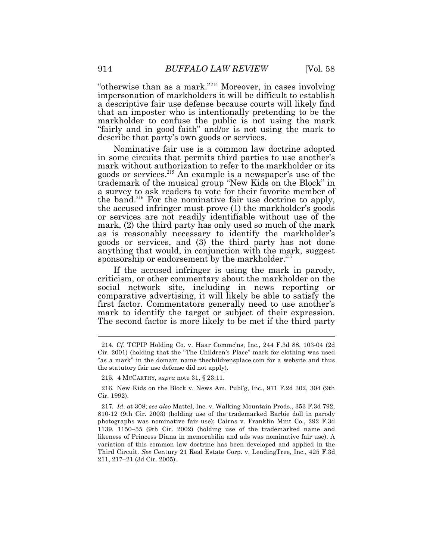"otherwise than as a mark."<sup>214</sup> Moreover, in cases involving impersonation of markholders it will be difficult to establish a descriptive fair use defense because courts will likely find that an imposter who is intentionally pretending to be the markholder to confuse the public is not using the mark "fairly and in good faith" and/or is not using the mark to describe that party's own goods or services.

Nominative fair use is a common law doctrine adopted in some circuits that permits third parties to use another's mark without authorization to refer to the markholder or its goods or services.<sup>215</sup>An example is a newspaper's use of the trademark of the musical group "New Kids on the Block" in a survey to ask readers to vote for their favorite member of the band.<sup>216</sup> For the nominative fair use doctrine to apply, the accused infringer must prove (1) the markholder's goods or services are not readily identifiable without use of the mark, (2) the third party has only used so much of the mark as is reasonably necessary to identify the markholder's goods or services, and (3) the third party has not done anything that would, in conjunction with the mark, suggest sponsorship or endorsement by the markholder.<sup>217</sup>

If the accused infringer is using the mark in parody, criticism, or other commentary about the markholder on the social network site, including in news reporting or comparative advertising, it will likely be able to satisfy the first factor. Commentators generally need to use another's mark to identify the target or subject of their expression. The second factor is more likely to be met if the third party

 Cir. 2001) (holding that the "The Children's Place" mark for clothing was used "as a mark" in the domain name [thechildrensplace.com](https://thechildrensplace.com) for a website and thus the statutory fair use defense did not apply). 214. *Cf*. TCPIP Holding Co. v. Haar Commc'ns, Inc., 244 F.3d 88, 103-04 (2d

<sup>215. 4</sup> MCCARTHY, *supra* note 31, § 23:11.

 Cir. 1992). 216. New Kids on the Block v. News Am. Publ'g, Inc., 971 F.2d 302, 304 (9th

 217*. Id*. at 308; *see also* Mattel, Inc. v. Walking Mountain Prods., 353 F.3d 792, 810-12 (9th Cir. 2003) (holding use of the trademarked Barbie doll in parody photographs was nominative fair use); Cairns v. Franklin Mint Co., 292 F.3d 1139, 1150–55 (9th Cir. 2002) (holding use of the trademarked name and likeness of Princess Diana in memorabilia and ads was nominative fair use). A variation of this common law doctrine has been developed and applied in the Third Circuit. *See* Century 21 Real Estate Corp. v. LendingTree, Inc., 425 F.3d 211, 217–21 (3d Cir. 2005).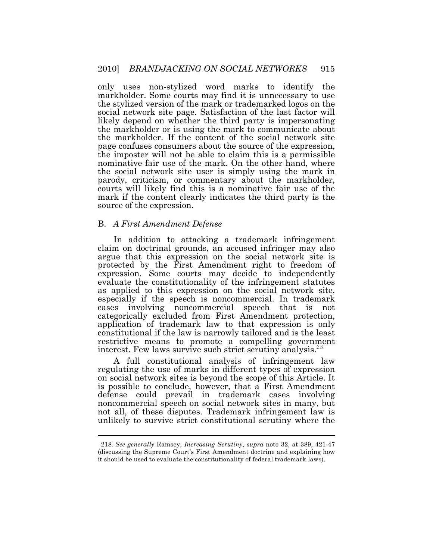only uses non-stylized word marks to identify the markholder. Some courts may find it is unnecessary to use the stylized version of the mark or trademarked logos on the social network site page. Satisfaction of the last factor will likely depend on whether the third party is impersonating the markholder or is using the mark to communicate about the markholder. If the content of the social network site page confuses consumers about the source of the expression, the imposter will not be able to claim this is a permissible nominative fair use of the mark. On the other hand, where the social network site user is simply using the mark in parody, criticism, or commentary about the markholder, courts will likely find this is a nominative fair use of the mark if the content clearly indicates the third party is the source of the expression.

#### B. *A First Amendment Defense*

 $\overline{a}$ 

interest. Few laws survive such strict scrutiny analysis.<sup>218</sup> In addition to attacking a trademark infringement claim on doctrinal grounds, an accused infringer may also argue that this expression on the social network site is protected by the First Amendment right to freedom of expression. Some courts may decide to independently evaluate the constitutionality of the infringement statutes as applied to this expression on the social network site, especially if the speech is noncommercial. In trademark cases involving noncommercial speech that is not categorically excluded from First Amendment protection, application of trademark law to that expression is only constitutional if the law is narrowly tailored and is the least restrictive means to promote a compelling government

A full constitutional analysis of infringement law regulating the use of marks in different types of expression on social network sites is beyond the scope of this Article. It is possible to conclude, however, that a First Amendment defense could prevail in trademark cases involving noncommercial speech on social network sites in many, but not all, of these disputes. Trademark infringement law is unlikely to survive strict constitutional scrutiny where the

 (discussing the Supreme Court's First Amendment doctrine and explaining how it should be used to evaluate the constitutionality of federal trademark laws). 218. *See generally* Ramsey, *Increasing Scrutiny*, *supra* note 32, at 389, 421-47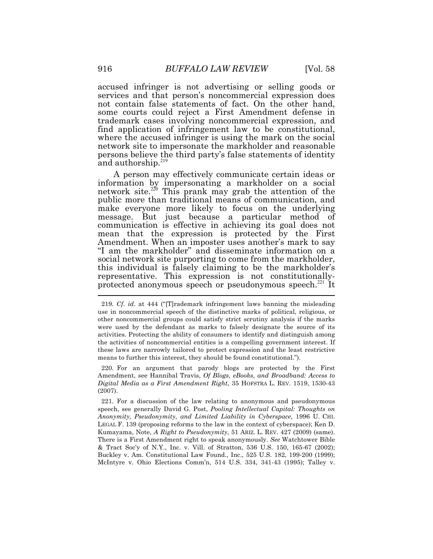accused infringer is not advertising or selling goods or services and that person's noncommercial expression does not contain false statements of fact. On the other hand, some courts could reject a First Amendment defense in trademark cases involving noncommercial expression, and find application of infringement law to be constitutional, where the accused infringer is using the mark on the social network site to impersonate the markholder and reasonable persons believe the third party's false statements of identity and authorship.<sup>219</sup>

<u>.</u> A person may effectively communicate certain ideas or information by impersonating a markholder on a social network site.<sup>220</sup> This prank may grab the attention of the public more than traditional means of communication, and make everyone more likely to focus on the underlying message. But just because a particular method of communication is effective in achieving its goal does not mean that the expression is protected by the First Amendment. When an imposter uses another's mark to say "I am the markholder" and disseminate information on a social network site purporting to come from the markholder, this individual is falsely claiming to be the markholder's representative. This expression is not constitutionallyprotected anonymous speech or pseudonymous speech. $^{221}$  It

 use in noncommercial speech of the distinctive marks of political, religious, or other noncommercial groups could satisfy strict scrutiny analysis if the marks were used by the defendant as marks to falsely designate the source of its activities. Protecting the ability of consumers to identify and distinguish among the activities of noncommercial entities is a compelling government interest. If these laws are narrowly tailored to protect expression and the least restrictive means to further this interest, they should be found constitutional."). 219. *Cf*. *id*. at 444 ("[T]rademark infringement laws banning the misleading

 Amendment, see Hannibal Travis, *Of Blogs, eBooks, and Broadband: Access to Digital Media as a First Amendment Right*, 35 HOFSTRA L. REV. 1519, 1530-43 220. For an argument that parody blogs are protected by the First (2007).

 speech, see generally David G. Post, *Pooling Intellectual Capital: Thoughts on Anonymity, Pseudonymity, and Limited Liability in Cyberspace*, 1996 U. CHI. LEGAL F. 139 (proposing reforms to the law in the context of cyberspace); Ken D. Kumayama, Note, *A Right to Pseudonymity*, 51 ARIZ. L. REV. 427 (2009) (same). There is a First Amendment right to speak anonymously. *See* Watchtower Bible & Tract Soc'y of N.Y., Inc. v. Vill. of Stratton, 536 U.S. 150, 165-67 (2002); Buckley v. Am. Constitutional Law Found., Inc., 525 U.S. 182, 199-200 (1999); McIntyre v. Ohio Elections Comm'n, 514 U.S. 334, 341-43 (1995); Talley v. 221. For a discussion of the law relating to anonymous and pseudonymous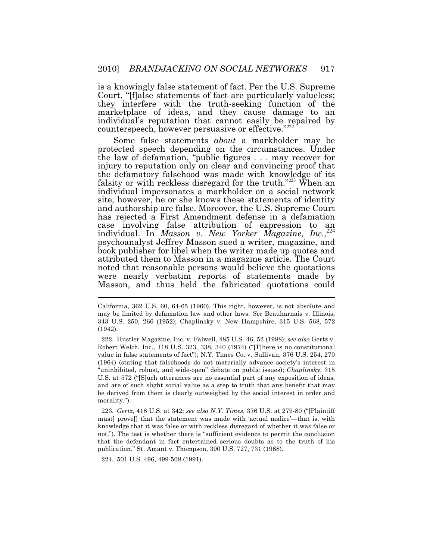is a knowingly false statement of fact. Per the U.S. Supreme Court, "[f]alse statements of fact are particularly valueless; they interfere with the truth-seeking function of the marketplace of ideas, and they cause damage to an individual's reputation that cannot easily be repaired by counterspeech, however persuasive or effective."<sup>222</sup>

Some false statements *about* a markholder may be protected speech depending on the circumstances. Under the law of defamation, "public figures . . . may recover for injury to reputation only on clear and convincing proof that the defamatory falsehood was made with knowledge of its falsity or with reckless disregard for the truth." $223$  When an individual impersonates a markholder on a social network site, however, he or she knows these statements of identity and authorship are false. Moreover, the U.S. Supreme Court has rejected a First Amendment defense in a defamation case involving false attribution of expression to individual. In *Masson v. New Yorker Magazine*, *Inc.*<sup>224</sup> psychoanalyst Jeffrey Masson sued a writer, magazine, and book publisher for libel when the writer made up quotes and attributed them to Masson in a magazine article. The Court noted that reasonable persons would believe the quotations were nearly verbatim reports of statements made by Masson, and thus held the fabricated quotations could

 Robert Welch, Inc., 418 U.S. 323, 338, 340 (1974) ("[T]here is no constitutional value in false statements of fact"); N.Y. Times Co. v. Sullivan, 376 U.S. 254, 270 (1964) (stating that falsehoods do not materially advance society's interest in "uninhibited, robust, and wide-open" debate on public issues); *Chaplinsky*, 315 U.S. at 572 ("[S]uch utterances are no essential part of any exposition of ideas, and are of such slight social value as a step to truth that any benefit that may be derived from them is clearly outweighed by the social interest in order and 222. Hustler Magazine, Inc. v. Falwell, 485 U.S. 46, 52 (1988); *see also* Gertz v. morality.").

 must] prove[] that the statement was made with 'actual malice'—that is, with knowledge that it was false or with reckless disregard of whether it was false or not."). The test is whether there is "sufficient evidence to permit the conclusion that the defendant in fact entertained serious doubts as to the truth of his publication." St. Amant v. Thompson, 390 U.S. 727, 731 (1968). 223. *Gertz*, 418 U.S. at 342; *see also N.Y. Times*, 376 U.S. at 279-80 ("[Plaintiff

224. 501 U.S. 496, 499-508 (1991).

 California, 362 U.S. 60, 64-65 (1960). This right, however, is not absolute and may be limited by defamation law and other laws. *See* Beauharnais v. Illinois, 343 U.S. 250, 266 (1952); Chaplinsky v. New Hampshire, 315 U.S. 568, 572 (1942).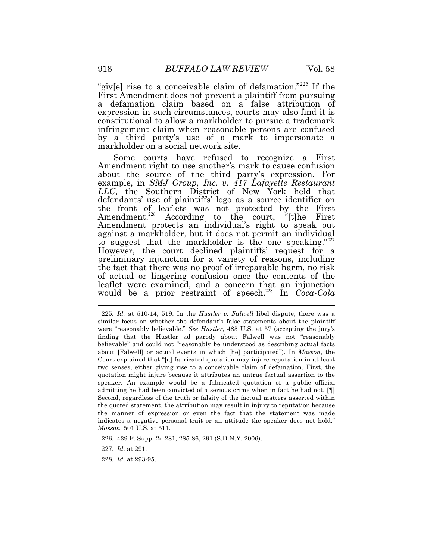"giv[e] rise to a conceivable claim of defamation."<sup>225</sup> If the First Amendment does not prevent a plaintiff from pursuing a defamation claim based on a false attribution of expression in such circumstances, courts may also find it is constitutional to allow a markholder to pursue a trademark infringement claim when reasonable persons are confused by a third party's use of a mark to impersonate a markholder on a social network site.

 defendants' use of plaintiffs' logo as a source identifier on  $\overline{a}$ Some courts have refused to recognize a First Amendment right to use another's mark to cause confusion about the source of the third party's expression. For example, in *SMJ Group, Inc. v. 417 Lafayette Restaurant LLC*, the Southern District of New York held that the front of leaflets was not protected by the First Amendment.<sup>226</sup> According to the court, "[t]he First Amendment protects an individual's right to speak out against a markholder, but it does not permit an individual to suggest that the markholder is the one speaking."227 However, the court declined plaintiffs' request for a preliminary injunction for a variety of reasons, including the fact that there was no proof of irreparable harm, no risk of actual or lingering confusion once the contents of the leaflet were examined, and a concern that an injunction would be a prior restraint of speech.<sup>228</sup> In *Coca-Cola* 

 similar focus on whether the defendant's false statements about the plaintiff were "reasonably believable." *See Hustler*, 485 U.S. at 57 (accepting the jury's finding that the Hustler ad parody about Falwell was not "reasonably believable" and could not "reasonably be understood as describing actual facts about [Falwell] or actual events in which [he] participated"). In *Masson*, the Court explained that "[a] fabricated quotation may injure reputation in at least two senses, either giving rise to a conceivable claim of defamation. First, the quotation might injure because it attributes an untrue factual assertion to the speaker. An example would be a fabricated quotation of a public official admitting he had been convicted of a serious crime when in fact he had not. [¶] Second, regardless of the truth or falsity of the factual matters asserted within the quoted statement, the attribution may result in injury to reputation because the manner of expression or even the fact that the statement was made indicates a negative personal trait or an attitude the speaker does not hold." *Masson*, 501 U.S. at 511. 225. *Id.* at 510-14, 519. In the *Hustler v. Falwell* libel dispute, there was a

226. 439 F. Supp. 2d 281, 285-86, 291 (S.D.N.Y. 2006).

227. *Id*. at 291.

228. *Id*. at 293-95.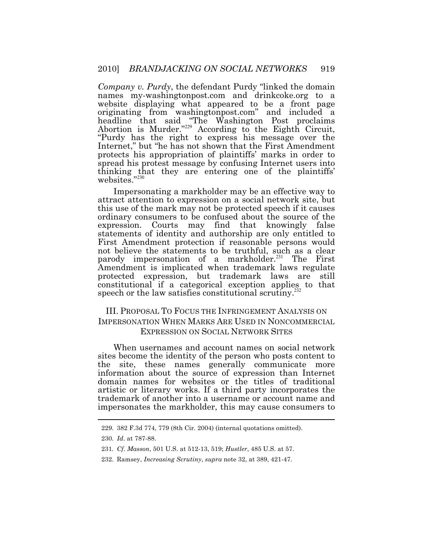*Company v. Purdy*, the defendant Purdy "linked the domain names [my-washingtonpost.com](https://my-washingtonpost.com) and [drinkcoke.org](https://drinkcoke.org) to a website displaying what appeared to be a front page originating from [washingtonpost.com"](https://washingtonpost.com) and included a headline that said "The Washington Post proclaims Abortion is Murder.<sup>"229</sup> According to the Eighth Circuit, "Purdy has the right to express his message over the Internet," but "he has not shown that the First Amendment protects his appropriation of plaintiffs' marks in order to spread his protest message by confusing Internet users into thinking that they are entering one of the plaintiffs' websites."<sup>230</sup>

Impersonating a markholder may be an effective way to attract attention to expression on a social network site, but this use of the mark may not be protected speech if it causes ordinary consumers to be confused about the source of the expression. Courts may find that knowingly false statements of identity and authorship are only entitled to First Amendment protection if reasonable persons would not believe the statements to be truthful, such as a clear parody impersonation of a markholder.<sup>231</sup> The First Amendment is implicated when trademark laws regulate protected expression, but trademark laws are still constitutional if a categorical exception applies to that speech or the law satisfies constitutional scrutiny.<sup>232</sup>

# III. PROPOSAL TO FOCUS THE INFRINGEMENT ANALYSIS ON IMPERSONATION WHEN MARKS ARE USED IN NONCOMMERCIAL EXPRESSION ON SOCIAL NETWORK SITES

When usernames and account names on social network sites become the identity of the person who posts content to the site, these names generally communicate more information about the source of expression than Internet domain names for websites or the titles of traditional artistic or literary works. If a third party incorporates the trademark of another into a username or account name and impersonates the markholder, this may cause consumers to

<sup>229. 382</sup> F.3d 774, 779 (8th Cir. 2004) (internal quotations omitted).

<sup>230.</sup> *Id*. at 787-88.

 231*. Cf*. *Masson*, 501 U.S. at 512-13, 519; *Hustler*, 485 U.S. at 57.

<sup>232.</sup> Ramsey, *Increasing Scrutiny*, *supra* note 32, at 389, 421-47.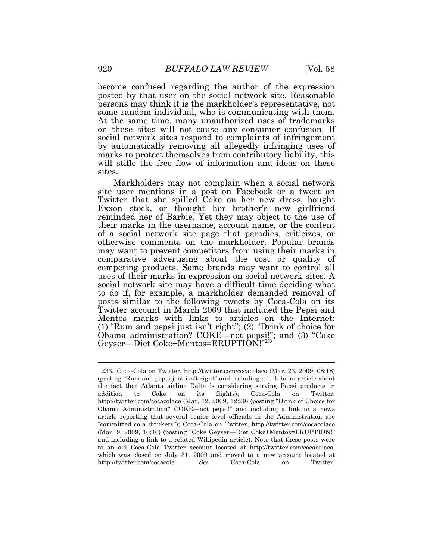become confused regarding the author of the expression posted by that user on the social network site. Reasonable persons may think it is the markholder's representative, not some random individual, who is communicating with them. At the same time, many unauthorized uses of trademarks on these sites will not cause any consumer confusion. If social network sites respond to complaints of infringement by automatically removing all allegedly infringing uses of marks to protect themselves from contributory liability, this will stifle the free flow of information and ideas on these sites.

Markholders may not complain when a social network site user mentions in a post on Facebook or a tweet on Twitter that she spilled Coke on her new dress, bought Exxon stock, or thought her brother's new girlfriend reminded her of Barbie. Yet they may object to the use of their marks in the username, account name, or the content of a social network site page that parodies, criticizes, or otherwise comments on the markholder. Popular brands may want to prevent competitors from using their marks in comparative advertising about the cost or quality of competing products. Some brands may want to control all uses of their marks in expression on social network sites. A social network site may have a difficult time deciding what to do if, for example, a markholder demanded removal of posts similar to the following tweets by Coca-Cola on its Twitter account in March 2009 that included the Pepsi and Mentos marks with links to articles on the Internet: (1) "Rum and pepsi just isn't right"; (2) "Drink of choice for Obama administration? COKE—not pepsi!"; and (3) "Coke Geyser—Diet Coke+Mentos=ERUPTION!"<sup>233</sup>

 (posting "Rum and pepsi just isn't right" and including a link to an article about the fact that Atlanta airline Delta is considering serving Pepsi products in addition <http://twitter.com/cocacolaco> (Mar. 12, 2009, 12:29) (posting "Drink of Choice for Obama Administration? COKE—not pepsi!" and including a link to a news article reporting that several senior level officials in the Administration are "committed cola drinkers"); Coca-Cola on Twitter, <http://twitter.com/cocacolaco> (Mar. 9, 2009, 16:46) (posting "Coke Geyser—Diet Coke+Mentos=ERUPTION!" and including a link to a related Wikipedia article). Note that these posts were to an old Coca-Cola Twitter account located at <http://twitter.com/cocacolaco>, which was closed on July 31, 2009 and moved to a new account located at Coca-Cola 233. Coca-Cola on Twitter, <http://twitter.com/cocacolaco> (Mar. 23, 2009, 08:18) to Coke on its flights); Coca-Cola on Twitter, [http://twitter.com/cocacola.](http://twitter.com/cocacola) *See* Coca-Cola on Twitter,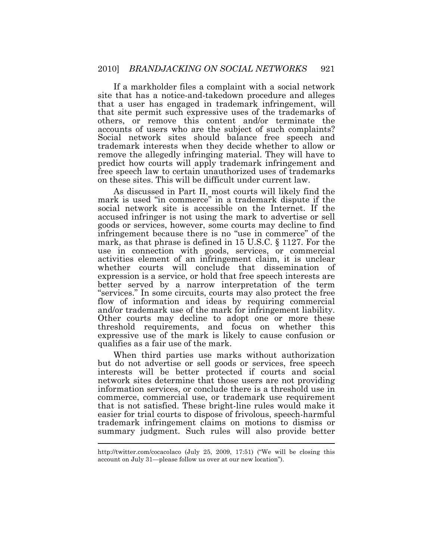If a markholder files a complaint with a social network site that has a notice-and-takedown procedure and alleges that a user has engaged in trademark infringement, will that site permit such expressive uses of the trademarks of others, or remove this content and/or terminate the accounts of users who are the subject of such complaints? Social network sites should balance free speech and trademark interests when they decide whether to allow or remove the allegedly infringing material. They will have to predict how courts will apply trademark infringement and free speech law to certain unauthorized uses of trademarks on these sites. This will be difficult under current law.

 mark is used "in commerce" in a trademark dispute if the As discussed in Part II, most courts will likely find the social network site is accessible on the Internet. If the accused infringer is not using the mark to advertise or sell goods or services, however, some courts may decline to find infringement because there is no "use in commerce" of the mark, as that phrase is defined in 15 U.S.C. § 1127. For the use in connection with goods, services, or commercial activities element of an infringement claim, it is unclear whether courts will conclude that dissemination of expression is a service, or hold that free speech interests are better served by a narrow interpretation of the term "services." In some circuits, courts may also protect the free flow of information and ideas by requiring commercial and/or trademark use of the mark for infringement liability. Other courts may decline to adopt one or more these threshold requirements, and focus on whether this expressive use of the mark is likely to cause confusion or qualifies as a fair use of the mark.

 $\overline{a}$ When third parties use marks without authorization but do not advertise or sell goods or services, free speech interests will be better protected if courts and social network sites determine that those users are not providing information services, or conclude there is a threshold use in commerce, commercial use, or trademark use requirement that is not satisfied. These bright-line rules would make it easier for trial courts to dispose of frivolous, speech-harmful trademark infringement claims on motions to dismiss or summary judgment. Such rules will also provide better

 <http://twitter.com/cocacolaco> (July 25, 2009, 17:51) ("We will be closing this account on July 31—please follow us over at our new location").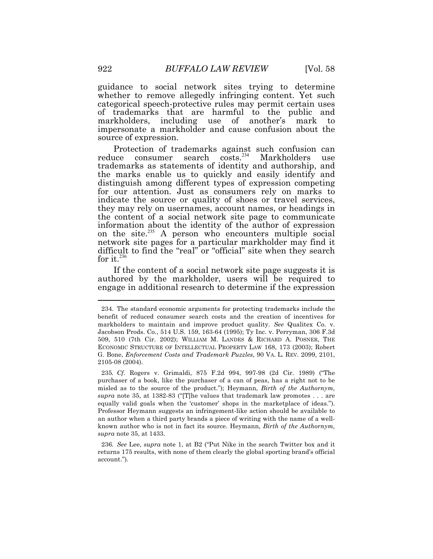guidance to social network sites trying to determine whether to remove allegedly infringing content. Yet such categorical speech-protective rules may permit certain uses of trademarks that are harmful to the public and markholders, including use of another's mark to impersonate a markholder and cause confusion about the source of expression.

Protection of trademarks against such confusion can reduce consumer search costs.<sup>234</sup> Markholders use trademarks as statements of identity and authorship, and the marks enable us to quickly and easily identify and distinguish among different types of expression competing for our attention. Just as consumers rely on marks to indicate the source or quality of shoes or travel services, they may rely on usernames, account names, or headings in the content of a social network site page to communicate information about the identity of the author of expression on the site. $^{235}$  A person who encounters multiple social network site pages for a particular markholder may find it difficult to find the "real" or "official" site when they search for it.<sup>236</sup>

If the content of a social network site page suggests it is authored by the markholder, users will be required to engage in additional research to determine if the expression

 235*. Cf.* Rogers v. Grimaldi, 875 F.2d 994, 997-98 (2d Cir. 1989) ("The purchaser of a book, like the purchaser of a can of peas, has a right not to be misled as to the source of the product."); Heymann, *Birth of the Authornym, supra* note 35, at 1382-83 ("[T]he values that trademark law promotes . . . are equally valid goals when the 'customer' shops in the marketplace of ideas."). Professor Heymann suggests an infringement-like action should be available to an author when a third party brands a piece of writing with the name of a well- known author who is not in fact its source. Heymann, *Birth of the Authornym, supra* note 35, at 1433.

 236*. See* Lee, *supra* note 1, at B2 ("Put Nike in the search Twitter box and it returns 175 results, with none of them clearly the global sporting brand's official account.")*.* 

 benefit of reduced consumer search costs and the creation of incentives for markholders to maintain and improve product quality. *See* Qualitex Co. v. Jacobson Prods. Co., 514 U.S. 159, 163-64 (1995); Ty Inc. v. Perryman, 306 F.3d 509, 510 (7th Cir. 2002); WILLIAM M. LANDES & RICHARD A. POSNER, THE ECONOMIC STRUCTURE OF INTELLECTUAL PROPERTY LAW 168, 173 (2003); Robert G. Bone, *Enforcement Costs and Trademark Puzzles*, 90 VA. L. REV. 2099, 2101, 2105-08 (2004). 234. The standard economic arguments for protecting trademarks include the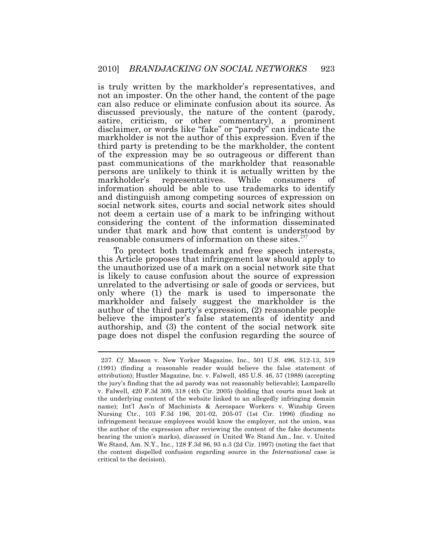is truly written by the markholder's representatives, and not an imposter. On the other hand, the content of the page can also reduce or eliminate confusion about its source. As discussed previously, the nature of the content (parody, satire, criticism, or other commentary), a prominent disclaimer, or words like "fake" or "parody" can indicate the markholder is not the author of this expression. Even if the third party is pretending to be the markholder, the content of the expression may be so outrageous or different than past communications of the markholder that reasonable persons are unlikely to think it is actually written by the markholder's representatives. While consumers of information should be able to use trademarks to identify and distinguish among competing sources of expression on social network sites, courts and social network sites should not deem a certain use of a mark to be infringing without considering the content of the information disseminated under that mark and how that content is understood by reasonable consumers of information on these sites.<sup>237</sup>

To protect both trademark and free speech interests, this Article proposes that infringement law should apply to the unauthorized use of a mark on a social network site that is likely to cause confusion about the source of expression unrelated to the advertising or sale of goods or services, but only where (1) the mark is used to impersonate the markholder and falsely suggest the markholder is the author of the third party's expression, (2) reasonable people believe the imposter's false statements of identity and authorship, and (3) the content of the social network site page does not dispel the confusion regarding the source of

 (1991) (finding a reasonable reader would believe the false statement of attribution); Hustler Magazine, Inc. v. Falwell, 485 U.S. 46, 57 (1988) (accepting the jury's finding that the ad parody was not reasonably believable); Lamparello v. Falwell, 420 F.3d 309, 318 (4th Cir. 2005) (holding that courts must look at the underlying content of the website linked to an allegedly infringing domain name); Int'l Ass'n of Machinists & Aerospace Workers v. Winship Green Nursing Ctr., 103 F.3d 196, 201-02, 205-07 (1st Cir. 1996) (finding no infringement because employees would know the employer, not the union, was the author of the expression after reviewing the content of the fake documents bearing the union's marks), *discussed in* United We Stand Am., Inc. v. United We Stand, Am. N.Y., Inc., 128 F.3d 86, 93 n.3 (2d Cir. 1997) (noting the fact that the content dispelled confusion regarding source in the *International* case is critical to the decision). 237. *Cf*. Masson v. New Yorker Magazine, Inc., 501 U.S. 496, 512-13, 519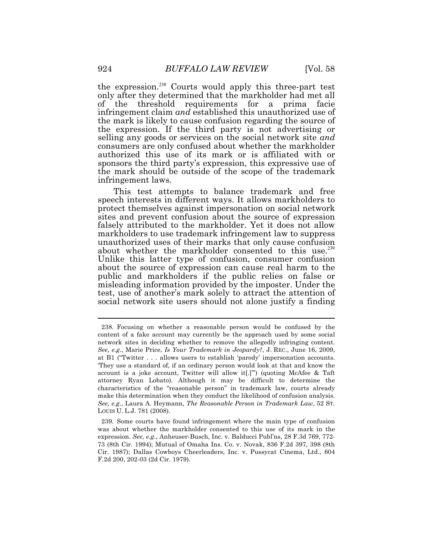the expression.<sup>238</sup> Courts would apply this three-part test only after they determined that the markholder had met all of the threshold requirements for a prima facie infringement claim *and* established this unauthorized use of the mark is likely to cause confusion regarding the source of the expression. If the third party is not advertising or selling any goods or services on the social network site *and*  consumers are only confused about whether the markholder authorized this use of its mark or is affiliated with or sponsors the third party's expression, this expressive use of the mark should be outside of the scope of the trademark infringement laws.

This test attempts to balance trademark and free speech interests in different ways. It allows markholders to protect themselves against impersonation on social network sites and prevent confusion about the source of expression falsely attributed to the markholder. Yet it does not allow markholders to use trademark infringement law to suppress unauthorized uses of their marks that only cause confusion about whether the markholder consented to this use.<sup>239</sup> Unlike this latter type of confusion, consumer confusion about the source of expression can cause real harm to the public and markholders if the public relies on false or misleading information provided by the imposter. Under the test, use of another's mark solely to attract the attention of social network site users should not alone justify a finding

 content of a fake account may currently be the approach used by some social network sites in deciding whether to remove the allegedly infringing content. *See, e.g*., Marie Price, *Is Your Trademark in Jeopardy?*, J. REC., June 16, 2009, at B1 ("Twitter . . . allows users to establish 'parody' impersonation accounts. 'They use a standard of, if an ordinary person would look at that and know the account is a joke account, Twitter will allow it[.]'") (quoting McAfee & Taft attorney Ryan Lobato). Although it may be difficult to determine the characteristics of the "reasonable person" in trademark law, courts already make this determination when they conduct the likelihood of confusion analysis. *See, e.g*., Laura A. Heymann, *The Reasonable Person in Trademark Law*, 52 ST. LOUIS U. L.J. 781 (2008). 238. Focusing on whether a reasonable person would be confused by the

 239*.* Some courts have found infringement where the main type of confusion was about whether the markholder consented to this use of its mark in the expression. *See, e.g.*, Anheuser-Busch, Inc. v. Balducci Publ'ns, 28 F.3d 769, 772- 73 (8th Cir. 1994); Mutual of Omaha Ins. Co. v. Novak, 836 F.2d 397, 398 (8th Cir. 1987); Dallas Cowboys Cheerleaders, Inc. v. Pussycat Cinema, Ltd., 604 F.2d 200, 202-03 (2d Cir. 1979).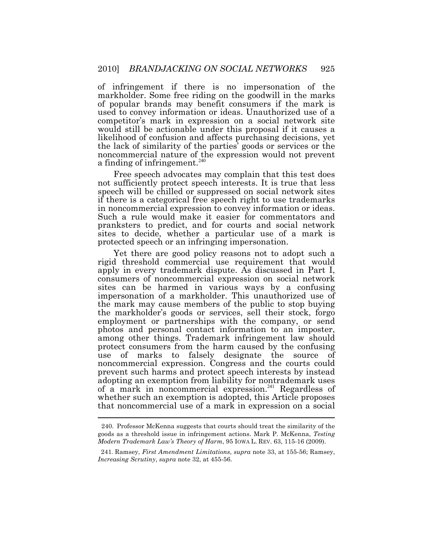a finding of infringement.<sup>240</sup> of infringement if there is no impersonation of the markholder. Some free riding on the goodwill in the marks of popular brands may benefit consumers if the mark is used to convey information or ideas. Unauthorized use of a competitor's mark in expression on a social network site would still be actionable under this proposal if it causes a likelihood of confusion and affects purchasing decisions, yet the lack of similarity of the parties' goods or services or the noncommercial nature of the expression would not prevent

Free speech advocates may complain that this test does not sufficiently protect speech interests. It is true that less speech will be chilled or suppressed on social network sites if there is a categorical free speech right to use trademarks in noncommercial expression to convey information or ideas. Such a rule would make it easier for commentators and pranksters to predict, and for courts and social network sites to decide, whether a particular use of a mark is protected speech or an infringing impersonation.

 $\overline{a}$ Yet there are good policy reasons not to adopt such a rigid threshold commercial use requirement that would apply in every trademark dispute. As discussed in Part I, consumers of noncommercial expression on social network sites can be harmed in various ways by a confusing impersonation of a markholder. This unauthorized use of the mark may cause members of the public to stop buying the markholder's goods or services, sell their stock, forgo employment or partnerships with the company, or send photos and personal contact information to an imposter, among other things. Trademark infringement law should protect consumers from the harm caused by the confusing use of marks to falsely designate the source of noncommercial expression. Congress and the courts could prevent such harms and protect speech interests by instead adopting an exemption from liability for nontrademark uses of a mark in noncommercial expression. $^{241}$  Regardless of whether such an exemption is adopted, this Article proposes that noncommercial use of a mark in expression on a social

 goods as a threshold issue in infringement actions. Mark P. McKenna, *Testing Modern Trademark Law's Theory of Harm*, 95 IOWA L. REV. 63, 115-16 (2009). 240. Professor McKenna suggests that courts should treat the similarity of the

 *Increasing Scrutiny*, *supra* note 32, at 455-56. 241. Ramsey, *First Amendment Limitations*, *supra* note 33, at 155-56; Ramsey,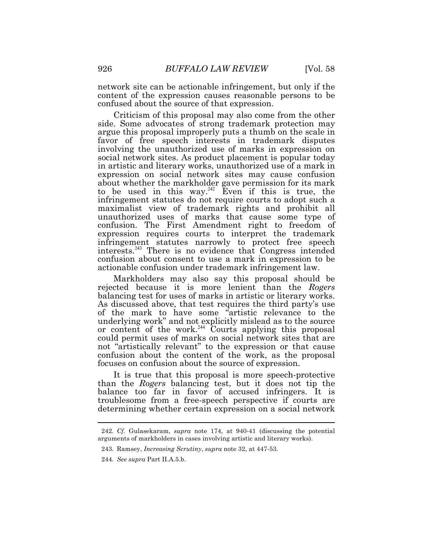network site can be actionable infringement, but only if the content of the expression causes reasonable persons to be confused about the source of that expression.

Criticism of this proposal may also come from the other side. Some advocates of strong trademark protection may argue this proposal improperly puts a thumb on the scale in favor of free speech interests in trademark disputes involving the unauthorized use of marks in expression on social network sites. As product placement is popular today in artistic and literary works, unauthorized use of a mark in expression on social network sites may cause confusion about whether the markholder gave permission for its mark to be used in this way.<sup>242</sup> Even if this is true, the infringement statutes do not require courts to adopt such a maximalist view of trademark rights and prohibit all unauthorized uses of marks that cause some type of confusion. The First Amendment right to freedom of expression requires courts to interpret the trademark infringement statutes narrowly to protect free speech interests.<sup>243</sup>There is no evidence that Congress intended confusion about consent to use a mark in expression to be actionable confusion under trademark infringement law.

Markholders may also say this proposal should be rejected because it is more lenient than the *Rogers*  balancing test for uses of marks in artistic or literary works. As discussed above, that test requires the third party's use of the mark to have some "artistic relevance to the underlying work" and not explicitly mislead as to the source or content of the work.<sup>244</sup> Courts applying this proposal could permit uses of marks on social network sites that are not "artistically relevant" to the expression or that cause confusion about the content of the work, as the proposal focuses on confusion about the source of expression.

It is true that this proposal is more speech-protective than the *Rogers* balancing test, but it does not tip the balance too far in favor of accused infringers. It is troublesome from a free-speech perspective if courts are determining whether certain expression on a social network

 arguments of markholders in cases involving artistic and literary works). 242. *Cf.* Gulasekaram, *supra* note 174, at 940-41 (discussing the potential

<sup>243.</sup> Ramsey, *Increasing Scrutiny*, *supra* note 32, at 447-53.

 244*. See supra* Part II.A.5.b.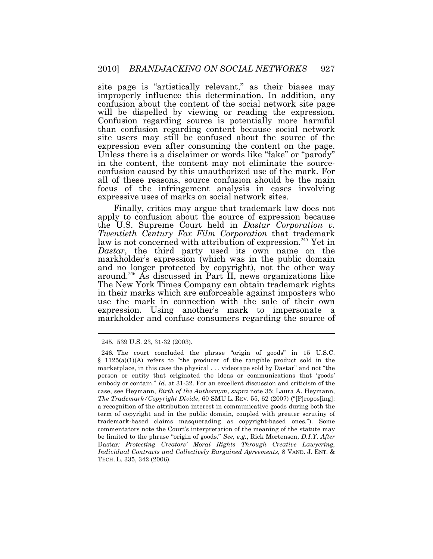site page is "artistically relevant," as their biases may improperly influence this determination. In addition, any confusion about the content of the social network site page will be dispelled by viewing or reading the expression. Confusion regarding source is potentially more harmful than confusion regarding content because social network site users may still be confused about the source of the expression even after consuming the content on the page. Unless there is a disclaimer or words like "fake" or "parody" in the content, the content may not eliminate the sourceconfusion caused by this unauthorized use of the mark. For all of these reasons, source confusion should be the main focus of the infringement analysis in cases involving expressive uses of marks on social network sites.

Finally, critics may argue that trademark law does not apply to confusion about the source of expression because the U.S. Supreme Court held in *Dastar Corporation v. Twentieth Century Fox Film Corporation* that trademark law is not concerned with attribution of expression.<sup>245</sup> Yet in *Dastar*, the third party used its own name on the markholder's expression (which was in the public domain and no longer protected by copyright), not the other way around.<sup>246</sup> As discussed in Part II, news organizations like The New York Times Company can obtain trademark rights in their marks which are enforceable against imposters who use the mark in connection with the sale of their own expression. Using another's mark to impersonate a markholder and confuse consumers regarding the source of

<sup>245. 539</sup> U.S. 23, 31-32 (2003).

 246*.* The court concluded the phrase "origin of goods" in 15 U.S.C.  $§$  1125(a)(1)(A) refers to "the producer of the tangible product sold in the marketplace, in this case the physical . . . videotape sold by Dastar" and not "the person or entity that originated the ideas or communications that 'goods' embody or contain." *Id*. at 31-32. For an excellent discussion and criticism of the case, see Heymann, *Birth of the Authornym*, *supra* note 35; Laura A. Heymann, *The Trademark/Copyright Divide*, 60 SMU L. REV. 55, 62 (2007) ("[P]ropos[ing]: a recognition of the attribution interest in communicative goods during both the term of copyright and in the public domain, coupled with greater scrutiny of trademark-based claims masquerading as copyright-based ones."). Some commentators note the Court's interpretation of the meaning of the statute may be limited to the phrase "origin of goods." *See, e.g.*, Rick Mortensen, *D.I.Y. After*  Dastar: Protecting Creators' Moral Rights Through Creative Lawyering,  *Individual Contracts and Collectively Bargained Agreements*, 8 VAND. J. ENT. & TECH. L. 335, 342 (2006).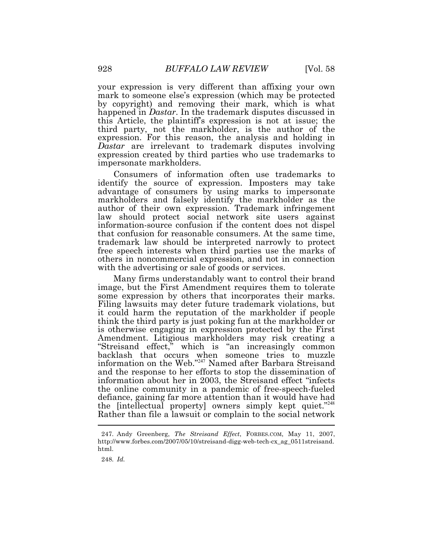your expression is very different than affixing your own mark to someone else's expression (which may be protected by copyright) and removing their mark, which is what happened in *Dastar*. In the trademark disputes discussed in this Article, the plaintiff's expression is not at issue; the third party, not the markholder, is the author of the expression. For this reason, the analysis and holding in *Dastar* are irrelevant to trademark disputes involving expression created by third parties who use trademarks to impersonate markholders.

Consumers of information often use trademarks to identify the source of expression. Imposters may take advantage of consumers by using marks to impersonate markholders and falsely identify the markholder as the author of their own expression. Trademark infringement law should protect social network site users against information-source confusion if the content does not dispel that confusion for reasonable consumers. At the same time, trademark law should be interpreted narrowly to protect free speech interests when third parties use the marks of others in noncommercial expression, and not in connection with the advertising or sale of goods or services.

I Many firms understandably want to control their brand image, but the First Amendment requires them to tolerate some expression by others that incorporates their marks. Filing lawsuits may deter future trademark violations, but it could harm the reputation of the markholder if people think the third party is just poking fun at the markholder or is otherwise engaging in expression protected by the First Amendment. Litigious markholders may risk creating a "Streisand effect," which is "an increasingly common backlash that occurs when someone tries to muzzle information on the Web."<sup>247</sup> Named after Barbara Streisand and the response to her efforts to stop the dissemination of information about her in 2003, the Streisand effect "infects the online community in a pandemic of free-speech-fueled defiance, gaining far more attention than it would have had the [intellectual property] owners simply kept quiet."248 Rather than file a lawsuit or complain to the social network

248. *Id.* 

<sup>247.</sup> Andy Greenberg, *The Streisand Effect*, [FORBES.COM,](https://FORBES.COM) May 11, 2007, [http://www.forbes.com/2007/05/10/streisand-digg-web-tech-cx\\_ag\\_0511streisand](http://www.forbes.com/2007/05/10/streisand-digg-web-tech-cx_ag_0511streisand). html.